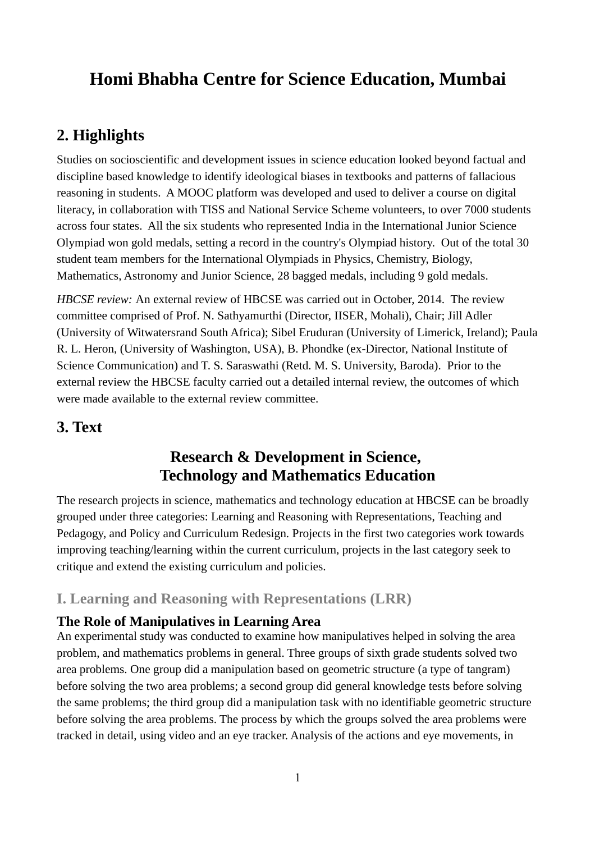# **Homi Bhabha Centre for Science Education, Mumbai**

# **2. Highlights**

Studies on socioscientific and development issues in science education looked beyond factual and discipline based knowledge to identify ideological biases in textbooks and patterns of fallacious reasoning in students. A MOOC platform was developed and used to deliver a course on digital literacy, in collaboration with TISS and National Service Scheme volunteers, to over 7000 students across four states. All the six students who represented India in the International Junior Science Olympiad won gold medals, setting a record in the country's Olympiad history. Out of the total 30 student team members for the International Olympiads in Physics, Chemistry, Biology, Mathematics, Astronomy and Junior Science, 28 bagged medals, including 9 gold medals.

*HBCSE review:* An external review of HBCSE was carried out in October, 2014. The review committee comprised of Prof. N. Sathyamurthi (Director, IISER, Mohali), Chair; Jill Adler (University of Witwatersrand South Africa); Sibel Eruduran (University of Limerick, Ireland); Paula R. L. Heron, (University of Washington, USA), B. Phondke (ex-Director, National Institute of Science Communication) and T. S. Saraswathi (Retd. M. S. University, Baroda). Prior to the external review the HBCSE faculty carried out a detailed internal review, the outcomes of which were made available to the external review committee.

# **3. Text**

# **Research & Development in Science, Technology and Mathematics Education**

The research projects in science, mathematics and technology education at HBCSE can be broadly grouped under three categories: Learning and Reasoning with Representations, Teaching and Pedagogy, and Policy and Curriculum Redesign. Projects in the first two categories work towards improving teaching/learning within the current curriculum, projects in the last category seek to critique and extend the existing curriculum and policies.

# **I. Learning and Reasoning with Representations (LRR)**

# **The Role of Manipulatives in Learning Area**

An experimental study was conducted to examine how manipulatives helped in solving the area problem, and mathematics problems in general. Three groups of sixth grade students solved two area problems. One group did a manipulation based on geometric structure (a type of tangram) before solving the two area problems; a second group did general knowledge tests before solving the same problems; the third group did a manipulation task with no identifiable geometric structure before solving the area problems. The process by which the groups solved the area problems were tracked in detail, using video and an eye tracker. Analysis of the actions and eye movements, in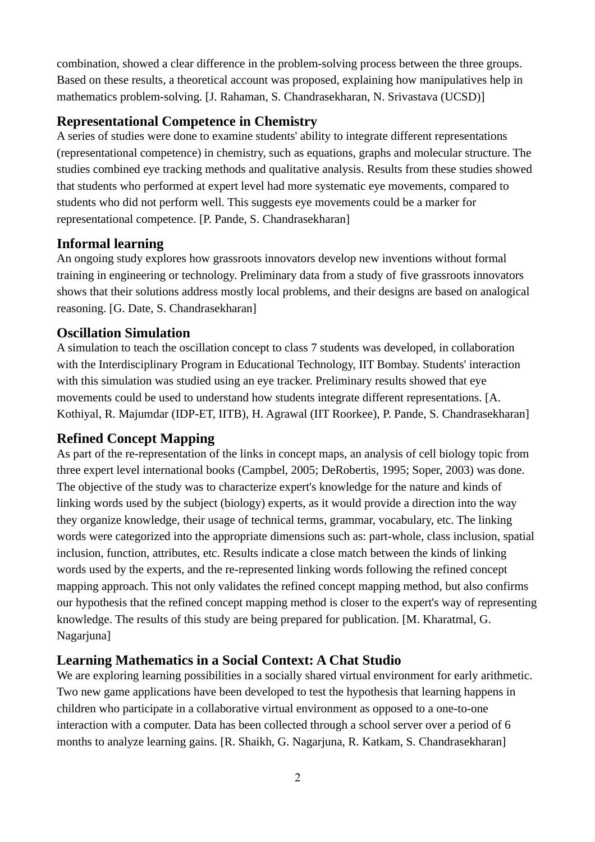combination, showed a clear difference in the problem-solving process between the three groups. Based on these results, a theoretical account was proposed, explaining how manipulatives help in mathematics problem-solving. [J. Rahaman, S. Chandrasekharan, N. Srivastava (UCSD)]

# **Representational Competence in Chemistry**

A series of studies were done to examine students' ability to integrate different representations (representational competence) in chemistry, such as equations, graphs and molecular structure. The studies combined eye tracking methods and qualitative analysis. Results from these studies showed that students who performed at expert level had more systematic eye movements, compared to students who did not perform well. This suggests eye movements could be a marker for representational competence. [P. Pande, S. Chandrasekharan]

# **Informal learning**

An ongoing study explores how grassroots innovators develop new inventions without formal training in engineering or technology. Preliminary data from a study of five grassroots innovators shows that their solutions address mostly local problems, and their designs are based on analogical reasoning. [G. Date, S. Chandrasekharan]

# **Oscillation Simulation**

A simulation to teach the oscillation concept to class 7 students was developed, in collaboration with the Interdisciplinary Program in Educational Technology, IIT Bombay. Students' interaction with this simulation was studied using an eye tracker. Preliminary results showed that eye movements could be used to understand how students integrate different representations. [A. Kothiyal, R. Majumdar (IDP-ET, IITB), H. Agrawal (IIT Roorkee), P. Pande, S. Chandrasekharan]

# **Refined Concept Mapping**

As part of the re-representation of the links in concept maps, an analysis of cell biology topic from three expert level international books (Campbel, 2005; DeRobertis, 1995; Soper, 2003) was done. The objective of the study was to characterize expert's knowledge for the nature and kinds of linking words used by the subject (biology) experts, as it would provide a direction into the way they organize knowledge, their usage of technical terms, grammar, vocabulary, etc. The linking words were categorized into the appropriate dimensions such as: part-whole, class inclusion, spatial inclusion, function, attributes, etc. Results indicate a close match between the kinds of linking words used by the experts, and the re-represented linking words following the refined concept mapping approach. This not only validates the refined concept mapping method, but also confirms our hypothesis that the refined concept mapping method is closer to the expert's way of representing knowledge. The results of this study are being prepared for publication. [M. Kharatmal, G. Nagarjuna]

# **Learning Mathematics in a Social Context: A Chat Studio**

We are exploring learning possibilities in a socially shared virtual environment for early arithmetic. Two new game applications have been developed to test the hypothesis that learning happens in children who participate in a collaborative virtual environment as opposed to a one-to-one interaction with a computer. Data has been collected through a school server over a period of 6 months to analyze learning gains. [R. Shaikh, G. Nagarjuna, R. Katkam, S. Chandrasekharan]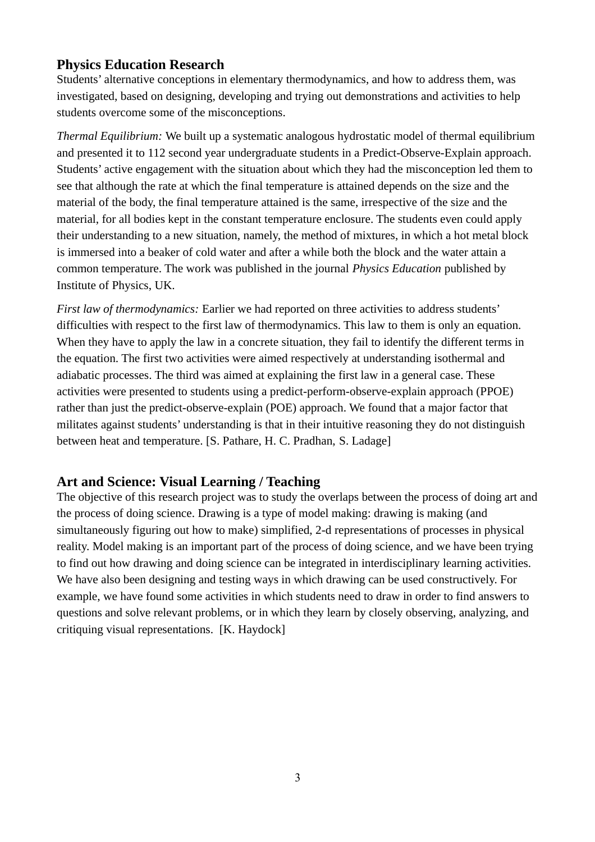# **Physics Education Research**

Students' alternative conceptions in elementary thermodynamics, and how to address them, was investigated, based on designing, developing and trying out demonstrations and activities to help students overcome some of the misconceptions.

*Thermal Equilibrium:* We built up a systematic analogous hydrostatic model of thermal equilibrium and presented it to 112 second year undergraduate students in a Predict-Observe-Explain approach. Students' active engagement with the situation about which they had the misconception led them to see that although the rate at which the final temperature is attained depends on the size and the material of the body, the final temperature attained is the same, irrespective of the size and the material, for all bodies kept in the constant temperature enclosure. The students even could apply their understanding to a new situation, namely, the method of mixtures, in which a hot metal block is immersed into a beaker of cold water and after a while both the block and the water attain a common temperature. The work was published in the journal *Physics Education* published by Institute of Physics, UK.

*First law of thermodynamics:* Earlier we had reported on three activities to address students' difficulties with respect to the first law of thermodynamics. This law to them is only an equation. When they have to apply the law in a concrete situation, they fail to identify the different terms in the equation. The first two activities were aimed respectively at understanding isothermal and adiabatic processes. The third was aimed at explaining the first law in a general case. These activities were presented to students using a predict-perform-observe-explain approach (PPOE) rather than just the predict-observe-explain (POE) approach. We found that a major factor that militates against students' understanding is that in their intuitive reasoning they do not distinguish between heat and temperature. [S. Pathare, H. C. Pradhan, S. Ladage]

# **Art and Science: Visual Learning / Teaching**

The objective of this research project was to study the overlaps between the process of doing art and the process of doing science. Drawing is a type of model making: drawing is making (and simultaneously figuring out how to make) simplified, 2-d representations of processes in physical reality. Model making is an important part of the process of doing science, and we have been trying to find out how drawing and doing science can be integrated in interdisciplinary learning activities. We have also been designing and testing ways in which drawing can be used constructively. For example, we have found some activities in which students need to draw in order to find answers to questions and solve relevant problems, or in which they learn by closely observing, analyzing, and critiquing visual representations. [K. Haydock]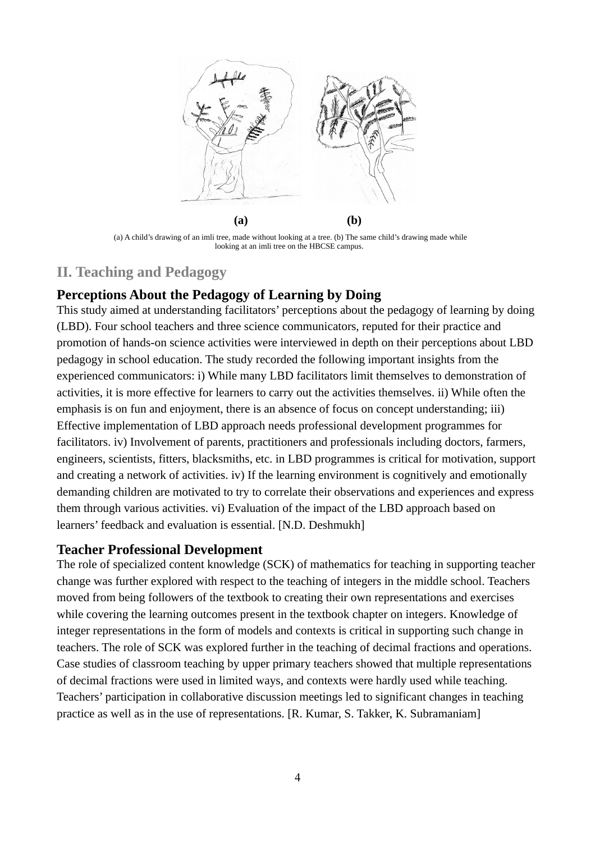

(a) A child's drawing of an imli tree, made without looking at a tree. (b) The same child's drawing made while looking at an imli tree on the HBCSE campus.

# **II. Teaching and Pedagogy**

### **Perceptions About the Pedagogy of Learning by Doing**

This study aimed at understanding facilitators' perceptions about the pedagogy of learning by doing (LBD). Four school teachers and three science communicators, reputed for their practice and promotion of hands-on science activities were interviewed in depth on their perceptions about LBD pedagogy in school education. The study recorded the following important insights from the experienced communicators: i) While many LBD facilitators limit themselves to demonstration of activities, it is more effective for learners to carry out the activities themselves. ii) While often the emphasis is on fun and enjoyment, there is an absence of focus on concept understanding; iii) Effective implementation of LBD approach needs professional development programmes for facilitators. iv) Involvement of parents, practitioners and professionals including doctors, farmers, engineers, scientists, fitters, blacksmiths, etc. in LBD programmes is critical for motivation, support and creating a network of activities. iv) If the learning environment is cognitively and emotionally demanding children are motivated to try to correlate their observations and experiences and express them through various activities. vi) Evaluation of the impact of the LBD approach based on learners' feedback and evaluation is essential. [N.D. Deshmukh]

### **Teacher Professional Development**

The role of specialized content knowledge (SCK) of mathematics for teaching in supporting teacher change was further explored with respect to the teaching of integers in the middle school. Teachers moved from being followers of the textbook to creating their own representations and exercises while covering the learning outcomes present in the textbook chapter on integers. Knowledge of integer representations in the form of models and contexts is critical in supporting such change in teachers. The role of SCK was explored further in the teaching of decimal fractions and operations. Case studies of classroom teaching by upper primary teachers showed that multiple representations of decimal fractions were used in limited ways, and contexts were hardly used while teaching. Teachers' participation in collaborative discussion meetings led to significant changes in teaching practice as well as in the use of representations. [R. Kumar, S. Takker, K. Subramaniam]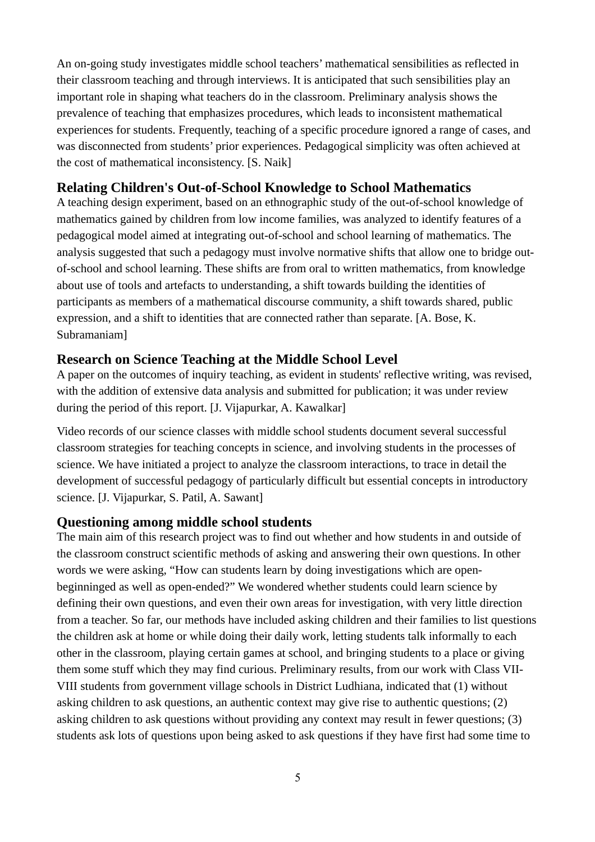An on-going study investigates middle school teachers' mathematical sensibilities as reflected in their classroom teaching and through interviews. It is anticipated that such sensibilities play an important role in shaping what teachers do in the classroom. Preliminary analysis shows the prevalence of teaching that emphasizes procedures, which leads to inconsistent mathematical experiences for students. Frequently, teaching of a specific procedure ignored a range of cases, and was disconnected from students' prior experiences. Pedagogical simplicity was often achieved at the cost of mathematical inconsistency. [S. Naik]

## **Relating Children's Out-of-School Knowledge to School Mathematics**

A teaching design experiment, based on an ethnographic study of the out-of-school knowledge of mathematics gained by children from low income families, was analyzed to identify features of a pedagogical model aimed at integrating out-of-school and school learning of mathematics. The analysis suggested that such a pedagogy must involve normative shifts that allow one to bridge outof-school and school learning. These shifts are from oral to written mathematics, from knowledge about use of tools and artefacts to understanding, a shift towards building the identities of participants as members of a mathematical discourse community, a shift towards shared, public expression, and a shift to identities that are connected rather than separate. [A. Bose, K. Subramaniam]

### **Research on Science Teaching at the Middle School Level**

A paper on the outcomes of inquiry teaching, as evident in students' reflective writing, was revised, with the addition of extensive data analysis and submitted for publication; it was under review during the period of this report. [J. Vijapurkar, A. Kawalkar]

Video records of our science classes with middle school students document several successful classroom strategies for teaching concepts in science, and involving students in the processes of science. We have initiated a project to analyze the classroom interactions, to trace in detail the development of successful pedagogy of particularly difficult but essential concepts in introductory science. [J. Vijapurkar, S. Patil, A. Sawant]

### **Questioning among middle school students**

The main aim of this research project was to find out whether and how students in and outside of the classroom construct scientific methods of asking and answering their own questions. In other words we were asking, "How can students learn by doing investigations which are openbeginninged as well as open-ended?" We wondered whether students could learn science by defining their own questions, and even their own areas for investigation, with very little direction from a teacher. So far, our methods have included asking children and their families to list questions the children ask at home or while doing their daily work, letting students talk informally to each other in the classroom, playing certain games at school, and bringing students to a place or giving them some stuff which they may find curious. Preliminary results, from our work with Class VII-VIII students from government village schools in District Ludhiana, indicated that (1) without asking children to ask questions, an authentic context may give rise to authentic questions; (2) asking children to ask questions without providing any context may result in fewer questions; (3) students ask lots of questions upon being asked to ask questions if they have first had some time to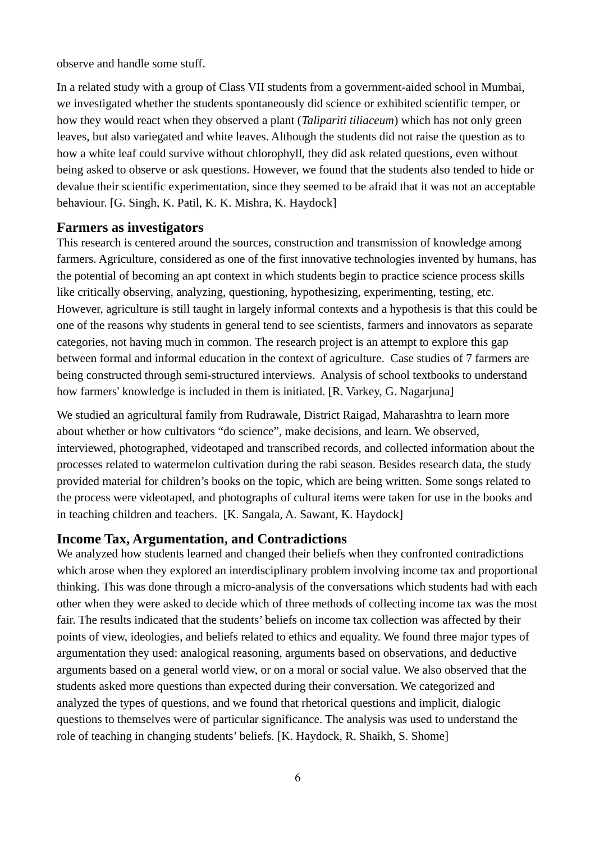observe and handle some stuff.

In a related study with a group of Class VII students from a government-aided school in Mumbai, we investigated whether the students spontaneously did science or exhibited scientific temper, or how they would react when they observed a plant (*Talipariti tiliaceum*) which has not only green leaves, but also variegated and white leaves. Although the students did not raise the question as to how a white leaf could survive without chlorophyll, they did ask related questions, even without being asked to observe or ask questions. However, we found that the students also tended to hide or devalue their scientific experimentation, since they seemed to be afraid that it was not an acceptable behaviour. [G. Singh, K. Patil, K. K. Mishra, K. Haydock]

### **Farmers as investigators**

This research is centered around the sources, construction and transmission of knowledge among farmers. Agriculture, considered as one of the first innovative technologies invented by humans, has the potential of becoming an apt context in which students begin to practice science process skills like critically observing, analyzing, questioning, hypothesizing, experimenting, testing, etc. However, agriculture is still taught in largely informal contexts and a hypothesis is that this could be one of the reasons why students in general tend to see scientists, farmers and innovators as separate categories, not having much in common. The research project is an attempt to explore this gap between formal and informal education in the context of agriculture. Case studies of 7 farmers are being constructed through semi-structured interviews. Analysis of school textbooks to understand how farmers' knowledge is included in them is initiated. [R. Varkey, G. Nagarjuna]

We studied an agricultural family from Rudrawale, District Raigad, Maharashtra to learn more about whether or how cultivators "do science", make decisions, and learn. We observed, interviewed, photographed, videotaped and transcribed records, and collected information about the processes related to watermelon cultivation during the rabi season. Besides research data, the study provided material for children's books on the topic, which are being written. Some songs related to the process were videotaped, and photographs of cultural items were taken for use in the books and in teaching children and teachers. [K. Sangala, A. Sawant, K. Haydock]

### **Income Tax, Argumentation, and Contradictions**

We analyzed how students learned and changed their beliefs when they confronted contradictions which arose when they explored an interdisciplinary problem involving income tax and proportional thinking. This was done through a micro-analysis of the conversations which students had with each other when they were asked to decide which of three methods of collecting income tax was the most fair. The results indicated that the students' beliefs on income tax collection was affected by their points of view, ideologies, and beliefs related to ethics and equality. We found three major types of argumentation they used: analogical reasoning, arguments based on observations, and deductive arguments based on a general world view, or on a moral or social value. We also observed that the students asked more questions than expected during their conversation. We categorized and analyzed the types of questions, and we found that rhetorical questions and implicit, dialogic questions to themselves were of particular significance. The analysis was used to understand the role of teaching in changing students' beliefs. [K. Haydock, R. Shaikh, S. Shome]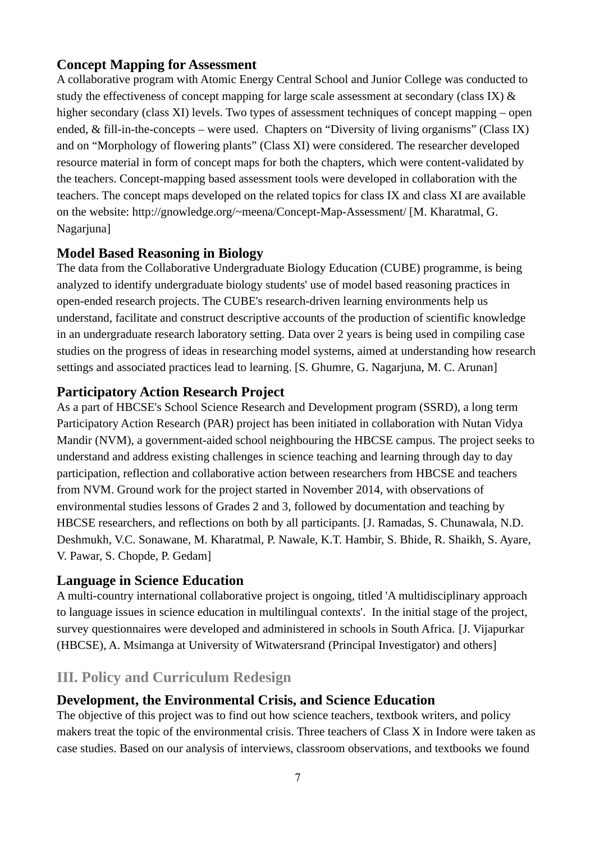# **Concept Mapping for Assessment**

A collaborative program with Atomic Energy Central School and Junior College was conducted to study the effectiveness of concept mapping for large scale assessment at secondary (class IX) & higher secondary (class XI) levels. Two types of assessment techniques of concept mapping – open ended, & fill-in-the-concepts – were used. Chapters on "Diversity of living organisms" (Class IX) and on "Morphology of flowering plants" (Class XI) were considered. The researcher developed resource material in form of concept maps for both the chapters, which were content-validated by the teachers. Concept-mapping based assessment tools were developed in collaboration with the teachers. The concept maps developed on the related topics for class IX and class XI are available on the website: http://gnowledge.org/~meena/Concept-Map-Assessment/ [M. Kharatmal, G. Nagarjuna]

# **Model Based Reasoning in Biology**

The data from the Collaborative Undergraduate Biology Education (CUBE) programme, is being analyzed to identify undergraduate biology students' use of model based reasoning practices in open-ended research projects. The CUBE's research-driven learning environments help us understand, facilitate and construct descriptive accounts of the production of scientific knowledge in an undergraduate research laboratory setting. Data over 2 years is being used in compiling case studies on the progress of ideas in researching model systems, aimed at understanding how research settings and associated practices lead to learning. [S. Ghumre, G. Nagariuna, M. C. Arunan]

# **Participatory Action Research Project**

As a part of HBCSE's School Science Research and Development program (SSRD), a long term Participatory Action Research (PAR) project has been initiated in collaboration with Nutan Vidya Mandir (NVM), a government-aided school neighbouring the HBCSE campus. The project seeks to understand and address existing challenges in science teaching and learning through day to day participation, reflection and collaborative action between researchers from HBCSE and teachers from NVM. Ground work for the project started in November 2014, with observations of environmental studies lessons of Grades 2 and 3, followed by documentation and teaching by HBCSE researchers, and reflections on both by all participants. [J. Ramadas, S. Chunawala, N.D. Deshmukh, V.C. Sonawane, M. Kharatmal, P. Nawale, K.T. Hambir, S. Bhide, R. Shaikh, S. Ayare, V. Pawar, S. Chopde, P. Gedam]

# **Language in Science Education**

A multi-country international collaborative project is ongoing, titled 'A multidisciplinary approach to language issues in science education in multilingual contexts'. In the initial stage of the project, survey questionnaires were developed and administered in schools in South Africa. [J. Vijapurkar (HBCSE), A. Msimanga at University of Witwatersrand (Principal Investigator) and others]

# **III. Policy and Curriculum Redesign**

# **Development, the Environmental Crisis, and Science Education**

The objective of this project was to find out how science teachers, textbook writers, and policy makers treat the topic of the environmental crisis. Three teachers of Class X in Indore were taken as case studies. Based on our analysis of interviews, classroom observations, and textbooks we found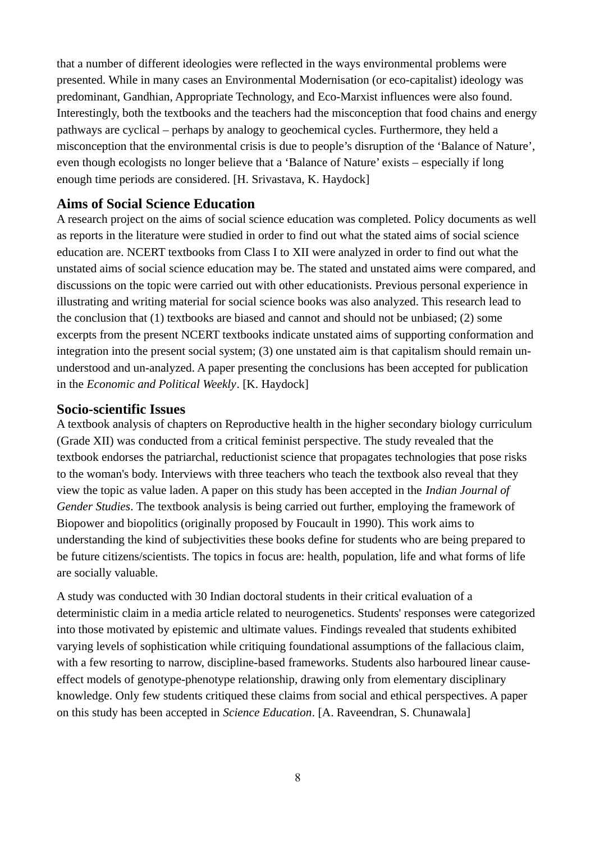that a number of different ideologies were reflected in the ways environmental problems were presented. While in many cases an Environmental Modernisation (or eco-capitalist) ideology was predominant, Gandhian, Appropriate Technology, and Eco-Marxist influences were also found. Interestingly, both the textbooks and the teachers had the misconception that food chains and energy pathways are cyclical – perhaps by analogy to geochemical cycles. Furthermore, they held a misconception that the environmental crisis is due to people's disruption of the 'Balance of Nature', even though ecologists no longer believe that a 'Balance of Nature' exists – especially if long enough time periods are considered. [H. Srivastava, K. Haydock]

### **Aims of Social Science Education**

A research project on the aims of social science education was completed. Policy documents as well as reports in the literature were studied in order to find out what the stated aims of social science education are. NCERT textbooks from Class I to XII were analyzed in order to find out what the unstated aims of social science education may be. The stated and unstated aims were compared, and discussions on the topic were carried out with other educationists. Previous personal experience in illustrating and writing material for social science books was also analyzed. This research lead to the conclusion that (1) textbooks are biased and cannot and should not be unbiased; (2) some excerpts from the present NCERT textbooks indicate unstated aims of supporting conformation and integration into the present social system; (3) one unstated aim is that capitalism should remain ununderstood and un-analyzed. A paper presenting the conclusions has been accepted for publication in the *Economic and Political Weekly*. [K. Haydock]

### **Socio-scientific Issues**

A textbook analysis of chapters on Reproductive health in the higher secondary biology curriculum (Grade XII) was conducted from a critical feminist perspective. The study revealed that the textbook endorses the patriarchal, reductionist science that propagates technologies that pose risks to the woman's body. Interviews with three teachers who teach the textbook also reveal that they view the topic as value laden. A paper on this study has been accepted in the *Indian Journal of Gender Studies*. The textbook analysis is being carried out further, employing the framework of Biopower and biopolitics (originally proposed by Foucault in 1990). This work aims to understanding the kind of subjectivities these books define for students who are being prepared to be future citizens/scientists. The topics in focus are: health, population, life and what forms of life are socially valuable.

A study was conducted with 30 Indian doctoral students in their critical evaluation of a deterministic claim in a media article related to neurogenetics. Students' responses were categorized into those motivated by epistemic and ultimate values. Findings revealed that students exhibited varying levels of sophistication while critiquing foundational assumptions of the fallacious claim, with a few resorting to narrow, discipline-based frameworks. Students also harboured linear causeeffect models of genotype-phenotype relationship, drawing only from elementary disciplinary knowledge. Only few students critiqued these claims from social and ethical perspectives. A paper on this study has been accepted in *Science Education*. [A. Raveendran, S. Chunawala]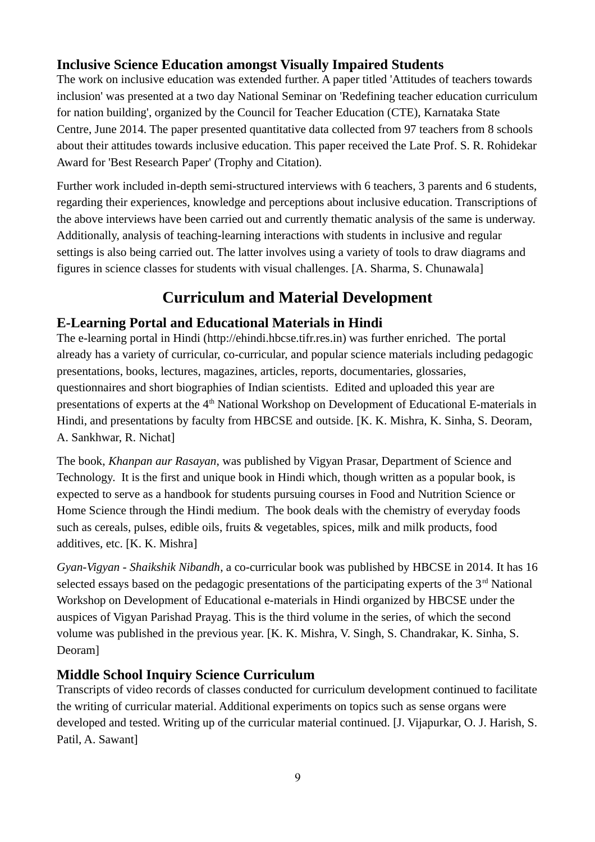# **Inclusive Science Education amongst Visually Impaired Students**

The work on inclusive education was extended further. A paper titled 'Attitudes of teachers towards inclusion' was presented at a two day National Seminar on 'Redefining teacher education curriculum for nation building', organized by the Council for Teacher Education (CTE), Karnataka State Centre, June 2014. The paper presented quantitative data collected from 97 teachers from 8 schools about their attitudes towards inclusive education. This paper received the Late Prof. S. R. Rohidekar Award for 'Best Research Paper' (Trophy and Citation).

Further work included in-depth semi-structured interviews with 6 teachers, 3 parents and 6 students, regarding their experiences, knowledge and perceptions about inclusive education. Transcriptions of the above interviews have been carried out and currently thematic analysis of the same is underway. Additionally, analysis of teaching-learning interactions with students in inclusive and regular settings is also being carried out. The latter involves using a variety of tools to draw diagrams and figures in science classes for students with visual challenges. [A. Sharma, S. Chunawala]

# **Curriculum and Material Development**

# **E-Learning Portal and Educational Materials in Hindi**

The e-learning portal in Hindi (http://ehindi.hbcse.tifr.res.in) was further enriched. The portal already has a variety of curricular, co-curricular, and popular science materials including pedagogic presentations, books, lectures, magazines, articles, reports, documentaries, glossaries, questionnaires and short biographies of Indian scientists. Edited and uploaded this year are presentations of experts at the 4<sup>th</sup> National Workshop on Development of Educational E-materials in Hindi, and presentations by faculty from HBCSE and outside. [K. K. Mishra, K. Sinha, S. Deoram, A. Sankhwar, R. Nichat]

The book, *Khanpan aur Rasayan*, was published by Vigyan Prasar, Department of Science and Technology. It is the first and unique book in Hindi which, though written as a popular book, is expected to serve as a handbook for students pursuing courses in Food and Nutrition Science or Home Science through the Hindi medium. The book deals with the chemistry of everyday foods such as cereals, pulses, edible oils, fruits & vegetables, spices, milk and milk products, food additives, etc. [K. K. Mishra]

*Gyan-Vigyan - Shaikshik Nibandh*, a co-curricular book was published by HBCSE in 2014. It has 16 selected essays based on the pedagogic presentations of the participating experts of the  $3<sup>rd</sup>$  National Workshop on Development of Educational e-materials in Hindi organized by HBCSE under the auspices of Vigyan Parishad Prayag. This is the third volume in the series, of which the second volume was published in the previous year. [K. K. Mishra, V. Singh, S. Chandrakar, K. Sinha, S. Deoram]

# **Middle School Inquiry Science Curriculum**

Transcripts of video records of classes conducted for curriculum development continued to facilitate the writing of curricular material. Additional experiments on topics such as sense organs were developed and tested. Writing up of the curricular material continued. [J. Vijapurkar, O. J. Harish, S. Patil, A. Sawant]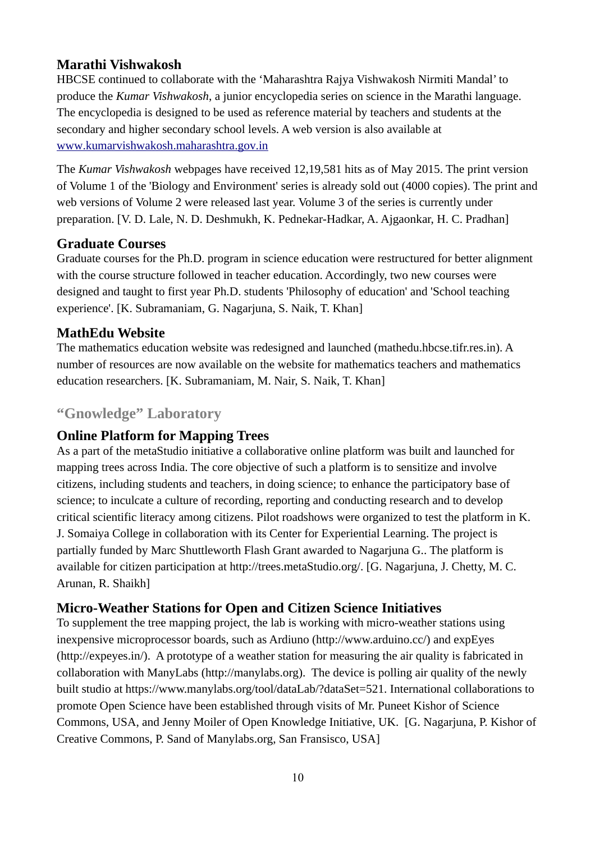# **Marathi Vishwakosh**

HBCSE continued to collaborate with the 'Maharashtra Rajya Vishwakosh Nirmiti Mandal' to produce the *Kumar Vishwakosh*, a junior encyclopedia series on science in the Marathi language. The encyclopedia is designed to be used as reference material by teachers and students at the secondary and higher secondary school levels. A web version is also available at www.kumarvishwakosh.maharashtra.gov.in

The *Kumar Vishwakosh* webpages have received 12,19,581 hits as of May 2015. The print version of Volume 1 of the 'Biology and Environment' series is already sold out (4000 copies). The print and web versions of Volume 2 were released last year. Volume 3 of the series is currently under preparation. [V. D. Lale, N. D. Deshmukh, K. Pednekar-Hadkar, A. Ajgaonkar, H. C. Pradhan]

# **Graduate Courses**

Graduate courses for the Ph.D. program in science education were restructured for better alignment with the course structure followed in teacher education. Accordingly, two new courses were designed and taught to first year Ph.D. students 'Philosophy of education' and 'School teaching experience'. [K. Subramaniam, G. Nagarjuna, S. Naik, T. Khan]

# **MathEdu Website**

The mathematics education website was redesigned and launched (mathedu.hbcse.tifr.res.in). A number of resources are now available on the website for mathematics teachers and mathematics education researchers. [K. Subramaniam, M. Nair, S. Naik, T. Khan]

# **"Gnowledge" Laboratory**

# **Online Platform for Mapping Trees**

As a part of the metaStudio initiative a collaborative online platform was built and launched for mapping trees across India. The core objective of such a platform is to sensitize and involve citizens, including students and teachers, in doing science; to enhance the participatory base of science; to inculcate a culture of recording, reporting and conducting research and to develop critical scientific literacy among citizens. Pilot roadshows were organized to test the platform in K. J. Somaiya College in collaboration with its Center for Experiential Learning. The project is partially funded by Marc Shuttleworth Flash Grant awarded to Nagarjuna G.. The platform is available for citizen participation at http://trees.metaStudio.org/. [G. Nagarjuna, J. Chetty, M. C. Arunan, R. Shaikh]

# **Micro-Weather Stations for Open and Citizen Science Initiatives**

To supplement the tree mapping project, the lab is working with micro-weather stations using inexpensive microprocessor boards, such as Ardiuno (http://www.arduino.cc/) and expEyes (http://expeyes.in/). A prototype of a weather station for measuring the air quality is fabricated in collaboration with ManyLabs (http://manylabs.org). The device is polling air quality of the newly built studio at https://www.manylabs.org/tool/dataLab/?dataSet=521. International collaborations to promote Open Science have been established through visits of Mr. Puneet Kishor of Science Commons, USA, and Jenny Moiler of Open Knowledge Initiative, UK. [G. Nagarjuna, P. Kishor of Creative Commons, P. Sand of Manylabs.org, San Fransisco, USA]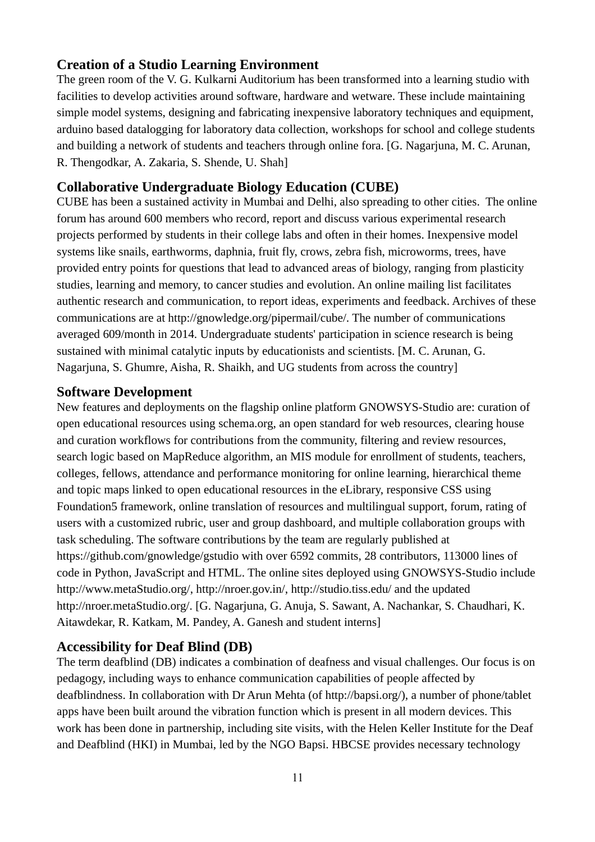### **Creation of a Studio Learning Environment**

The green room of the V. G. Kulkarni Auditorium has been transformed into a learning studio with facilities to develop activities around software, hardware and wetware. These include maintaining simple model systems, designing and fabricating inexpensive laboratory techniques and equipment, arduino based datalogging for laboratory data collection, workshops for school and college students and building a network of students and teachers through online fora. [G. Nagarjuna, M. C. Arunan, R. Thengodkar, A. Zakaria, S. Shende, U. Shah]

## **Collaborative Undergraduate Biology Education (CUBE)**

CUBE has been a sustained activity in Mumbai and Delhi, also spreading to other cities. The online forum has around 600 members who record, report and discuss various experimental research projects performed by students in their college labs and often in their homes. Inexpensive model systems like snails, earthworms, daphnia, fruit fly, crows, zebra fish, microworms, trees, have provided entry points for questions that lead to advanced areas of biology, ranging from plasticity studies, learning and memory, to cancer studies and evolution. An online mailing list facilitates authentic research and communication, to report ideas, experiments and feedback. Archives of these communications are at http://gnowledge.org/pipermail/cube/. The number of communications averaged 609/month in 2014. Undergraduate students' participation in science research is being sustained with minimal catalytic inputs by educationists and scientists. [M. C. Arunan, G. Nagarjuna, S. Ghumre, Aisha, R. Shaikh, and UG students from across the country]

### **Software Development**

New features and deployments on the flagship online platform GNOWSYS-Studio are: curation of open educational resources using schema.org, an open standard for web resources, clearing house and curation workflows for contributions from the community, filtering and review resources, search logic based on MapReduce algorithm, an MIS module for enrollment of students, teachers, colleges, fellows, attendance and performance monitoring for online learning, hierarchical theme and topic maps linked to open educational resources in the eLibrary, responsive CSS using Foundation5 framework, online translation of resources and multilingual support, forum, rating of users with a customized rubric, user and group dashboard, and multiple collaboration groups with task scheduling. The software contributions by the team are regularly published at https://github.com/gnowledge/gstudio with over 6592 commits, 28 contributors, 113000 lines of code in Python, JavaScript and HTML. The online sites deployed using GNOWSYS-Studio include http://www.metaStudio.org/, http://nroer.gov.in/, http://studio.tiss.edu/ and the updated http://nroer.metaStudio.org/. [G. Nagarjuna, G. Anuja, S. Sawant, A. Nachankar, S. Chaudhari, K. Aitawdekar, R. Katkam, M. Pandey, A. Ganesh and student interns]

### **Accessibility for Deaf Blind (DB)**

The term deafblind (DB) indicates a combination of deafness and visual challenges. Our focus is on pedagogy, including ways to enhance communication capabilities of people affected by deafblindness. In collaboration with Dr Arun Mehta (of http://bapsi.org/), a number of phone/tablet apps have been built around the vibration function which is present in all modern devices. This work has been done in partnership, including site visits, with the Helen Keller Institute for the Deaf and Deafblind (HKI) in Mumbai, led by the NGO Bapsi. HBCSE provides necessary technology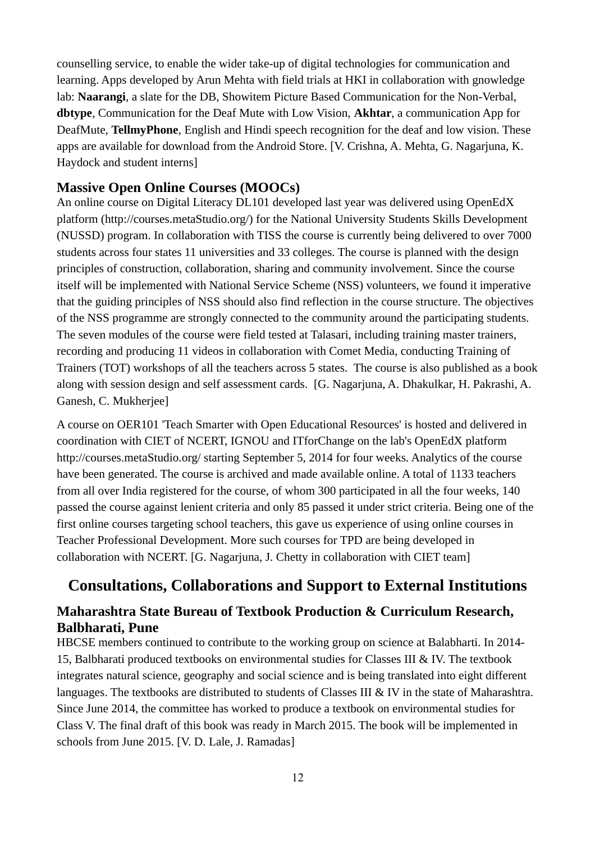counselling service, to enable the wider take-up of digital technologies for communication and learning. Apps developed by Arun Mehta with field trials at HKI in collaboration with gnowledge lab: **Naarangi**, a slate for the DB, Showitem Picture Based Communication for the Non-Verbal, **dbtype**, Communication for the Deaf Mute with Low Vision, **Akhtar**, a communication App for DeafMute, **TellmyPhone**, English and Hindi speech recognition for the deaf and low vision. These apps are available for download from the Android Store. [V. Crishna, A. Mehta, G. Nagarjuna, K. Haydock and student interns]

### **Massive Open Online Courses (MOOCs)**

An online course on Digital Literacy DL101 developed last year was delivered using OpenEdX platform (http://courses.metaStudio.org/) for the National University Students Skills Development (NUSSD) program. In collaboration with TISS the course is currently being delivered to over 7000 students across four states 11 universities and 33 colleges. The course is planned with the design principles of construction, collaboration, sharing and community involvement. Since the course itself will be implemented with National Service Scheme (NSS) volunteers, we found it imperative that the guiding principles of NSS should also find reflection in the course structure. The objectives of the NSS programme are strongly connected to the community around the participating students. The seven modules of the course were field tested at Talasari, including training master trainers, recording and producing 11 videos in collaboration with Comet Media, conducting Training of Trainers (TOT) workshops of all the teachers across 5 states. The course is also published as a book along with session design and self assessment cards. [G. Nagarjuna, A. Dhakulkar, H. Pakrashi, A. Ganesh, C. Mukherjee]

A course on OER101 'Teach Smarter with Open Educational Resources' is hosted and delivered in coordination with CIET of NCERT, IGNOU and ITforChange on the lab's OpenEdX platform http://courses.metaStudio.org/ starting September 5, 2014 for four weeks. Analytics of the course have been generated. The course is archived and made available online. A total of 1133 teachers from all over India registered for the course, of whom 300 participated in all the four weeks, 140 passed the course against lenient criteria and only 85 passed it under strict criteria. Being one of the first online courses targeting school teachers, this gave us experience of using online courses in Teacher Professional Development. More such courses for TPD are being developed in collaboration with NCERT. [G. Nagarjuna, J. Chetty in collaboration with CIET team]

# **Consultations, Collaborations and Support to External Institutions**

# **Maharashtra State Bureau of Textbook Production & Curriculum Research, Balbharati, Pune**

HBCSE members continued to contribute to the working group on science at Balabharti. In 2014- 15, Balbharati produced textbooks on environmental studies for Classes III & IV. The textbook integrates natural science, geography and social science and is being translated into eight different languages. The textbooks are distributed to students of Classes III & IV in the state of Maharashtra. Since June 2014, the committee has worked to produce a textbook on environmental studies for Class V. The final draft of this book was ready in March 2015. The book will be implemented in schools from June 2015. [V. D. Lale, J. Ramadas]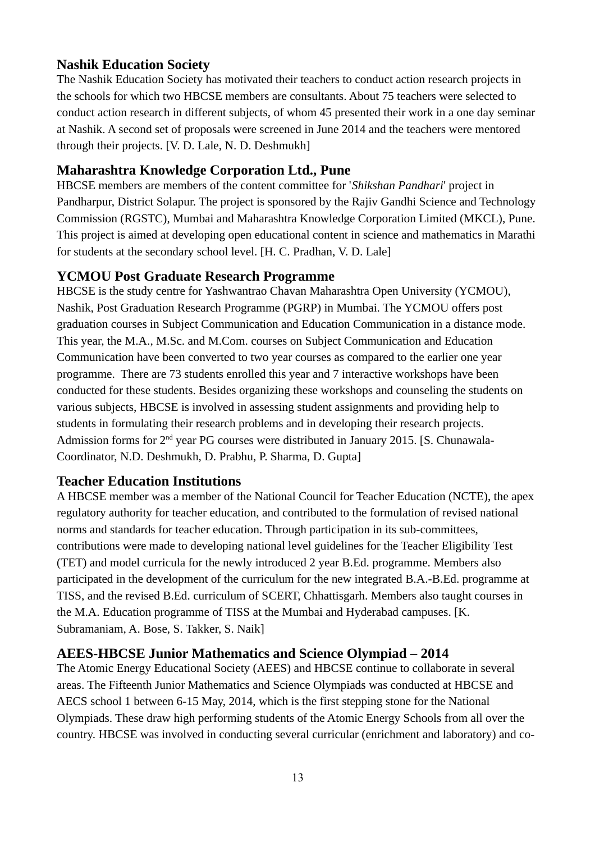## **Nashik Education Society**

The Nashik Education Society has motivated their teachers to conduct action research projects in the schools for which two HBCSE members are consultants. About 75 teachers were selected to conduct action research in different subjects, of whom 45 presented their work in a one day seminar at Nashik. A second set of proposals were screened in June 2014 and the teachers were mentored through their projects. [V. D. Lale, N. D. Deshmukh]

### **Maharashtra Knowledge Corporation Ltd., Pune**

HBCSE members are members of the content committee for '*Shikshan Pandhari*' project in Pandharpur, District Solapur. The project is sponsored by the Rajiv Gandhi Science and Technology Commission (RGSTC), Mumbai and Maharashtra Knowledge Corporation Limited (MKCL), Pune. This project is aimed at developing open educational content in science and mathematics in Marathi for students at the secondary school level. [H. C. Pradhan, V. D. Lale]

### **YCMOU Post Graduate Research Programme**

HBCSE is the study centre for Yashwantrao Chavan Maharashtra Open University (YCMOU), Nashik, Post Graduation Research Programme (PGRP) in Mumbai. The YCMOU offers post graduation courses in Subject Communication and Education Communication in a distance mode. This year, the M.A., M.Sc. and M.Com. courses on Subject Communication and Education Communication have been converted to two year courses as compared to the earlier one year programme. There are 73 students enrolled this year and 7 interactive workshops have been conducted for these students. Besides organizing these workshops and counseling the students on various subjects, HBCSE is involved in assessing student assignments and providing help to students in formulating their research problems and in developing their research projects. Admission forms for 2nd year PG courses were distributed in January 2015. [S. Chunawala-Coordinator, N.D. Deshmukh, D. Prabhu, P. Sharma, D. Gupta]

### **Teacher Education Institutions**

A HBCSE member was a member of the National Council for Teacher Education (NCTE), the apex regulatory authority for teacher education, and contributed to the formulation of revised national norms and standards for teacher education. Through participation in its sub-committees, contributions were made to developing national level guidelines for the Teacher Eligibility Test (TET) and model curricula for the newly introduced 2 year B.Ed. programme. Members also participated in the development of the curriculum for the new integrated B.A.-B.Ed. programme at TISS, and the revised B.Ed. curriculum of SCERT, Chhattisgarh. Members also taught courses in the M.A. Education programme of TISS at the Mumbai and Hyderabad campuses. [K. Subramaniam, A. Bose, S. Takker, S. Naik]

### **AEES-HBCSE Junior Mathematics and Science Olympiad – 2014**

The Atomic Energy Educational Society (AEES) and HBCSE continue to collaborate in several areas. The Fifteenth Junior Mathematics and Science Olympiads was conducted at HBCSE and AECS school 1 between 6-15 May, 2014, which is the first stepping stone for the National Olympiads. These draw high performing students of the Atomic Energy Schools from all over the country. HBCSE was involved in conducting several curricular (enrichment and laboratory) and co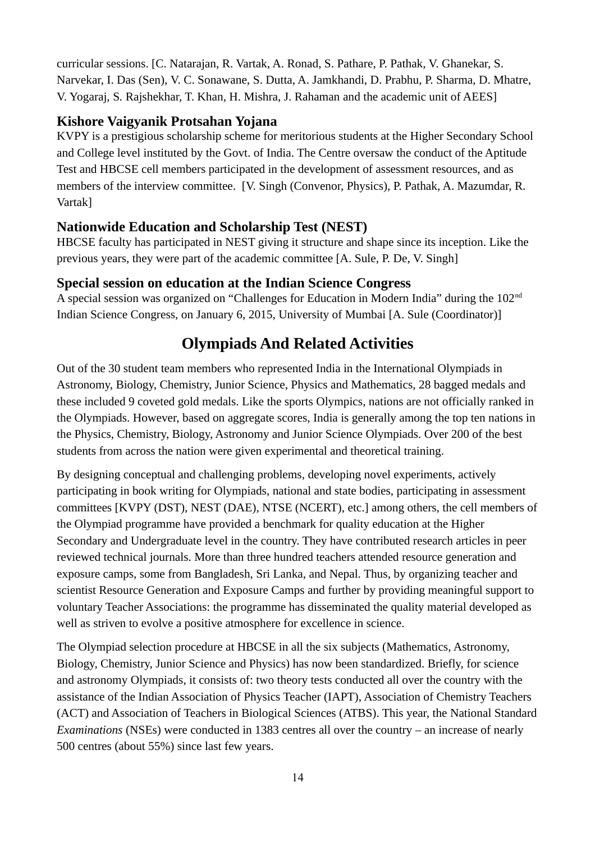curricular sessions. [C. Natarajan, R. Vartak, A. Ronad, S. Pathare, P. Pathak, V. Ghanekar, S. Narvekar, I. Das (Sen), V. C. Sonawane, S. Dutta, A. Jamkhandi, D. Prabhu, P. Sharma, D. Mhatre, V. Yogaraj, S*.* Rajshekhar, T. Khan, H. Mishra, J. Rahaman and the academic unit of AEES]

# **Kishore Vaigyanik Protsahan Yojana**

KVPY is a prestigious scholarship scheme for meritorious students at the Higher Secondary School and College level instituted by the Govt. of India. The Centre oversaw the conduct of the Aptitude Test and HBCSE cell members participated in the development of assessment resources, and as members of the interview committee. [V. Singh (Convenor, Physics), P. Pathak, A. Mazumdar, R. Vartak]

### **Nationwide Education and Scholarship Test (NEST)**

HBCSE faculty has participated in NEST giving it structure and shape since its inception. Like the previous years, they were part of the academic committee [A. Sule, P. De, V. Singh]

### **Special session on education at the Indian Science Congress**

A special session was organized on "Challenges for Education in Modern India" during the 102nd Indian Science Congress, on January 6, 2015, University of Mumbai [A. Sule (Coordinator)]

# **Olympiads And Related Activities**

Out of the 30 student team members who represented India in the International Olympiads in Astronomy, Biology, Chemistry, Junior Science, Physics and Mathematics, 28 bagged medals and these included 9 coveted gold medals. Like the sports Olympics, nations are not officially ranked in the Olympiads. However, based on aggregate scores, India is generally among the top ten nations in the Physics, Chemistry, Biology, Astronomy and Junior Science Olympiads. Over 200 of the best students from across the nation were given experimental and theoretical training.

By designing conceptual and challenging problems, developing novel experiments, actively participating in book writing for Olympiads, national and state bodies, participating in assessment committees [KVPY (DST), NEST (DAE), NTSE (NCERT), etc.] among others, the cell members of the Olympiad programme have provided a benchmark for quality education at the Higher Secondary and Undergraduate level in the country. They have contributed research articles in peer reviewed technical journals. More than three hundred teachers attended resource generation and exposure camps, some from Bangladesh, Sri Lanka, and Nepal. Thus, by organizing teacher and scientist Resource Generation and Exposure Camps and further by providing meaningful support to voluntary Teacher Associations: the programme has disseminated the quality material developed as well as striven to evolve a positive atmosphere for excellence in science.

The Olympiad selection procedure at HBCSE in all the six subjects (Mathematics, Astronomy, Biology, Chemistry, Junior Science and Physics) has now been standardized. Briefly, for science and astronomy Olympiads, it consists of: two theory tests conducted all over the country with the assistance of the Indian Association of Physics Teacher (IAPT), Association of Chemistry Teachers (ACT) and Association of Teachers in Biological Sciences (ATBS). This year, the National Standard *Examinations* (NSEs) were conducted in 1383 centres all over the country – an increase of nearly 500 centres (about 55%) since last few years.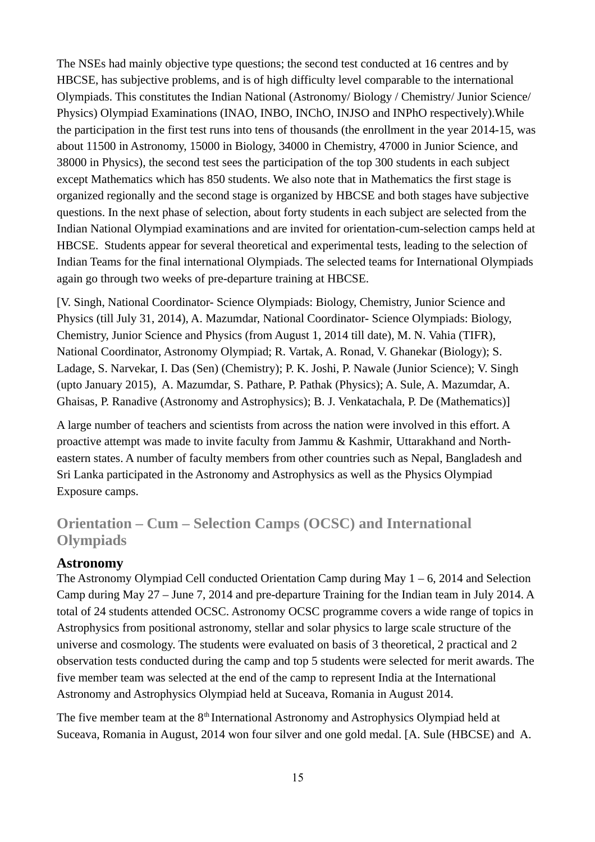The NSEs had mainly objective type questions; the second test conducted at 16 centres and by HBCSE, has subjective problems, and is of high difficulty level comparable to the international Olympiads. This constitutes the Indian National (Astronomy/ Biology / Chemistry/ Junior Science/ Physics) Olympiad Examinations (INAO, INBO, INChO, INJSO and INPhO respectively).While the participation in the first test runs into tens of thousands (the enrollment in the year 2014-15, was about 11500 in Astronomy, 15000 in Biology, 34000 in Chemistry, 47000 in Junior Science, and 38000 in Physics), the second test sees the participation of the top 300 students in each subject except Mathematics which has 850 students. We also note that in Mathematics the first stage is organized regionally and the second stage is organized by HBCSE and both stages have subjective questions. In the next phase of selection, about forty students in each subject are selected from the Indian National Olympiad examinations and are invited for orientation-cum-selection camps held at HBCSE. Students appear for several theoretical and experimental tests, leading to the selection of Indian Teams for the final international Olympiads. The selected teams for International Olympiads again go through two weeks of pre-departure training at HBCSE.

[V. Singh, National Coordinator- Science Olympiads: Biology, Chemistry, Junior Science and Physics (till July 31, 2014), A. Mazumdar, National Coordinator- Science Olympiads: Biology, Chemistry, Junior Science and Physics (from August 1, 2014 till date), M. N. Vahia (TIFR), National Coordinator, Astronomy Olympiad; R. Vartak, A. Ronad, V. Ghanekar (Biology); S. Ladage, S. Narvekar, I. Das (Sen) (Chemistry); P. K. Joshi, P. Nawale (Junior Science); V. Singh (upto January 2015), A. Mazumdar, S. Pathare, P. Pathak (Physics); A. Sule, A. Mazumdar, A. Ghaisas, P. Ranadive (Astronomy and Astrophysics); B. J. Venkatachala, P. De (Mathematics)]

A large number of teachers and scientists from across the nation were involved in this effort. A proactive attempt was made to invite faculty from Jammu & Kashmir, Uttarakhand and Northeastern states. A number of faculty members from other countries such as Nepal, Bangladesh and Sri Lanka participated in the Astronomy and Astrophysics as well as the Physics Olympiad Exposure camps.

# **Orientation – Cum – Selection Camps (OCSC) and International Olympiads**

### **Astronomy**

The Astronomy Olympiad Cell conducted Orientation Camp during May  $1 - 6$ , 2014 and Selection Camp during May 27 – June 7, 2014 and pre-departure Training for the Indian team in July 2014. A total of 24 students attended OCSC. Astronomy OCSC programme covers a wide range of topics in Astrophysics from positional astronomy, stellar and solar physics to large scale structure of the universe and cosmology. The students were evaluated on basis of 3 theoretical, 2 practical and 2 observation tests conducted during the camp and top 5 students were selected for merit awards. The five member team was selected at the end of the camp to represent India at the International Astronomy and Astrophysics Olympiad held at Suceava, Romania in August 2014.

The five member team at the  $8<sup>th</sup>$  International Astronomy and Astrophysics Olympiad held at Suceava, Romania in August, 2014 won four silver and one gold medal. [A. Sule (HBCSE) and A.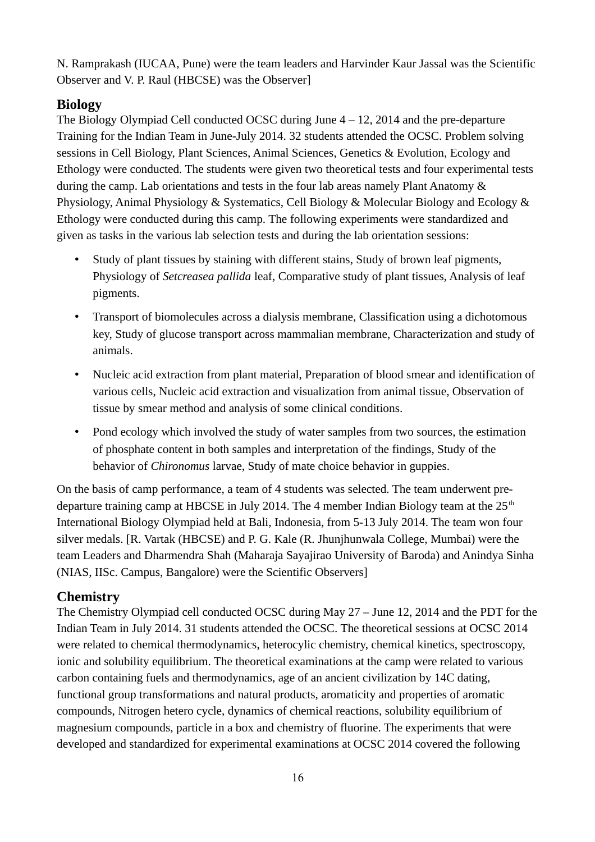N. Ramprakash (IUCAA, Pune) were the team leaders and Harvinder Kaur Jassal was the Scientific Observer and V. P. Raul (HBCSE) was the Observer]

# **Biology**

The Biology Olympiad Cell conducted OCSC during June 4 – 12, 2014 and the pre-departure Training for the Indian Team in June-July 2014. 32 students attended the OCSC. Problem solving sessions in Cell Biology, Plant Sciences, Animal Sciences, Genetics & Evolution, Ecology and Ethology were conducted. The students were given two theoretical tests and four experimental tests during the camp. Lab orientations and tests in the four lab areas namely Plant Anatomy & Physiology, Animal Physiology & Systematics, Cell Biology & Molecular Biology and Ecology & Ethology were conducted during this camp. The following experiments were standardized and given as tasks in the various lab selection tests and during the lab orientation sessions:

- Study of plant tissues by staining with different stains, Study of brown leaf pigments, Physiology of *Setcreasea pallida* leaf, Comparative study of plant tissues, Analysis of leaf pigments.
- Transport of biomolecules across a dialysis membrane, Classification using a dichotomous key, Study of glucose transport across mammalian membrane, Characterization and study of animals.
- Nucleic acid extraction from plant material, Preparation of blood smear and identification of various cells, Nucleic acid extraction and visualization from animal tissue, Observation of tissue by smear method and analysis of some clinical conditions.
- Pond ecology which involved the study of water samples from two sources, the estimation of phosphate content in both samples and interpretation of the findings, Study of the behavior of *Chironomus* larvae, Study of mate choice behavior in guppies.

On the basis of camp performance, a team of 4 students was selected. The team underwent predeparture training camp at HBCSE in July 2014. The 4 member Indian Biology team at the  $25<sup>th</sup>$ International Biology Olympiad held at Bali, Indonesia, from 5-13 July 2014. The team won four silver medals. [R. Vartak (HBCSE) and P. G. Kale (R. Jhunjhunwala College, Mumbai) were the team Leaders and Dharmendra Shah (Maharaja Sayajirao University of Baroda) and Anindya Sinha (NIAS, IISc. Campus, Bangalore) were the Scientific Observers]

# **Chemistry**

The Chemistry Olympiad cell conducted OCSC during May 27 – June 12, 2014 and the PDT for the Indian Team in July 2014. 31 students attended the OCSC. The theoretical sessions at OCSC 2014 were related to chemical thermodynamics, heterocylic chemistry, chemical kinetics, spectroscopy, ionic and solubility equilibrium. The theoretical examinations at the camp were related to various carbon containing fuels and thermodynamics, age of an ancient civilization by 14C dating, functional group transformations and natural products, aromaticity and properties of aromatic compounds, Nitrogen hetero cycle, dynamics of chemical reactions, solubility equilibrium of magnesium compounds, particle in a box and chemistry of fluorine. The experiments that were developed and standardized for experimental examinations at OCSC 2014 covered the following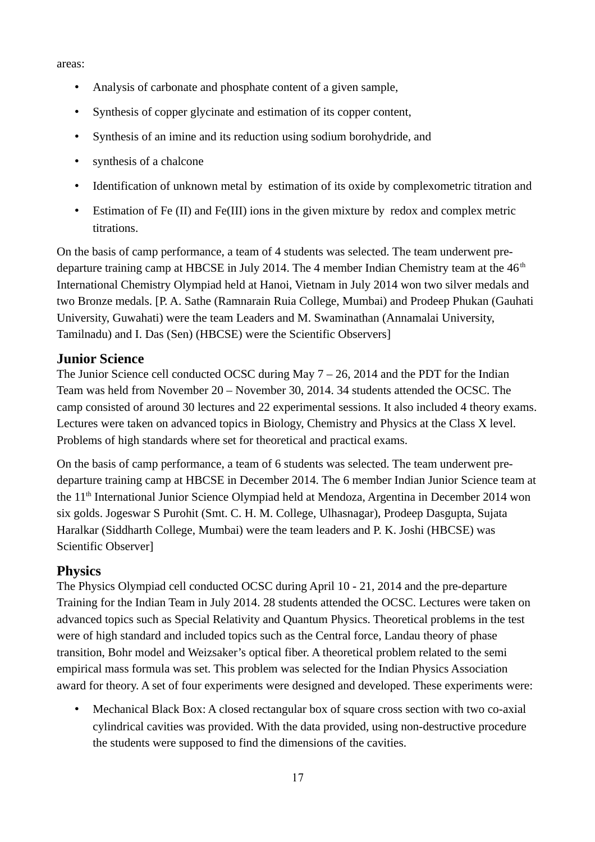areas:

- Analysis of carbonate and phosphate content of a given sample,
- Synthesis of copper glycinate and estimation of its copper content,
- Synthesis of an imine and its reduction using sodium borohydride, and
- synthesis of a chalcone
- Identification of unknown metal by estimation of its oxide by complexometric titration and
- Estimation of Fe (II) and Fe(III) ions in the given mixture by redox and complex metric titrations.

On the basis of camp performance, a team of 4 students was selected. The team underwent predeparture training camp at HBCSE in July 2014. The 4 member Indian Chemistry team at the  $46<sup>th</sup>$ International Chemistry Olympiad held at Hanoi, Vietnam in July 2014 won two silver medals and two Bronze medals. [P. A. Sathe (Ramnarain Ruia College, Mumbai) and Prodeep Phukan (Gauhati University, Guwahati) were the team Leaders and M. Swaminathan (Annamalai University, Tamilnadu) and I. Das (Sen) (HBCSE) were the Scientific Observers]

### **Junior Science**

The Junior Science cell conducted OCSC during May 7 – 26, 2014 and the PDT for the Indian Team was held from November 20 – November 30, 2014. 34 students attended the OCSC. The camp consisted of around 30 lectures and 22 experimental sessions. It also included 4 theory exams. Lectures were taken on advanced topics in Biology, Chemistry and Physics at the Class X level. Problems of high standards where set for theoretical and practical exams.

On the basis of camp performance, a team of 6 students was selected. The team underwent predeparture training camp at HBCSE in December 2014. The 6 member Indian Junior Science team at the 11<sup>th</sup> International Junior Science Olympiad held at Mendoza, Argentina in December 2014 won six golds. Jogeswar S Purohit (Smt. C. H. M. College, Ulhasnagar), Prodeep Dasgupta, Sujata Haralkar (Siddharth College, Mumbai) were the team leaders and P. K. Joshi (HBCSE) was Scientific Observer]

### **Physics**

The Physics Olympiad cell conducted OCSC during April 10 - 21, 2014 and the pre-departure Training for the Indian Team in July 2014. 28 students attended the OCSC. Lectures were taken on advanced topics such as Special Relativity and Quantum Physics. Theoretical problems in the test were of high standard and included topics such as the Central force, Landau theory of phase transition, Bohr model and Weizsaker's optical fiber. A theoretical problem related to the semi empirical mass formula was set. This problem was selected for the Indian Physics Association award for theory. A set of four experiments were designed and developed. These experiments were:

• Mechanical Black Box: A closed rectangular box of square cross section with two co-axial cylindrical cavities was provided. With the data provided, using non-destructive procedure the students were supposed to find the dimensions of the cavities.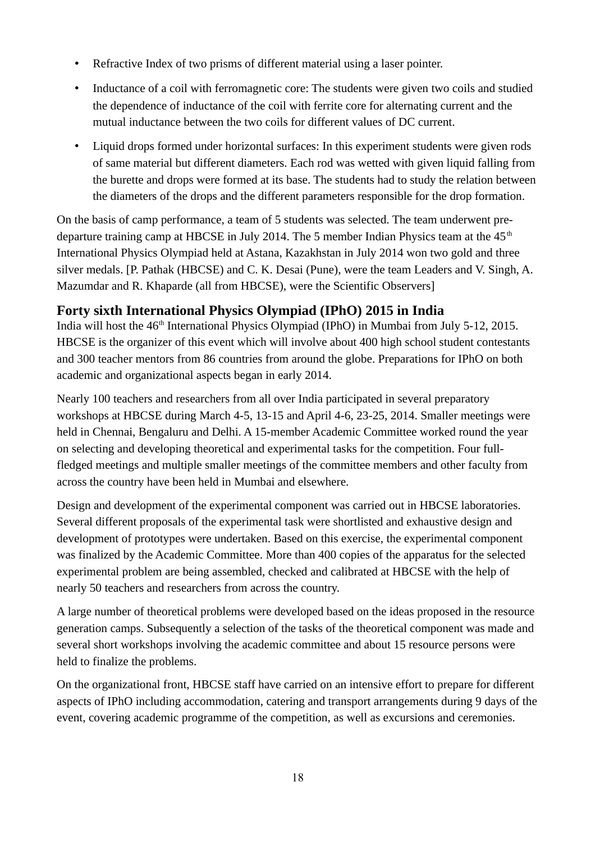- Refractive Index of two prisms of different material using a laser pointer.
- Inductance of a coil with ferromagnetic core: The students were given two coils and studied the dependence of inductance of the coil with ferrite core for alternating current and the mutual inductance between the two coils for different values of DC current.
- Liquid drops formed under horizontal surfaces: In this experiment students were given rods of same material but different diameters. Each rod was wetted with given liquid falling from the burette and drops were formed at its base. The students had to study the relation between the diameters of the drops and the different parameters responsible for the drop formation.

On the basis of camp performance, a team of 5 students was selected. The team underwent predeparture training camp at HBCSE in July 2014. The 5 member Indian Physics team at the  $45<sup>th</sup>$ International Physics Olympiad held at Astana, Kazakhstan in July 2014 won two gold and three silver medals. [P. Pathak (HBCSE) and C. K. Desai (Pune), were the team Leaders and V. Singh, A. Mazumdar and R. Khaparde (all from HBCSE), were the Scientific Observers]

# **Forty sixth International Physics Olympiad (IPhO) 2015 in India**

India will host the 46<sup>th</sup> International Physics Olympiad (IPhO) in Mumbai from July 5-12, 2015. HBCSE is the organizer of this event which will involve about 400 high school student contestants and 300 teacher mentors from 86 countries from around the globe. Preparations for IPhO on both academic and organizational aspects began in early 2014.

Nearly 100 teachers and researchers from all over India participated in several preparatory workshops at HBCSE during March 4-5, 13-15 and April 4-6, 23-25, 2014. Smaller meetings were held in Chennai, Bengaluru and Delhi. A 15-member Academic Committee worked round the year on selecting and developing theoretical and experimental tasks for the competition. Four fullfledged meetings and multiple smaller meetings of the committee members and other faculty from across the country have been held in Mumbai and elsewhere.

Design and development of the experimental component was carried out in HBCSE laboratories. Several different proposals of the experimental task were shortlisted and exhaustive design and development of prototypes were undertaken. Based on this exercise, the experimental component was finalized by the Academic Committee. More than 400 copies of the apparatus for the selected experimental problem are being assembled, checked and calibrated at HBCSE with the help of nearly 50 teachers and researchers from across the country.

A large number of theoretical problems were developed based on the ideas proposed in the resource generation camps. Subsequently a selection of the tasks of the theoretical component was made and several short workshops involving the academic committee and about 15 resource persons were held to finalize the problems.

On the organizational front, HBCSE staff have carried on an intensive effort to prepare for different aspects of IPhO including accommodation, catering and transport arrangements during 9 days of the event, covering academic programme of the competition, as well as excursions and ceremonies.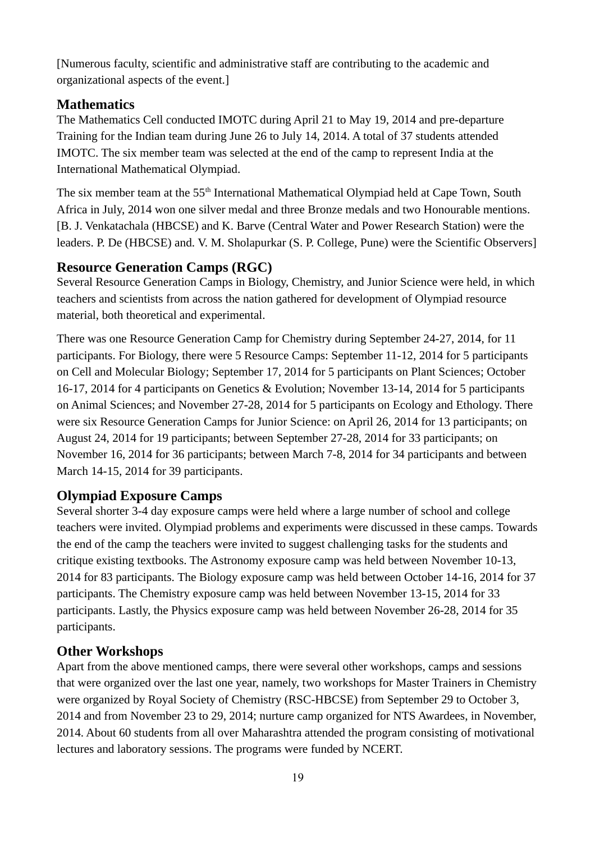[Numerous faculty, scientific and administrative staff are contributing to the academic and organizational aspects of the event.]

# **Mathematics**

The Mathematics Cell conducted IMOTC during April 21 to May 19, 2014 and pre-departure Training for the Indian team during June 26 to July 14, 2014. A total of 37 students attended IMOTC. The six member team was selected at the end of the camp to represent India at the International Mathematical Olympiad.

The six member team at the 55<sup>th</sup> International Mathematical Olympiad held at Cape Town, South Africa in July, 2014 won one silver medal and three Bronze medals and two Honourable mentions. [B. J. Venkatachala (HBCSE) and K. Barve (Central Water and Power Research Station) were the leaders. P. De (HBCSE) and. V. M. Sholapurkar (S. P. College, Pune) were the Scientific Observers]

### **Resource Generation Camps (RGC)**

Several Resource Generation Camps in Biology, Chemistry, and Junior Science were held, in which teachers and scientists from across the nation gathered for development of Olympiad resource material, both theoretical and experimental.

There was one Resource Generation Camp for Chemistry during September 24-27, 2014, for 11 participants. For Biology, there were 5 Resource Camps: September 11-12, 2014 for 5 participants on Cell and Molecular Biology; September 17, 2014 for 5 participants on Plant Sciences; October 16-17, 2014 for 4 participants on Genetics & Evolution; November 13-14, 2014 for 5 participants on Animal Sciences; and November 27-28, 2014 for 5 participants on Ecology and Ethology. There were six Resource Generation Camps for Junior Science: on April 26, 2014 for 13 participants; on August 24, 2014 for 19 participants; between September 27-28, 2014 for 33 participants; on November 16, 2014 for 36 participants; between March 7-8, 2014 for 34 participants and between March 14-15, 2014 for 39 participants.

# **Olympiad Exposure Camps**

Several shorter 3-4 day exposure camps were held where a large number of school and college teachers were invited. Olympiad problems and experiments were discussed in these camps. Towards the end of the camp the teachers were invited to suggest challenging tasks for the students and critique existing textbooks. The Astronomy exposure camp was held between November 10-13, 2014 for 83 participants. The Biology exposure camp was held between October 14-16, 2014 for 37 participants. The Chemistry exposure camp was held between November 13-15, 2014 for 33 participants. Lastly, the Physics exposure camp was held between November 26-28, 2014 for 35 participants.

# **Other Workshops**

Apart from the above mentioned camps, there were several other workshops, camps and sessions that were organized over the last one year, namely, two workshops for Master Trainers in Chemistry were organized by Royal Society of Chemistry (RSC-HBCSE) from September 29 to October 3, 2014 and from November 23 to 29, 2014; nurture camp organized for NTS Awardees, in November, 2014. About 60 students from all over Maharashtra attended the program consisting of motivational lectures and laboratory sessions. The programs were funded by NCERT.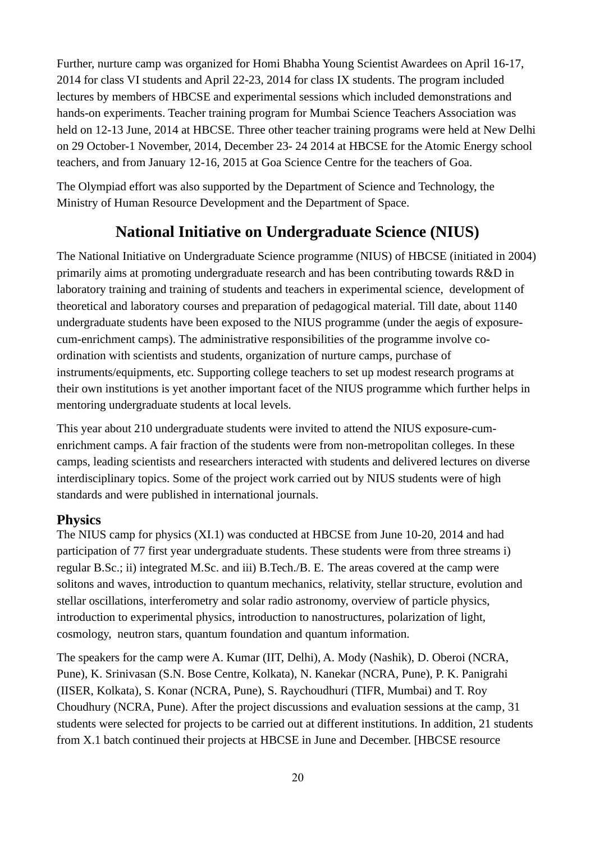Further, nurture camp was organized for Homi Bhabha Young Scientist Awardees on April 16-17, 2014 for class VI students and April 22-23, 2014 for class IX students. The program included lectures by members of HBCSE and experimental sessions which included demonstrations and hands-on experiments. Teacher training program for Mumbai Science Teachers Association was held on 12-13 June, 2014 at HBCSE. Three other teacher training programs were held at New Delhi on 29 October-1 November, 2014, December 23- 24 2014 at HBCSE for the Atomic Energy school teachers, and from January 12-16, 2015 at Goa Science Centre for the teachers of Goa.

The Olympiad effort was also supported by the Department of Science and Technology, the Ministry of Human Resource Development and the Department of Space.

# **National Initiative on Undergraduate Science (NIUS)**

The National Initiative on Undergraduate Science programme (NIUS) of HBCSE (initiated in 2004) primarily aims at promoting undergraduate research and has been contributing towards R&D in laboratory training and training of students and teachers in experimental science, development of theoretical and laboratory courses and preparation of pedagogical material. Till date, about 1140 undergraduate students have been exposed to the NIUS programme (under the aegis of exposurecum-enrichment camps). The administrative responsibilities of the programme involve coordination with scientists and students, organization of nurture camps, purchase of instruments/equipments, etc. Supporting college teachers to set up modest research programs at their own institutions is yet another important facet of the NIUS programme which further helps in mentoring undergraduate students at local levels.

This year about 210 undergraduate students were invited to attend the NIUS exposure-cumenrichment camps. A fair fraction of the students were from non-metropolitan colleges. In these camps, leading scientists and researchers interacted with students and delivered lectures on diverse interdisciplinary topics. Some of the project work carried out by NIUS students were of high standards and were published in international journals.

# **Physics**

The NIUS camp for physics (XI.1) was conducted at HBCSE from June 10-20, 2014 and had participation of 77 first year undergraduate students. These students were from three streams i) regular B.Sc.; ii) integrated M.Sc. and iii) B.Tech./B. E. The areas covered at the camp were solitons and waves, introduction to quantum mechanics, relativity, stellar structure, evolution and stellar oscillations, interferometry and solar radio astronomy, overview of particle physics, introduction to experimental physics, introduction to nanostructures, polarization of light, cosmology, neutron stars, quantum foundation and quantum information.

The speakers for the camp were A. Kumar (IIT, Delhi), A. Mody (Nashik), D. Oberoi (NCRA, Pune), K. Srinivasan (S.N. Bose Centre, Kolkata), N. Kanekar (NCRA, Pune), P. K. Panigrahi (IISER, Kolkata), S. Konar (NCRA, Pune), S. Raychoudhuri (TIFR, Mumbai) and T. Roy Choudhury (NCRA, Pune). After the project discussions and evaluation sessions at the camp, 31 students were selected for projects to be carried out at different institutions. In addition, 21 students from X.1 batch continued their projects at HBCSE in June and December. [HBCSE resource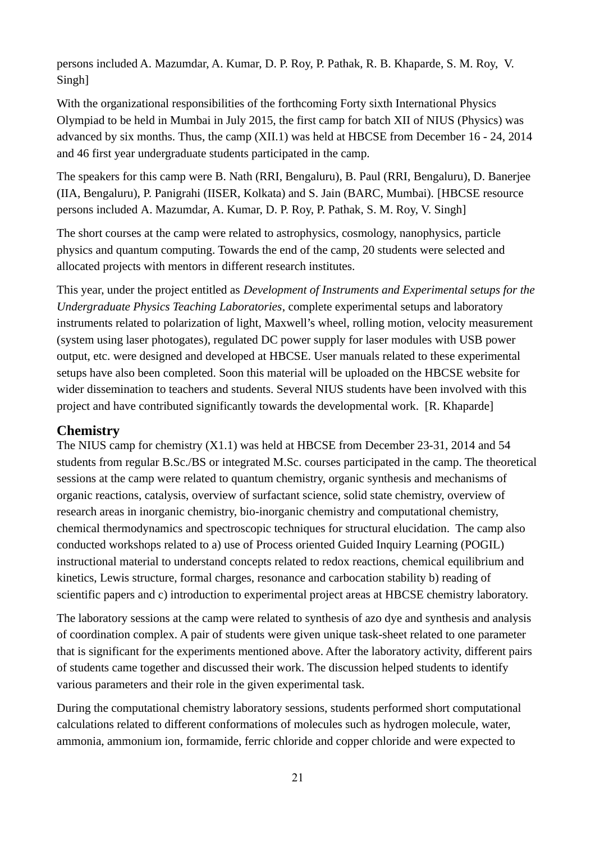persons included A. Mazumdar, A. Kumar, D. P. Roy, P. Pathak, R. B. Khaparde, S. M. Roy, V. Singh]

With the organizational responsibilities of the forthcoming Forty sixth International Physics Olympiad to be held in Mumbai in July 2015, the first camp for batch XII of NIUS (Physics) was advanced by six months. Thus, the camp (XII.1) was held at HBCSE from December 16 - 24, 2014 and 46 first year undergraduate students participated in the camp.

The speakers for this camp were B. Nath (RRI, Bengaluru), B. Paul (RRI, Bengaluru), D. Banerjee (IIA, Bengaluru), P. Panigrahi (IISER, Kolkata) and S. Jain (BARC, Mumbai). [HBCSE resource persons included A. Mazumdar, A. Kumar, D. P. Roy, P. Pathak, S. M. Roy, V. Singh]

The short courses at the camp were related to astrophysics, cosmology, nanophysics, particle physics and quantum computing. Towards the end of the camp, 20 students were selected and allocated projects with mentors in different research institutes.

This year, under the project entitled as *Development of Instruments and Experimental setups for the Undergraduate Physics Teaching Laboratories*, complete experimental setups and laboratory instruments related to polarization of light, Maxwell's wheel, rolling motion, velocity measurement (system using laser photogates), regulated DC power supply for laser modules with USB power output, etc. were designed and developed at HBCSE. User manuals related to these experimental setups have also been completed. Soon this material will be uploaded on the HBCSE website for wider dissemination to teachers and students. Several NIUS students have been involved with this project and have contributed significantly towards the developmental work. [R. Khaparde]

# **Chemistry**

The NIUS camp for chemistry (X1.1) was held at HBCSE from December 23-31, 2014 and 54 students from regular B.Sc./BS or integrated M.Sc. courses participated in the camp. The theoretical sessions at the camp were related to quantum chemistry, organic synthesis and mechanisms of organic reactions, catalysis, overview of surfactant science, solid state chemistry, overview of research areas in inorganic chemistry, bio-inorganic chemistry and computational chemistry, chemical thermodynamics and spectroscopic techniques for structural elucidation. The camp also conducted workshops related to a) use of Process oriented Guided Inquiry Learning (POGIL) instructional material to understand concepts related to redox reactions, chemical equilibrium and kinetics, Lewis structure, formal charges, resonance and carbocation stability b) reading of scientific papers and c) introduction to experimental project areas at HBCSE chemistry laboratory.

The laboratory sessions at the camp were related to synthesis of azo dye and synthesis and analysis of coordination complex. A pair of students were given unique task-sheet related to one parameter that is significant for the experiments mentioned above. After the laboratory activity, different pairs of students came together and discussed their work. The discussion helped students to identify various parameters and their role in the given experimental task.

During the computational chemistry laboratory sessions, students performed short computational calculations related to different conformations of molecules such as hydrogen molecule, water, ammonia, ammonium ion, formamide, ferric chloride and copper chloride and were expected to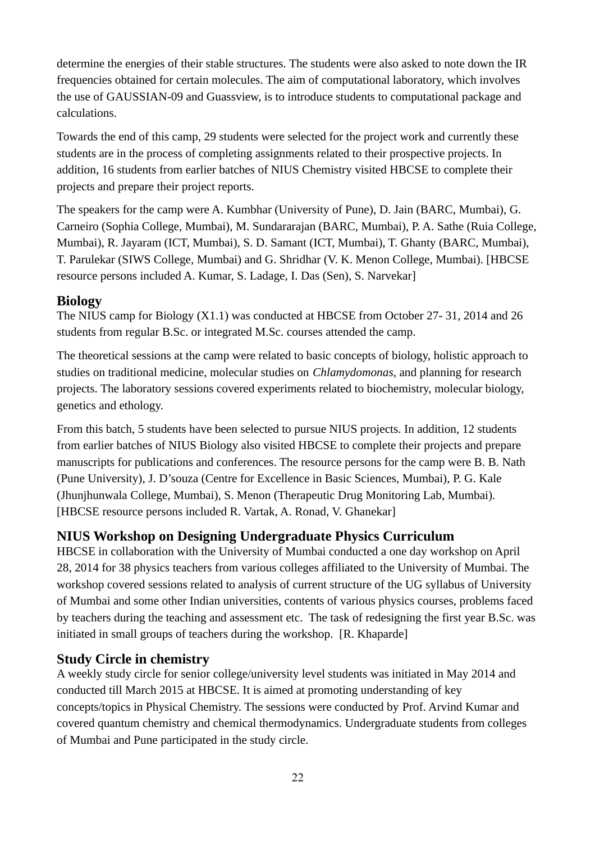determine the energies of their stable structures. The students were also asked to note down the IR frequencies obtained for certain molecules. The aim of computational laboratory, which involves the use of GAUSSIAN-09 and Guassview, is to introduce students to computational package and calculations.

Towards the end of this camp, 29 students were selected for the project work and currently these students are in the process of completing assignments related to their prospective projects. In addition, 16 students from earlier batches of NIUS Chemistry visited HBCSE to complete their projects and prepare their project reports.

The speakers for the camp were A. Kumbhar (University of Pune), D. Jain (BARC, Mumbai), G. Carneiro (Sophia College, Mumbai), M. Sundararajan (BARC, Mumbai), P. A. Sathe (Ruia College, Mumbai), R. Jayaram (ICT, Mumbai), S. D. Samant (ICT, Mumbai), T. Ghanty (BARC, Mumbai), T. Parulekar (SIWS College, Mumbai) and G. Shridhar (V. K. Menon College, Mumbai). [HBCSE resource persons included A. Kumar, S. Ladage, I. Das (Sen), S. Narvekar]

### **Biology**

The NIUS camp for Biology (X1.1) was conducted at HBCSE from October 27- 31, 2014 and 26 students from regular B.Sc. or integrated M.Sc. courses attended the camp.

The theoretical sessions at the camp were related to basic concepts of biology, holistic approach to studies on traditional medicine, molecular studies on *Chlamydomonas,* and planning for research projects. The laboratory sessions covered experiments related to biochemistry, molecular biology, genetics and ethology.

From this batch, 5 students have been selected to pursue NIUS projects. In addition, 12 students from earlier batches of NIUS Biology also visited HBCSE to complete their projects and prepare manuscripts for publications and conferences. The resource persons for the camp were B. B. Nath (Pune University), J. D'souza (Centre for Excellence in Basic Sciences, Mumbai), P. G. Kale (Jhunjhunwala College, Mumbai), S. Menon (Therapeutic Drug Monitoring Lab, Mumbai). [HBCSE resource persons included R. Vartak, A. Ronad, V. Ghanekar]

# **NIUS Workshop on Designing Undergraduate Physics Curriculum**

HBCSE in collaboration with the University of Mumbai conducted a one day workshop on April 28, 2014 for 38 physics teachers from various colleges affiliated to the University of Mumbai. The workshop covered sessions related to analysis of current structure of the UG syllabus of University of Mumbai and some other Indian universities, contents of various physics courses, problems faced by teachers during the teaching and assessment etc. The task of redesigning the first year B.Sc. was initiated in small groups of teachers during the workshop. [R. Khaparde]

# **Study Circle in chemistry**

A weekly study circle for senior college/university level students was initiated in May 2014 and conducted till March 2015 at HBCSE. It is aimed at promoting understanding of key concepts/topics in Physical Chemistry. The sessions were conducted by Prof. Arvind Kumar and covered quantum chemistry and chemical thermodynamics. Undergraduate students from colleges of Mumbai and Pune participated in the study circle.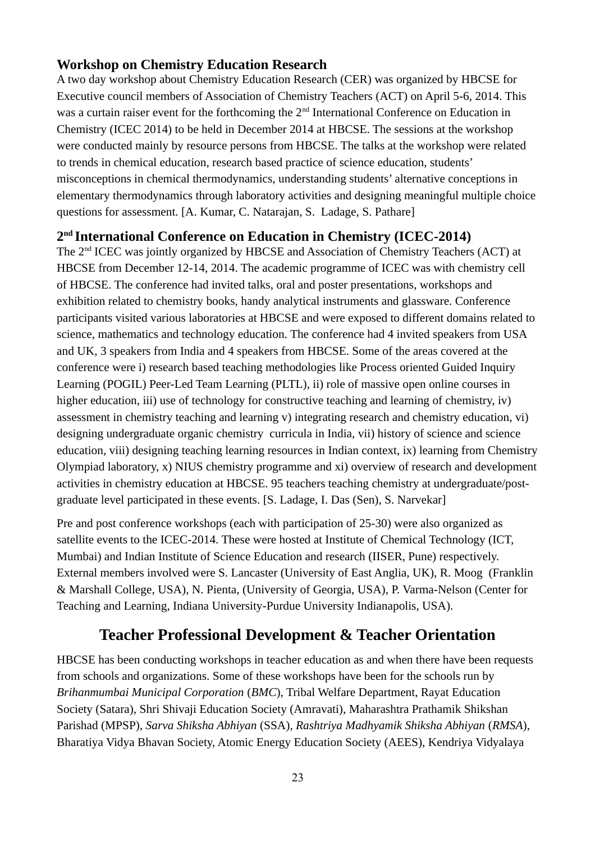## **Workshop on Chemistry Education Research**

A two day workshop about Chemistry Education Research (CER) was organized by HBCSE for Executive council members of Association of Chemistry Teachers (ACT) on April 5-6, 2014. This was a curtain raiser event for the forthcoming the 2<sup>nd</sup> International Conference on Education in Chemistry (ICEC 2014) to be held in December 2014 at HBCSE. The sessions at the workshop were conducted mainly by resource persons from HBCSE. The talks at the workshop were related to trends in chemical education, research based practice of science education, students' misconceptions in chemical thermodynamics, understanding students' alternative conceptions in elementary thermodynamics through laboratory activities and designing meaningful multiple choice questions for assessment. [A. Kumar, C. Natarajan, S. Ladage, S. Pathare]

### **2 nd International Conference on Education in Chemistry (ICEC-2014)**

The 2nd ICEC was jointly organized by HBCSE and Association of Chemistry Teachers (ACT) at HBCSE from December 12-14, 2014. The academic programme of ICEC was with chemistry cell of HBCSE. The conference had invited talks, oral and poster presentations, workshops and exhibition related to chemistry books, handy analytical instruments and glassware. Conference participants visited various laboratories at HBCSE and were exposed to different domains related to science, mathematics and technology education. The conference had 4 invited speakers from USA and UK, 3 speakers from India and 4 speakers from HBCSE. Some of the areas covered at the conference were i) research based teaching methodologies like Process oriented Guided Inquiry Learning (POGIL) Peer-Led Team Learning (PLTL), ii) role of massive open online courses in higher education, iii) use of technology for constructive teaching and learning of chemistry, iy) assessment in chemistry teaching and learning v) integrating research and chemistry education, vi) designing undergraduate organic chemistry curricula in India, vii) history of science and science education, viii) designing teaching learning resources in Indian context, ix) learning from Chemistry Olympiad laboratory, x) NIUS chemistry programme and xi) overview of research and development activities in chemistry education at HBCSE. 95 teachers teaching chemistry at undergraduate/postgraduate level participated in these events. [S. Ladage, I. Das (Sen), S. Narvekar]

Pre and post conference workshops (each with participation of 25-30) were also organized as satellite events to the ICEC-2014. These were hosted at Institute of Chemical Technology (ICT, Mumbai) and Indian Institute of Science Education and research (IISER, Pune) respectively. External members involved were S. Lancaster (University of East Anglia, UK), R. Moog (Franklin & Marshall College, USA), N. Pienta, (University of Georgia, USA), P. Varma-Nelson (Center for Teaching and Learning, Indiana University-Purdue University Indianapolis, USA).

# **Teacher Professional Development & Teacher Orientation**

HBCSE has been conducting workshops in teacher education as and when there have been requests from schools and organizations. Some of these workshops have been for the schools run by *Brihanmumbai Municipal Corporation* (*BMC*), Tribal Welfare Department, Rayat Education Society (Satara), Shri Shivaji Education Society (Amravati), Maharashtra Prathamik Shikshan Parishad (MPSP), *Sarva Shiksha Abhiyan* (SSA), *Rashtriya Madhyamik Shiksha Abhiyan* (*RMSA*), Bharatiya Vidya Bhavan Society, Atomic Energy Education Society (AEES), Kendriya Vidyalaya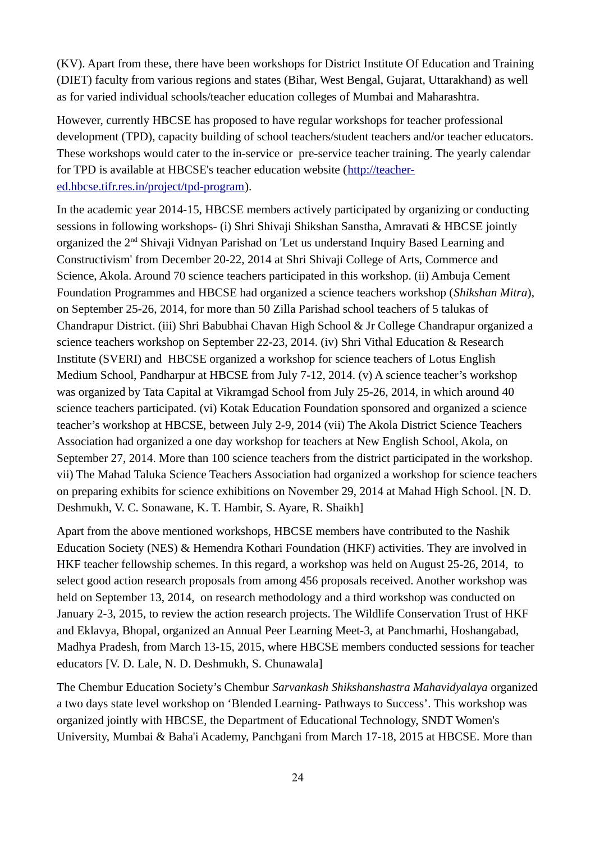(KV). Apart from these, there have been workshops for District Institute Of Education and Training (DIET) faculty from various regions and states (Bihar, West Bengal, Gujarat, Uttarakhand) as well as for varied individual schools/teacher education colleges of Mumbai and Maharashtra.

However, currently HBCSE has proposed to have regular workshops for teacher professional development (TPD), capacity building of school teachers/student teachers and/or teacher educators. These workshops would cater to the in-service or pre-service teacher training. The yearly calendar for TPD is available at HBCSE's teacher education website [\(http://teacher](http://teacher-ed.hbcse.tifr.res.in/project/tpd-program)[ed.hbcse.tifr.res.in/project/tpd-program\)](http://teacher-ed.hbcse.tifr.res.in/project/tpd-program).

In the academic year 2014-15, HBCSE members actively participated by organizing or conducting sessions in following workshops- (i) Shri Shivaji Shikshan Sanstha, Amravati & HBCSE jointly organized the 2nd Shivaji Vidnyan Parishad on 'Let us understand Inquiry Based Learning and Constructivism' from December 20-22, 2014 at Shri Shivaji College of Arts, Commerce and Science, Akola. Around 70 science teachers participated in this workshop. (ii) Ambuja Cement Foundation Programmes and HBCSE had organized a science teachers workshop (*Shikshan Mitra*), on September 25-26, 2014, for more than 50 Zilla Parishad school teachers of 5 talukas of Chandrapur District. (iii) Shri Babubhai Chavan High School & Jr College Chandrapur organized a science teachers workshop on September 22-23, 2014. (iv) Shri Vithal Education & Research Institute (SVERI) and HBCSE organized a workshop for science teachers of Lotus English Medium School, Pandharpur at HBCSE from July 7-12, 2014. (v) A science teacher's workshop was organized by Tata Capital at Vikramgad School from July 25-26, 2014, in which around 40 science teachers participated. (vi) Kotak Education Foundation sponsored and organized a science teacher's workshop at HBCSE, between July 2-9, 2014 (vii) The Akola District Science Teachers Association had organized a one day workshop for teachers at New English School, Akola, on September 27, 2014. More than 100 science teachers from the district participated in the workshop. vii) The Mahad Taluka Science Teachers Association had organized a workshop for science teachers on preparing exhibits for science exhibitions on November 29, 2014 at Mahad High School. [N. D. Deshmukh, V. C. Sonawane, K. T. Hambir, S. Ayare, R. Shaikh]

Apart from the above mentioned workshops, HBCSE members have contributed to the Nashik Education Society (NES) & Hemendra Kothari Foundation (HKF) activities. They are involved in HKF teacher fellowship schemes. In this regard, a workshop was held on August 25-26, 2014, to select good action research proposals from among 456 proposals received. Another workshop was held on September 13, 2014, on research methodology and a third workshop was conducted on January 2-3, 2015, to review the action research projects. The Wildlife Conservation Trust of HKF and Eklavya, Bhopal, organized an Annual Peer Learning Meet-3, at Panchmarhi, Hoshangabad, Madhya Pradesh, from March 13-15, 2015, where HBCSE members conducted sessions for teacher educators [V. D. Lale, N. D. Deshmukh, S. Chunawala]

The Chembur Education Society's Chembur *Sarvankash Shikshanshastra Mahavidyalaya* organized a two days state level workshop on 'Blended Learning- Pathways to Success'. This workshop was organized jointly with HBCSE, the Department of Educational Technology, SNDT Women's University, Mumbai & Baha'i Academy, Panchgani from March 17-18, 2015 at HBCSE. More than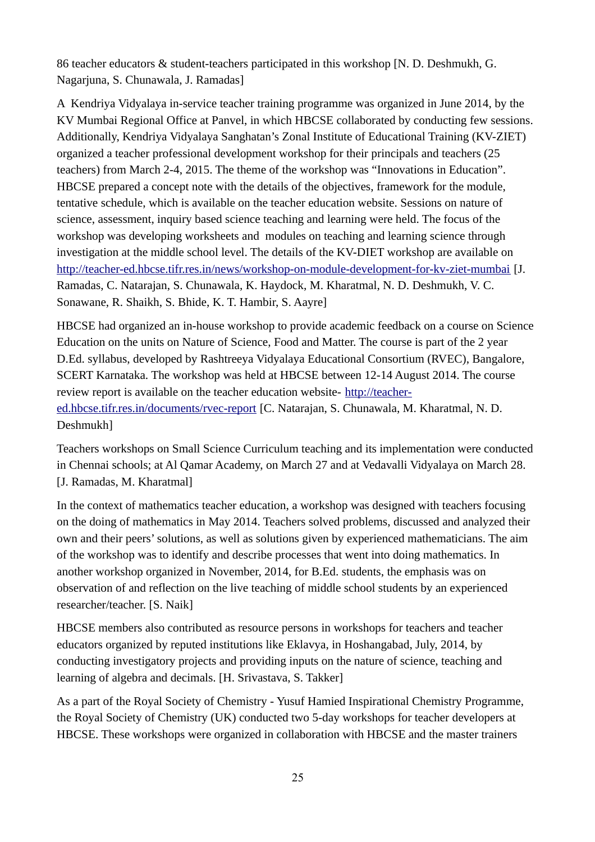86 teacher educators & student-teachers participated in this workshop [N. D. Deshmukh, G. Nagarjuna, S. Chunawala, J. Ramadas]

A Kendriya Vidyalaya in-service teacher training programme was organized in June 2014, by the KV Mumbai Regional Office at Panvel, in which HBCSE collaborated by conducting few sessions. Additionally, Kendriya Vidyalaya Sanghatan's Zonal Institute of Educational Training (KV-ZIET) organized a teacher professional development workshop for their principals and teachers (25 teachers) from March 2-4, 2015. The theme of the workshop was "Innovations in Education". HBCSE prepared a concept note with the details of the objectives, framework for the module, tentative schedule, which is available on the teacher education website. Sessions on nature of science, assessment, inquiry based science teaching and learning were held. The focus of the workshop was developing worksheets and modules on teaching and learning science through investigation at the middle school level. The details of the KV-DIET workshop are available on <http://teacher-ed.hbcse.tifr.res.in/news/workshop-on-module-development-for-kv-ziet-mumbai>[J. Ramadas, C. Natarajan, S. Chunawala, K. Haydock, M. Kharatmal, N. D. Deshmukh, V. C. Sonawane, R. Shaikh, S. Bhide, K. T. Hambir, S. Aayre]

HBCSE had organized an in-house workshop to provide academic feedback on a course on Science Education on the units on Nature of Science, Food and Matter. The course is part of the 2 year D.Ed. syllabus, developed by Rashtreeya Vidyalaya Educational Consortium (RVEC), Bangalore, SCERT Karnataka. The workshop was held at HBCSE between 12-14 August 2014. The course review report is available on the teacher education website- [http://teacher](http://teacher-ed.hbcse.tifr.res.in/documents/rvec-report)[ed.hbcse.tifr.res.in/documents/rvec-report](http://teacher-ed.hbcse.tifr.res.in/documents/rvec-report) [C. Natarajan, S. Chunawala, M. Kharatmal, N. D. Deshmukh]

Teachers workshops on Small Science Curriculum teaching and its implementation were conducted in Chennai schools; at Al Qamar Academy, on March 27 and at Vedavalli Vidyalaya on March 28. [J. Ramadas, M. Kharatmal]

In the context of mathematics teacher education, a workshop was designed with teachers focusing on the doing of mathematics in May 2014. Teachers solved problems, discussed and analyzed their own and their peers' solutions, as well as solutions given by experienced mathematicians. The aim of the workshop was to identify and describe processes that went into doing mathematics. In another workshop organized in November, 2014, for B.Ed. students, the emphasis was on observation of and reflection on the live teaching of middle school students by an experienced researcher/teacher. [S. Naik]

HBCSE members also contributed as resource persons in workshops for teachers and teacher educators organized by reputed institutions like Eklavya, in Hoshangabad, July, 2014, by conducting investigatory projects and providing inputs on the nature of science, teaching and learning of algebra and decimals. [H. Srivastava, S. Takker]

As a part of the Royal Society of Chemistry - Yusuf Hamied Inspirational Chemistry Programme, the Royal Society of Chemistry (UK) conducted two 5-day workshops for teacher developers at HBCSE. These workshops were organized in collaboration with HBCSE and the master trainers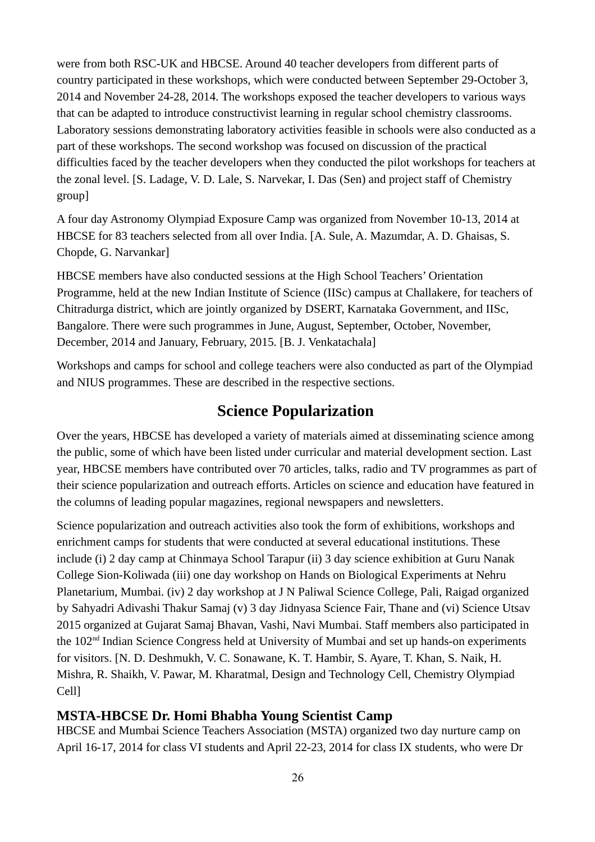were from both RSC-UK and HBCSE. Around 40 teacher developers from different parts of country participated in these workshops, which were conducted between September 29-October 3, 2014 and November 24-28, 2014. The workshops exposed the teacher developers to various ways that can be adapted to introduce constructivist learning in regular school chemistry classrooms. Laboratory sessions demonstrating laboratory activities feasible in schools were also conducted as a part of these workshops. The second workshop was focused on discussion of the practical difficulties faced by the teacher developers when they conducted the pilot workshops for teachers at the zonal level. [S. Ladage, V. D. Lale, S. Narvekar, I. Das (Sen) and project staff of Chemistry group]

A four day Astronomy Olympiad Exposure Camp was organized from November 10-13, 2014 at HBCSE for 83 teachers selected from all over India. [A. Sule, A. Mazumdar, A. D. Ghaisas, S. Chopde, G. Narvankar]

HBCSE members have also conducted sessions at the High School Teachers' Orientation Programme, held at the new Indian Institute of Science (IISc) campus at Challakere, for teachers of Chitradurga district, which are jointly organized by DSERT, Karnataka Government, and IISc, Bangalore. There were such programmes in June, August, September, October, November, December, 2014 and January, February, 2015. [B. J. Venkatachala]

Workshops and camps for school and college teachers were also conducted as part of the Olympiad and NIUS programmes. These are described in the respective sections.

# **Science Popularization**

Over the years, HBCSE has developed a variety of materials aimed at disseminating science among the public, some of which have been listed under curricular and material development section. Last year, HBCSE members have contributed over 70 articles, talks, radio and TV programmes as part of their science popularization and outreach efforts. Articles on science and education have featured in the columns of leading popular magazines, regional newspapers and newsletters.

Science popularization and outreach activities also took the form of exhibitions, workshops and enrichment camps for students that were conducted at several educational institutions. These include (i) 2 day camp at Chinmaya School Tarapur (ii) 3 day science exhibition at Guru Nanak College Sion-Koliwada (iii) one day workshop on Hands on Biological Experiments at Nehru Planetarium, Mumbai. (iv) 2 day workshop at J N Paliwal Science College, Pali, Raigad organized by Sahyadri Adivashi Thakur Samaj (v) 3 day Jidnyasa Science Fair, Thane and (vi) Science Utsav 2015 organized at Gujarat Samaj Bhavan, Vashi, Navi Mumbai. Staff members also participated in the 102nd Indian Science Congress held at University of Mumbai and set up hands-on experiments for visitors. [N. D. Deshmukh, V. C. Sonawane, K. T. Hambir, S. Ayare, T. Khan, S. Naik, H. Mishra, R. Shaikh, V. Pawar, M. Kharatmal, Design and Technology Cell, Chemistry Olympiad Cell]

# **MSTA-HBCSE Dr. Homi Bhabha Young Scientist Camp**

HBCSE and Mumbai Science Teachers Association (MSTA) organized two day nurture camp on April 16-17, 2014 for class VI students and April 22-23, 2014 for class IX students, who were Dr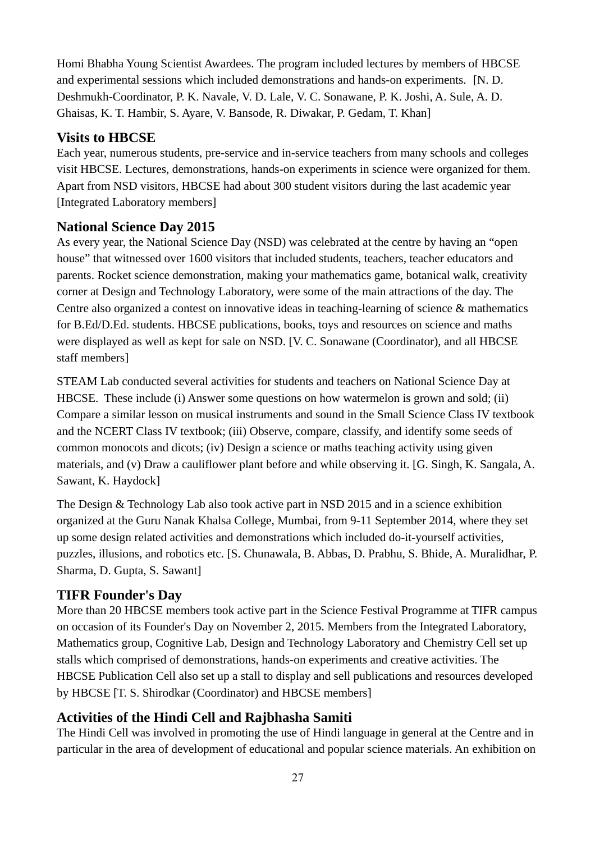Homi Bhabha Young Scientist Awardees. The program included lectures by members of HBCSE and experimental sessions which included demonstrations and hands-on experiments. [N. D. Deshmukh-Coordinator, P. K. Navale, V. D. Lale, V. C. Sonawane, P. K. Joshi, A. Sule, A. D. Ghaisas, K. T. Hambir, S. Ayare, V. Bansode, R. Diwakar, P. Gedam, T. Khan]

## **Visits to HBCSE**

Each year, numerous students, pre-service and in-service teachers from many schools and colleges visit HBCSE. Lectures, demonstrations, hands-on experiments in science were organized for them. Apart from NSD visitors, HBCSE had about 300 student visitors during the last academic year [Integrated Laboratory members]

### **National Science Day 2015**

As every year, the National Science Day (NSD) was celebrated at the centre by having an "open house" that witnessed over 1600 visitors that included students, teachers, teacher educators and parents. Rocket science demonstration, making your mathematics game, botanical walk, creativity corner at Design and Technology Laboratory, were some of the main attractions of the day. The Centre also organized a contest on innovative ideas in teaching-learning of science & mathematics for B.Ed/D.Ed. students. HBCSE publications, books, toys and resources on science and maths were displayed as well as kept for sale on NSD. [V. C. Sonawane (Coordinator), and all HBCSE staff members]

STEAM Lab conducted several activities for students and teachers on National Science Day at HBCSE. These include (i) Answer some questions on how watermelon is grown and sold; (ii) Compare a similar lesson on musical instruments and sound in the Small Science Class IV textbook and the NCERT Class IV textbook; (iii) Observe, compare, classify, and identify some seeds of common monocots and dicots; (iv) Design a science or maths teaching activity using given materials, and (v) Draw a cauliflower plant before and while observing it. [G. Singh, K. Sangala, A. Sawant, K. Haydock]

The Design & Technology Lab also took active part in NSD 2015 and in a science exhibition organized at the Guru Nanak Khalsa College, Mumbai, from 9-11 September 2014, where they set up some design related activities and demonstrations which included do-it-yourself activities, puzzles, illusions, and robotics etc. [S. Chunawala, B. Abbas, D. Prabhu, S. Bhide, A. Muralidhar, P. Sharma, D. Gupta, S. Sawant]

# **TIFR Founder's Day**

More than 20 HBCSE members took active part in the Science Festival Programme at TIFR campus on occasion of its Founder's Day on November 2, 2015. Members from the Integrated Laboratory, Mathematics group, Cognitive Lab, Design and Technology Laboratory and Chemistry Cell set up stalls which comprised of demonstrations, hands-on experiments and creative activities. The HBCSE Publication Cell also set up a stall to display and sell publications and resources developed by HBCSE [T. S. Shirodkar (Coordinator) and HBCSE members]

# **Activities of the Hindi Cell and Rajbhasha Samiti**

The Hindi Cell was involved in promoting the use of Hindi language in general at the Centre and in particular in the area of development of educational and popular science materials. An exhibition on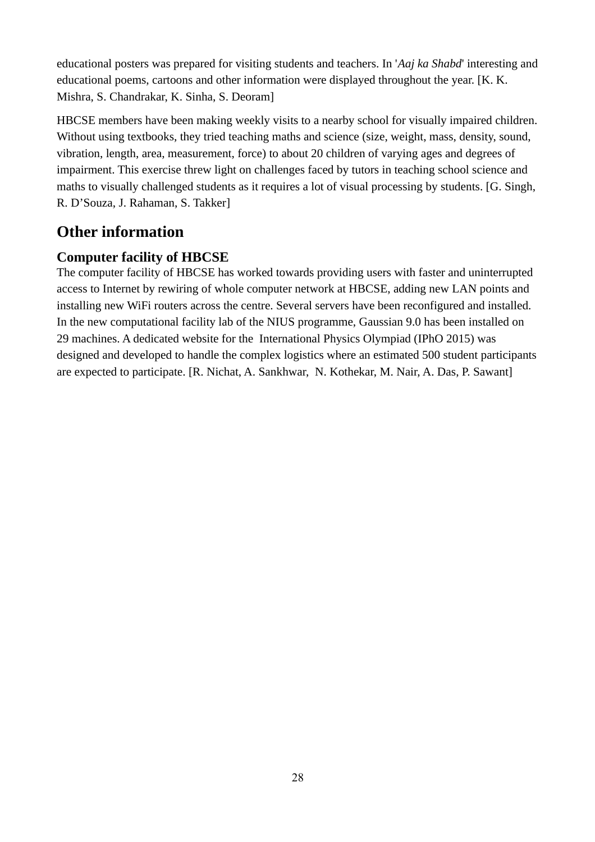educational posters was prepared for visiting students and teachers. In '*Aaj ka Shabd*' interesting and educational poems, cartoons and other information were displayed throughout the year. [K. K. Mishra, S. Chandrakar, K. Sinha, S. Deoram]

HBCSE members have been making weekly visits to a nearby school for visually impaired children. Without using textbooks, they tried teaching maths and science (size, weight, mass, density, sound, vibration, length, area, measurement, force) to about 20 children of varying ages and degrees of impairment. This exercise threw light on challenges faced by tutors in teaching school science and maths to visually challenged students as it requires a lot of visual processing by students. [G. Singh, R. D'Souza, J. Rahaman, S. Takker]

# **Other information**

# **Computer facility of HBCSE**

The computer facility of HBCSE has worked towards providing users with faster and uninterrupted access to Internet by rewiring of whole computer network at HBCSE, adding new LAN points and installing new WiFi routers across the centre. Several servers have been reconfigured and installed. In the new computational facility lab of the NIUS programme, Gaussian 9.0 has been installed on 29 machines. A dedicated website for the International Physics Olympiad (IPhO 2015) was designed and developed to handle the complex logistics where an estimated 500 student participants are expected to participate. [R. Nichat, A. Sankhwar, N. Kothekar, M. Nair, A. Das, P. Sawant]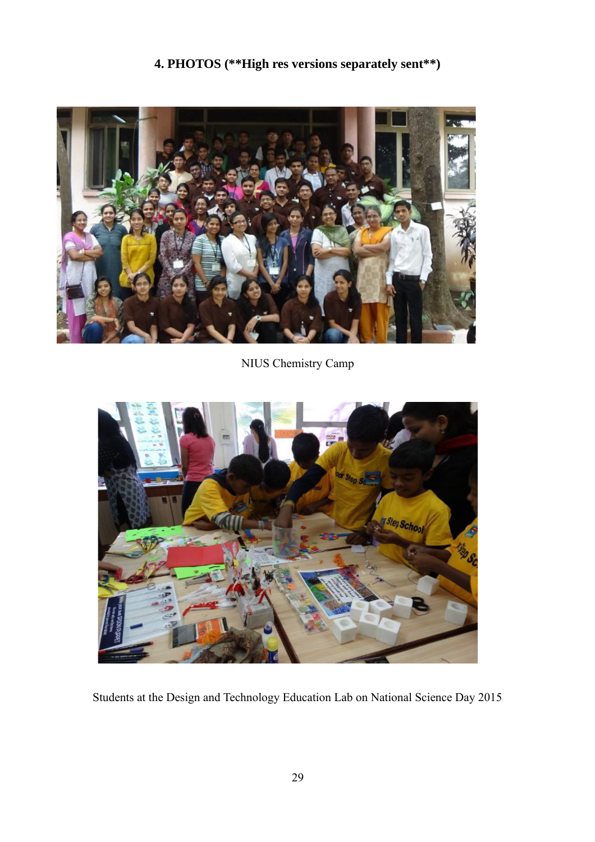# **4. PHOTOS (\*\*High res versions separately sent\*\*)**



NIUS Chemistry Camp



Students at the Design and Technology Education Lab on National Science Day 2015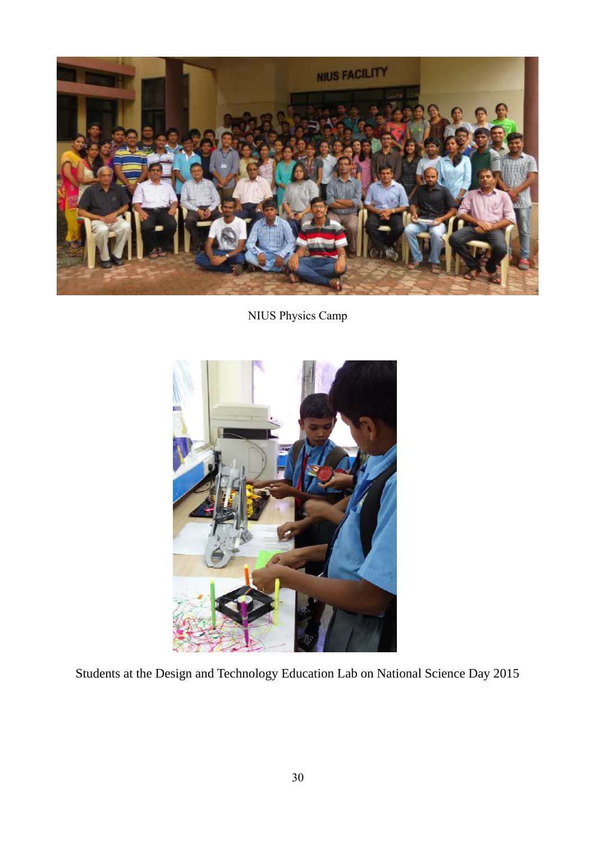

NIUS Physics Camp



Students at the Design and Technology Education Lab on National Science Day 2015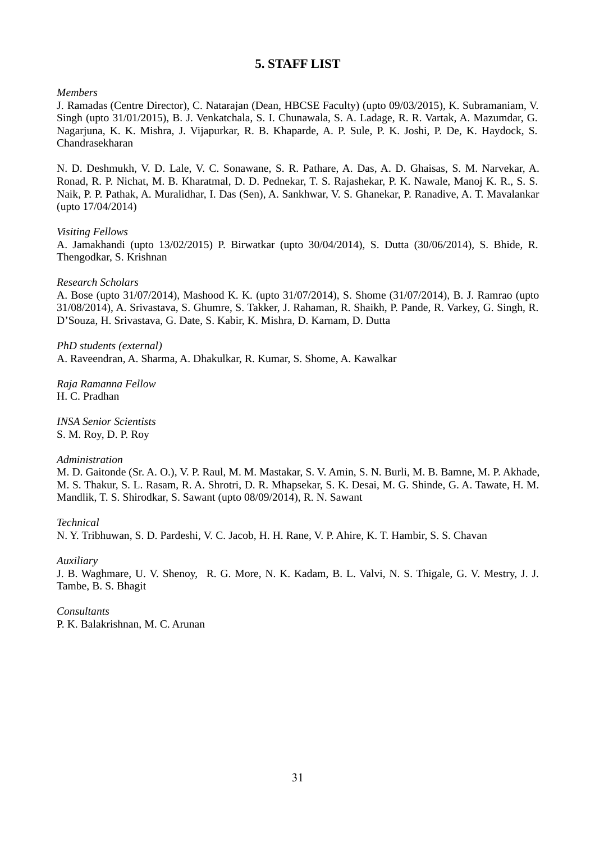#### **5. STAFF LIST**

*Members*

J. Ramadas (Centre Director), C. Natarajan (Dean, HBCSE Faculty) (upto 09/03/2015), K. Subramaniam, V. Singh (upto 31/01/2015), B. J. Venkatchala, S. I. Chunawala, S. A. Ladage, R. R. Vartak, A. Mazumdar, G. Nagarjuna, K. K. Mishra, J. Vijapurkar, R. B. Khaparde, A. P. Sule, P. K. Joshi, P. De, K. Haydock, S. Chandrasekharan

N. D. Deshmukh, V. D. Lale, V. C. Sonawane, S. R. Pathare, A. Das, A. D. Ghaisas, S. M. Narvekar, A. Ronad, R. P. Nichat, M. B. Kharatmal, D. D. Pednekar, T. S. Rajashekar, P. K. Nawale, Manoj K. R., S. S. Naik, P. P. Pathak, A. Muralidhar, I. Das (Sen), A. Sankhwar, V. S. Ghanekar, P. Ranadive, A. T. Mavalankar (upto 17/04/2014)

#### *Visiting Fellows*

A. Jamakhandi (upto 13/02/2015) P. Birwatkar (upto 30/04/2014), S. Dutta (30/06/2014), S. Bhide, R. Thengodkar, S. Krishnan

#### *Research Scholars*

A. Bose (upto 31/07/2014), Mashood K. K. (upto 31/07/2014), S. Shome (31/07/2014), B. J. Ramrao (upto 31/08/2014), A. Srivastava, S. Ghumre, S. Takker, J. Rahaman, R. Shaikh, P. Pande, R. Varkey, G. Singh, R. D'Souza, H. Srivastava, G. Date, S. Kabir, K. Mishra, D. Karnam, D. Dutta

*PhD students (external)* A. Raveendran, A. Sharma, A. Dhakulkar, R. Kumar, S. Shome, A. Kawalkar

*Raja Ramanna Fellow* H. C. Pradhan

*INSA Senior Scientists* S. M. Roy, D. P. Roy

#### *Administration*

M. D. Gaitonde (Sr. A. O.), V. P. Raul, M. M. Mastakar, S. V. Amin, S. N. Burli, M. B. Bamne, M. P. Akhade, M. S. Thakur, S. L. Rasam, R. A. Shrotri, D. R. Mhapsekar, S. K. Desai, M. G. Shinde, G. A. Tawate, H. M. Mandlik, T. S. Shirodkar, S. Sawant (upto 08/09/2014), R. N. Sawant

*Technical*

N. Y. Tribhuwan, S. D. Pardeshi, V. C. Jacob, H. H. Rane, V. P. Ahire, K. T. Hambir, S. S. Chavan

*Auxiliary*

J. B. Waghmare, U. V. Shenoy, R. G. More, N. K. Kadam, B. L. Valvi, N. S. Thigale, G. V. Mestry, J. J. Tambe, B. S. Bhagit

*Consultants* P. K. Balakrishnan, M. C. Arunan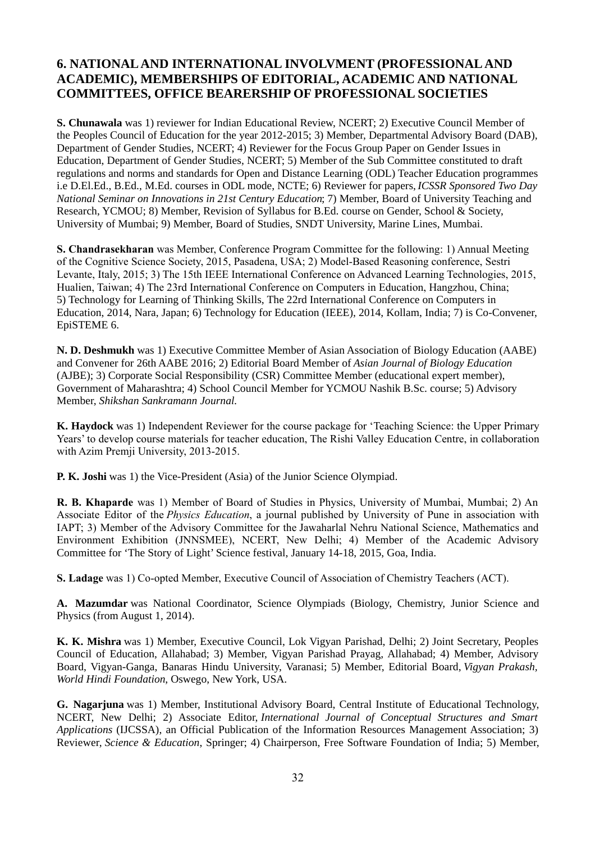### **6. NATIONAL AND INTERNATIONAL INVOLVMENT (PROFESSIONAL AND ACADEMIC), MEMBERSHIPS OF EDITORIAL, ACADEMIC AND NATIONAL COMMITTEES, OFFICE BEARERSHIP OF PROFESSIONAL SOCIETIES**

**S. Chunawala** was 1) reviewer for Indian Educational Review, NCERT; 2) Executive Council Member of the Peoples Council of Education for the year 2012-2015; 3) Member, Departmental Advisory Board (DAB), Department of Gender Studies, NCERT; 4) Reviewer for the Focus Group Paper on Gender Issues in Education, Department of Gender Studies, NCERT; 5) Member of the Sub Committee constituted to draft regulations and norms and standards for Open and Distance Learning (ODL) Teacher Education programmes i.e D.El.Ed., B.Ed., M.Ed. courses in ODL mode, NCTE; 6) Reviewer for papers, *ICSSR Sponsored Two Day National Seminar on Innovations in 21st Century Education*; 7) Member, Board of University Teaching and Research, YCMOU; 8) Member, Revision of Syllabus for B.Ed. course on Gender, School & Society, University of Mumbai; 9) Member, Board of Studies, SNDT University, Marine Lines, Mumbai.

**S. Chandrasekharan** was Member, Conference Program Committee for the following: 1) Annual Meeting of the Cognitive Science Society, 2015, Pasadena, USA; 2) Model-Based Reasoning conference, Sestri Levante, Italy, 2015; 3) The 15th IEEE International Conference on Advanced Learning Technologies, 2015, Hualien, Taiwan; 4) The 23rd International Conference on Computers in Education, Hangzhou, China; 5) Technology for Learning of Thinking Skills, The 22rd International Conference on Computers in Education, 2014, Nara, Japan; 6) Technology for Education (IEEE), 2014, Kollam, India; 7) is Co-Convener, EpiSTEME 6.

**N. D. Deshmukh** was 1) Executive Committee Member of Asian Association of Biology Education (AABE) and Convener for 26th AABE 2016; 2) Editorial Board Member of *Asian Journal of Biology Education*  (AJBE); 3) Corporate Social Responsibility (CSR) Committee Member (educational expert member), Government of Maharashtra; 4) School Council Member for YCMOU Nashik B.Sc. course; 5) Advisory Member, *Shikshan Sankramann Journal.*

**K. Haydock** was 1) Independent Reviewer for the course package for 'Teaching Science: the Upper Primary Years' to develop course materials for teacher education, The Rishi Valley Education Centre, in collaboration with Azim Premji University, 2013-2015.

**P. K. Joshi** was 1) the Vice-President (Asia) of the Junior Science Olympiad.

**R. B. Khaparde** was 1) Member of Board of Studies in Physics, University of Mumbai, Mumbai; 2) An Associate Editor of the *Physics Education*, a journal published by University of Pune in association with IAPT; 3) Member of the Advisory Committee for the Jawaharlal Nehru National Science, Mathematics and Environment Exhibition (JNNSMEE), NCERT, New Delhi; 4) Member of the Academic Advisory Committee for 'The Story of Light' Science festival, January 14-18, 2015, Goa, India.

**S. Ladage** was 1) Co-opted Member, Executive Council of Association of Chemistry Teachers (ACT).

**A. Mazumdar** was National Coordinator, Science Olympiads (Biology, Chemistry, Junior Science and Physics (from August 1, 2014).

**K. K. Mishra** was 1) Member, Executive Council, Lok Vigyan Parishad, Delhi; 2) Joint Secretary, Peoples Council of Education, Allahabad; 3) Member, Vigyan Parishad Prayag, Allahabad; 4) Member, Advisory Board, Vigyan-Ganga, Banaras Hindu University, Varanasi; 5) Member, Editorial Board, *Vigyan Prakash, World Hindi Foundation*, Oswego, New York, USA.

**G. Nagarjuna** was 1) Member, Institutional Advisory Board, Central Institute of Educational Technology, NCERT, New Delhi; 2) Associate Editor, *International Journal of Conceptual Structures and Smart Applications* (IJCSSA), an Official Publication of the Information Resources Management Association; 3) Reviewer, *Science & Education*, Springer; 4) Chairperson, Free Software Foundation of India; 5) Member,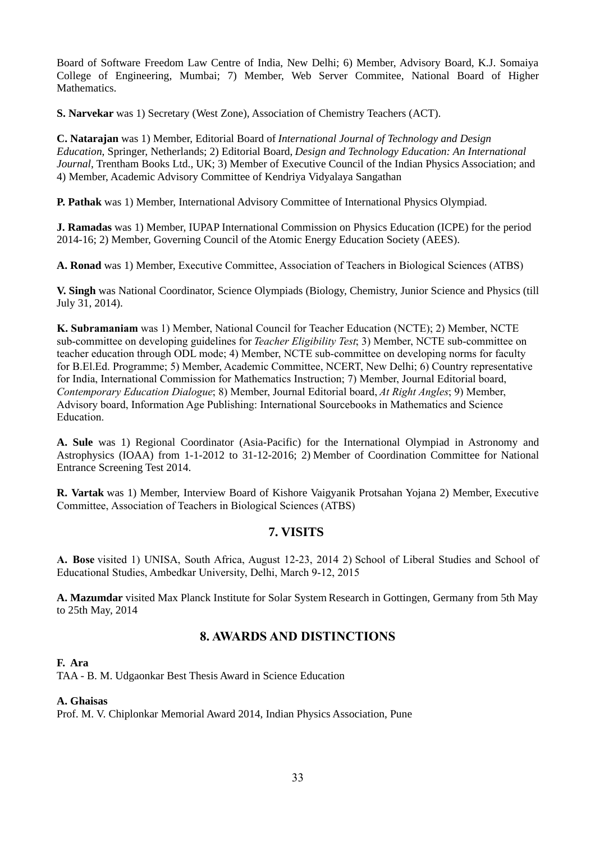Board of Software Freedom Law Centre of India, New Delhi; 6) Member, Advisory Board, K.J. Somaiya College of Engineering, Mumbai; 7) Member, Web Server Commitee, National Board of Higher **Mathematics** 

**S. Narvekar** was 1) Secretary (West Zone), Association of Chemistry Teachers (ACT).

**C. Natarajan** was 1) Member, Editorial Board of *International Journal of Technology and Design Education*, Springer, Netherlands; 2) Editorial Board, *Design and Technology Education: An International Journal*, Trentham Books Ltd., UK; 3) Member of Executive Council of the Indian Physics Association; and 4) Member, Academic Advisory Committee of Kendriya Vidyalaya Sangathan

**P. Pathak** was 1) Member, International Advisory Committee of International Physics Olympiad.

**J. Ramadas** was 1) Member, IUPAP International Commission on Physics Education (ICPE) for the period 2014-16; 2) Member, Governing Council of the Atomic Energy Education Society (AEES).

**A. Ronad** was 1) Member, Executive Committee, Association of Teachers in Biological Sciences (ATBS)

**V. Singh** was National Coordinator, Science Olympiads (Biology, Chemistry, Junior Science and Physics (till July 31, 2014).

**K. Subramaniam** was 1) Member, National Council for Teacher Education (NCTE); 2) Member, NCTE sub-committee on developing guidelines for *Teacher Eligibility Test*; 3) Member, NCTE sub-committee on teacher education through ODL mode; 4) Member, NCTE sub-committee on developing norms for faculty for B.El.Ed. Programme; 5) Member, Academic Committee, NCERT, New Delhi; 6) Country representative for India, International Commission for Mathematics Instruction; 7) Member, Journal Editorial board, *Contemporary Education Dialogue*; 8) Member, Journal Editorial board, *At Right Angles*; 9) Member, Advisory board, Information Age Publishing: International Sourcebooks in Mathematics and Science Education.

**A. Sule** was 1) Regional Coordinator (Asia-Pacific) for the International Olympiad in Astronomy and Astrophysics (IOAA) from 1-1-2012 to 31-12-2016; 2) Member of Coordination Committee for National Entrance Screening Test 2014.

**R. Vartak** was 1) Member, Interview Board of Kishore Vaigyanik Protsahan Yojana 2) Member, Executive Committee, Association of Teachers in Biological Sciences (ATBS)

### **7. VISITS**

**A. Bose** visited 1) UNISA, South Africa, August 12-23, 2014 2) School of Liberal Studies and School of Educational Studies, Ambedkar University, Delhi, March 9-12, 2015

**A. Mazumdar** visited Max Planck Institute for Solar System Research in Gottingen, Germany from 5th May to 25th May, 2014

### **8. AWARDS AND DISTINCTIONS**

#### **F. Ara**

TAA - B. M. Udgaonkar Best Thesis Award in Science Education

#### **A. Ghaisas**

Prof. M. V. Chiplonkar Memorial Award 2014, Indian Physics Association, Pune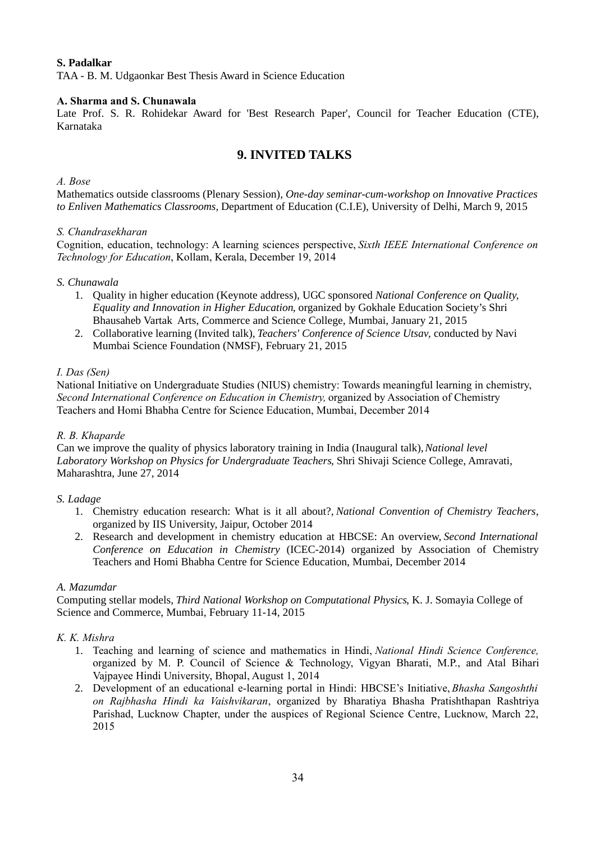#### **S. Padalkar**

TAA - B. M. Udgaonkar Best Thesis Award in Science Education

#### **A. Sharma and S. Chunawala**

Late Prof. S. R. Rohidekar Award for 'Best Research Paper', Council for Teacher Education (CTE), Karnataka

### **9. INVITED TALKS**

#### *A. Bose*

Mathematics outside classrooms (Plenary Session), *One-day seminar-cum-workshop on Innovative Practices to Enliven Mathematics Classrooms,* Department of Education (C.I.E), University of Delhi, March 9, 2015

#### *S. Chandrasekharan*

Cognition, education, technology: A learning sciences perspective, *Sixth IEEE International Conference on Technology for Education*, Kollam, Kerala, December 19, 2014

#### *S. Chunawala*

- 1. Quality in higher education (Keynote address), UGC sponsored *National Conference on Quality, Equality and Innovation in Higher Education*, organized by Gokhale Education Society's Shri Bhausaheb Vartak Arts, Commerce and Science College, Mumbai, January 21, 2015
- 2. Collaborative learning (Invited talk), *Teachers' Conference of Science Utsav*, conducted by Navi Mumbai Science Foundation (NMSF), February 21, 2015

#### *I. Das (Sen)*

National Initiative on Undergraduate Studies (NIUS) chemistry: Towards meaningful learning in chemistry, *Second International Conference on Education in Chemistry,* organized by Association of Chemistry Teachers and Homi Bhabha Centre for Science Education, Mumbai, December 2014

#### *R. B. Khaparde*

Can we improve the quality of physics laboratory training in India (Inaugural talk), *National level Laboratory Workshop on Physics for Undergraduate Teachers*, Shri Shivaji Science College, Amravati, Maharashtra, June 27, 2014

#### *S. Ladage*

- 1. Chemistry education research: What is it all about?, *National Convention of Chemistry Teachers*, organized by IIS University, Jaipur, October 2014
- 2. Research and development in chemistry education at HBCSE: An overview, *Second International Conference on Education in Chemistry* (ICEC-2014) organized by Association of Chemistry Teachers and Homi Bhabha Centre for Science Education, Mumbai, December 2014

#### *A. Mazumdar*

Computing stellar models, *Third National Workshop on Computational Physics*, K. J. Somayia College of Science and Commerce, Mumbai, February 11-14, 2015

#### *K. K. Mishra*

- 1. Teaching and learning of science and mathematics in Hindi, *National Hindi Science Conference,* organized by M. P. Council of Science & Technology, Vigyan Bharati, M.P., and Atal Bihari Vajpayee Hindi University, Bhopal, August 1, 2014
- 2. Development of an educational e-learning portal in Hindi: HBCSE's Initiative, *Bhasha Sangoshthi on Rajbhasha Hindi ka Vaishvikaran*, organized by Bharatiya Bhasha Pratishthapan Rashtriya Parishad, Lucknow Chapter, under the auspices of Regional Science Centre, Lucknow, March 22, 2015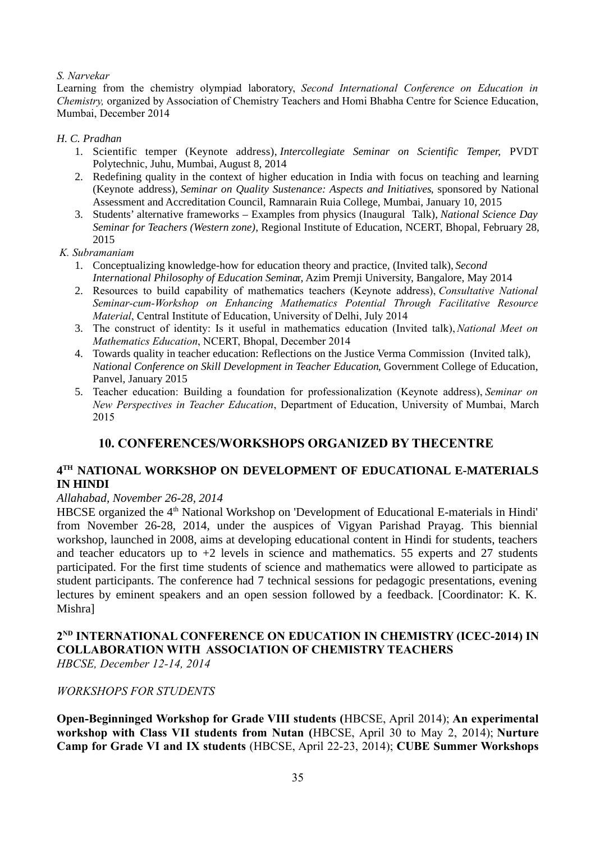#### *S. Narvekar*

Learning from the chemistry olympiad laboratory, *Second International Conference on Education in Chemistry,* organized by Association of Chemistry Teachers and Homi Bhabha Centre for Science Education, Mumbai, December 2014

#### *H. C. Pradhan*

- 1. Scientific temper (Keynote address), *Intercollegiate Seminar on Scientific Temper,* PVDT Polytechnic, Juhu, Mumbai, August 8, 2014
- 2. Redefining quality in the context of higher education in India with focus on teaching and learning (Keynote address), *Seminar on Quality Sustenance: Aspects and Initiatives*, sponsored by National Assessment and Accreditation Council, Ramnarain Ruia College, Mumbai, January 10, 2015
- 3. Students' alternative frameworks Examples from physics (Inaugural Talk), *National Science Day Seminar for Teachers (Western zone)*, Regional Institute of Education, NCERT, Bhopal, February 28, 2015
- *K. Subramaniam*
	- 1. Conceptualizing knowledge-how for education theory and practice, (Invited talk), *Second International Philosophy of Education Semina*r, Azim Premji University, Bangalore, May 2014
	- 2. Resources to build capability of mathematics teachers (Keynote address), *Consultative National Seminar-cum-Workshop on Enhancing Mathematics Potential Through Facilitative Resource Material*, Central Institute of Education, University of Delhi, July 2014
	- 3. The construct of identity: Is it useful in mathematics education (Invited talk),*National Meet on Mathematics Education*, NCERT, Bhopal, December 2014
	- 4. Towards quality in teacher education: Reflections on the Justice Verma Commission (Invited talk), *National Conference on Skill Development in Teacher Education*, Government College of Education, Panvel, January 2015
	- 5. Teacher education: Building a foundation for professionalization (Keynote address), *Seminar on New Perspectives in Teacher Education*, Department of Education, University of Mumbai, March 2015

### **10. CONFERENCES/WORKSHOPS ORGANIZED BY THECENTRE**

### **4 TH NATIONAL WORKSHOP ON DEVELOPMENT OF EDUCATIONAL E-MATERIALS IN HINDI**

#### *Allahabad, November 26-28, 2014*

HBCSE organized the 4<sup>th</sup> National Workshop on 'Development of Educational E-materials in Hindi' from November 26-28, 2014, under the auspices of Vigyan Parishad Prayag. This biennial workshop, launched in 2008, aims at developing educational content in Hindi for students, teachers and teacher educators up to  $+2$  levels in science and mathematics. 55 experts and 27 students participated. For the first time students of science and mathematics were allowed to participate as student participants. The conference had 7 technical sessions for pedagogic presentations, evening lectures by eminent speakers and an open session followed by a feedback. [Coordinator: K. K. Mishra]

# **2 ND INTERNATIONAL CONFERENCE ON EDUCATION IN CHEMISTRY (ICEC-2014) IN COLLABORATION WITH ASSOCIATION OF CHEMISTRY TEACHERS**

*HBCSE, December 12-14, 2014*

### *WORKSHOPS FOR STUDENTS*

**Open-Beginninged Workshop for Grade VIII students (**HBCSE, April 2014); **An experimental workshop with Class VII students from Nutan (**HBCSE, April 30 to May 2, 2014); **Nurture Camp for Grade VI and IX students** (HBCSE, April 22-23, 2014); **CUBE Summer Workshops**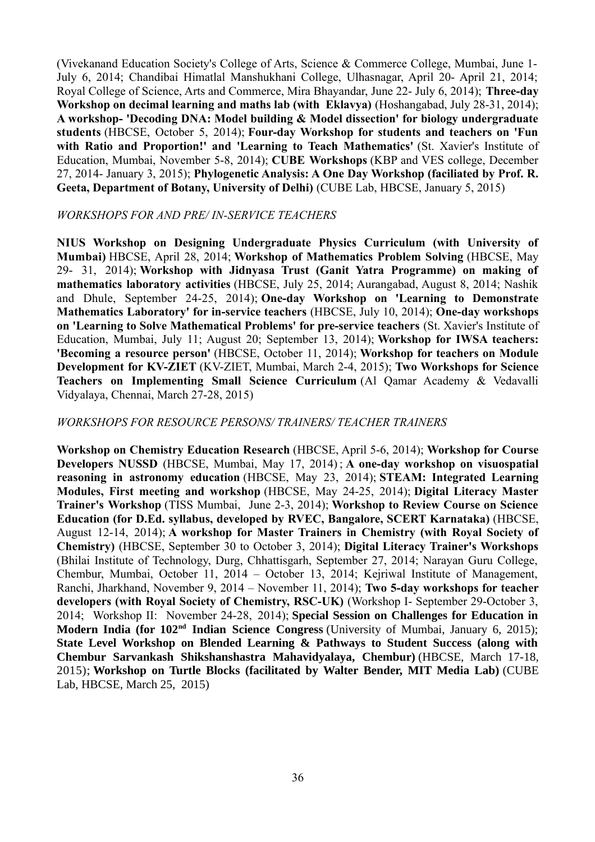(Vivekanand Education Society's College of Arts, Science & Commerce College, Mumbai, June 1- July 6, 2014; Chandibai Himatlal Manshukhani College, Ulhasnagar, April 20- April 21, 2014; Royal College of Science, Arts and Commerce, Mira Bhayandar, June 22- July 6, 2014); **Three-day Workshop on decimal learning and maths lab (with Eklavya)** (Hoshangabad, July 28-31, 2014); **A workshop- 'Decoding DNA: Model building & Model dissection' for biology undergraduate students** (HBCSE, October 5, 2014); **Four-day Workshop for students and teachers on 'Fun with Ratio and Proportion!' and 'Learning to Teach Mathematics'** (St. Xavier's Institute of Education, Mumbai, November 5-8, 2014); **CUBE Workshops** (KBP and VES college, December 27, 2014- January 3, 2015); **Phylogenetic Analysis: A One Day Workshop (faciliated by Prof. R. Geeta, Department of Botany, University of Delhi)** (CUBE Lab, HBCSE, January 5, 2015)

#### *WORKSHOPS FOR AND PRE/ IN-SERVICE TEACHERS*

**NIUS Workshop on Designing Undergraduate Physics Curriculum (with University of Mumbai)** HBCSE, April 28, 2014; **Workshop of Mathematics Problem Solving** (HBCSE, May 29- 31, 2014); **Workshop with Jidnyasa Trust (Ganit Yatra Programme) on making of mathematics laboratory activities** (HBCSE, July 25, 2014; Aurangabad, August 8, 2014; Nashik and Dhule, September 24-25, 2014); **One-day Workshop on 'Learning to Demonstrate Mathematics Laboratory' for in-service teachers** (HBCSE, July 10, 2014); **One-day workshops on 'Learning to Solve Mathematical Problems' for pre-service teachers** (St. Xavier's Institute of Education, Mumbai, July 11; August 20; September 13, 2014); **Workshop for IWSA teachers: 'Becoming a resource person'** (HBCSE, October 11, 2014); **Workshop for teachers on Module Development for KV-ZIET** (KV-ZIET, Mumbai, March 2-4, 2015); **Two Workshops for Science Teachers on Implementing Small Science Curriculum** (Al Qamar Academy & Vedavalli Vidyalaya, Chennai, March 27-28, 2015)

#### *WORKSHOPS FOR RESOURCE PERSONS/ TRAINERS/ TEACHER TRAINERS*

**Workshop on Chemistry Education Research** (HBCSE, April 5-6, 2014); **Workshop for Course Developers NUSSD** (HBCSE, Mumbai, May 17, 2014) ; **A one-day workshop on visuospatial reasoning in astronomy education** (HBCSE, May 23, 2014); **STEAM: Integrated Learning Modules, First meeting and workshop** (HBCSE, May 24-25, 2014); **Digital Literacy Master Trainer's Workshop** (TISS Mumbai, June 2-3, 2014); **Workshop to Review Course on Science Education (for D.Ed. syllabus, developed by RVEC, Bangalore, SCERT Karnataka)** (HBCSE, August 12-14, 2014); **A workshop for Master Trainers in Chemistry (with Royal Society of Chemistry)** (HBCSE, September 30 to October 3, 2014); **Digital Literacy Trainer's Workshops** (Bhilai Institute of Technology, Durg, Chhattisgarh, September 27, 2014; Narayan Guru College, Chembur, Mumbai, October 11, 2014 – October 13, 2014; Kejriwal Institute of Management, Ranchi, Jharkhand, November 9, 2014 – November 11, 2014); **Two 5-day workshops for teacher developers (with Royal Society of Chemistry, RSC-UK)** (Workshop I- September 29-October 3, 2014; Workshop II: November 24-28, 2014); **Special Session on Challenges for Education in Modern India (for 102nd Indian Science Congress** (University of Mumbai, January 6, 2015); **State Level Workshop on Blended Learning & Pathways to Student Success (along with Chembur Sarvankash Shikshanshastra Mahavidyalaya, Chembur)** (HBCSE, March 17-18, 2015); **Workshop on Turtle Blocks (facilitated by Walter Bender, MIT Media Lab)** (CUBE Lab, HBCSE, March 25, 2015)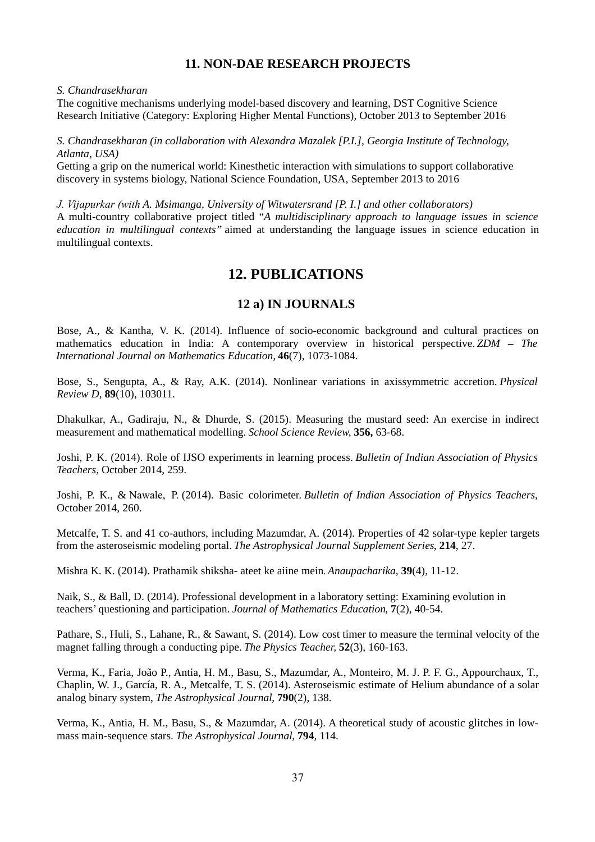### **11. NON-DAE RESEARCH PROJECTS**

#### *S. Chandrasekharan*

The cognitive mechanisms underlying model-based discovery and learning, DST Cognitive Science Research Initiative (Category: Exploring Higher Mental Functions), October 2013 to September 2016

#### *S. Chandrasekharan (in collaboration with Alexandra Mazalek [P.I.], Georgia Institute of Technology, Atlanta, USA)*

Getting a grip on the numerical world: Kinesthetic interaction with simulations to support collaborative discovery in systems biology, National Science Foundation, USA, September 2013 to 2016

*J. Vijapurkar (with A. Msimanga, University of Witwatersrand [P. I.] and other collaborators)* A multi-country collaborative project titled "*A multidisciplinary approach to language issues in science education in multilingual contexts"* aimed at understanding the language issues in science education in multilingual contexts.

# **12. PUBLICATIONS**

### **12 a) IN JOURNALS**

Bose, A., & Kantha, V. K. (2014). Influence of socio-economic background and cultural practices on mathematics education in India: A contemporary overview in historical perspective. *ZDM – The International Journal on Mathematics Education,* **46**(7), 1073-1084.

Bose, S., Sengupta, A., & Ray, A.K. (2014). Nonlinear variations in axissymmetric accretion. *Physical Review D*, **89**(10), 103011.

Dhakulkar, A., Gadiraju, N., & Dhurde, S. (2015). Measuring the mustard seed: An exercise in indirect measurement and mathematical modelling. *School Science Review,* **356,** 63-68.

Joshi, P. K. (2014). Role of IJSO experiments in learning process. *Bulletin of Indian Association of Physics Teachers,* October 2014, 259.

Joshi, P. K., & Nawale, P. (2014). Basic colorimeter. *Bulletin of Indian Association of Physics Teachers,* October 2014, 260.

Metcalfe, T. S. and 41 co-authors, including Mazumdar, A. (2014). Properties of 42 solar-type kepler targets from the asteroseismic modeling portal. *The Astrophysical Journal Supplement Series*, **214**, 27.

Mishra K. K. (2014). Prathamik shiksha- ateet ke aiine mein. *Anaupacharika*, **39**(4), 11-12.

Naik, S., & Ball, D. (2014). Professional development in a laboratory setting: Examining evolution in teachers' questioning and participation. *Journal of Mathematics Education*, **7**(2), 40-54.

Pathare, S., Huli, S., Lahane, R., & Sawant, S. (2014). Low cost timer to measure the terminal velocity of the magnet falling through a conducting pipe. *The Physics Teacher,* **52**(3), 160-163.

Verma, K., Faria, João P., Antia, H. M., Basu, S., Mazumdar, A., Monteiro, M. J. P. F. G., Appourchaux, T., Chaplin, W. J., García, R. A., Metcalfe, T. S. (2014). Asteroseismic estimate of Helium abundance of a solar analog binary system, *The Astrophysical Journal*, **790**(2), 138.

Verma, K., Antia, H. M., Basu, S., & Mazumdar, A. (2014). A theoretical study of acoustic glitches in lowmass main-sequence stars. *The Astrophysical Journal*, **794**, 114.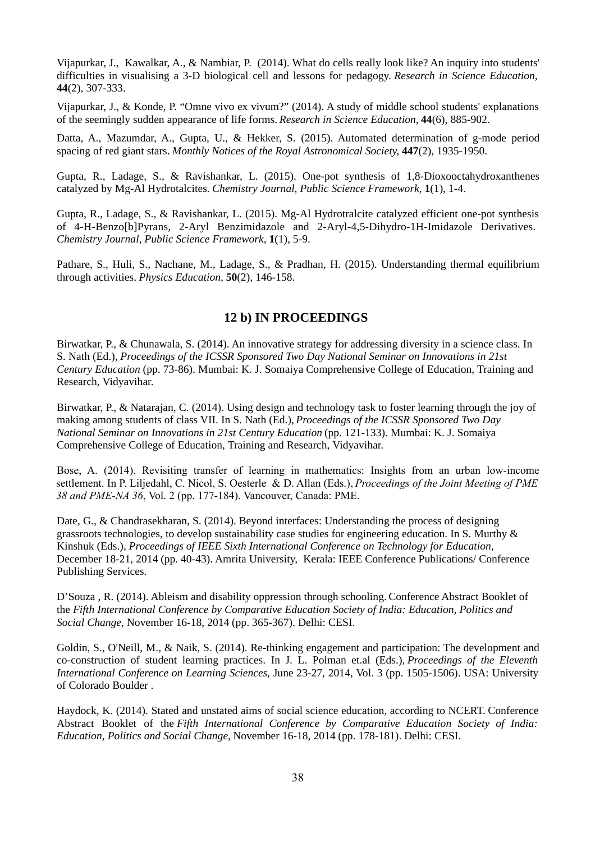Vijapurkar, J., Kawalkar, A., & Nambiar, P. (2014). What do cells really look like? An inquiry into students' difficulties in visualising a 3-D biological cell and lessons for pedagogy. *Research in Science Education,* **44**(2), 307-333.

Vijapurkar, J., & Konde, P. "Omne vivo ex vivum?" (2014). A study of middle school students' explanations of the seemingly sudden appearance of life forms. *Research in Science Education,* **44**(6), 885-902.

Datta, A., Mazumdar, A., Gupta, U., & Hekker, S. (2015). Automated determination of g-mode period spacing of red giant stars. *Monthly Notices of the Royal Astronomical Society*, **447**(2), 1935-1950.

Gupta, R., Ladage, S., & Ravishankar, L. (2015). One-pot synthesis of 1,8-Dioxooctahydroxanthenes catalyzed by Mg-Al Hydrotalcites. *Chemistry Journal*, *Public Science Framework*, **1**(1), 1-4.

Gupta, R., Ladage, S., & Ravishankar, L. (2015). Mg-Al Hydrotralcite catalyzed efficient one-pot synthesis of 4-H-Benzo[b]Pyrans, 2-Aryl Benzimidazole and 2-Aryl-4,5-Dihydro-1H-Imidazole Derivatives. *Chemistry Journal, Public Science Framework*, **1**(1), 5-9.

Pathare, S., Huli, S., Nachane, M., Ladage, S., & Pradhan, H. (2015). Understanding thermal equilibrium through activities. *Physics Education,* **50**(2), 146-158.

### **12 b) IN PROCEEDINGS**

Birwatkar, P., & Chunawala, S. (2014). An innovative strategy for addressing diversity in a science class. In S. Nath (Ed.), *Proceedings of the ICSSR Sponsored Two Day National Seminar on Innovations in 21st Century Education* (pp. 73-86). Mumbai: K. J. Somaiya Comprehensive College of Education, Training and Research, Vidyavihar.

Birwatkar, P., & Natarajan, C. (2014). Using design and technology task to foster learning through the joy of making among students of class VII. In S. Nath (Ed.), *Proceedings of the ICSSR Sponsored Two Day National Seminar on Innovations in 21st Century Education* (pp. 121-133). Mumbai: K. J. Somaiya Comprehensive College of Education, Training and Research, Vidyavihar.

Bose, A. (2014). Revisiting transfer of learning in mathematics: Insights from an urban low-income settlement. In P. Liljedahl, C. Nicol, S. Oesterle & D. Allan (Eds.), *Proceedings of the Joint Meeting of PME 38 and PME-NA 36*, Vol. 2 (pp. 177-184). Vancouver, Canada: PME.

Date, G., & Chandrasekharan, S. (2014). Beyond interfaces: Understanding the process of designing grassroots technologies, to develop sustainability case studies for engineering education. In S. Murthy & Kinshuk (Eds.), *Proceedings of IEEE Sixth International Conference on Technology for Education,*  December 18-21, 2014 (pp. 40-43). Amrita University, Kerala: IEEE Conference Publications/ Conference Publishing Services.

D'Souza , R. (2014). Ableism and disability oppression through schooling. Conference Abstract Booklet of the *Fifth International Conference by Comparative Education Society of India: Education, Politics and Social Change,* November 16-18, 2014 (pp. 365-367). Delhi: CESI.

Goldin, S., O'Neill, M., & Naik, S. (2014). Re-thinking engagement and participation: The development and co-construction of student learning practices. In J. L. Polman et.al (Eds.), *Proceedings of the Eleventh International Conference on Learning Sciences*, June 23-27, 2014, Vol. 3 (pp. 1505-1506). USA: University of Colorado Boulder .

Haydock, K. (2014). Stated and unstated aims of social science education, according to NCERT. Conference Abstract Booklet of the *Fifth International Conference by Comparative Education Society of India: Education, Politics and Social Change,* November 16-18, 2014 (pp. 178-181). Delhi: CESI.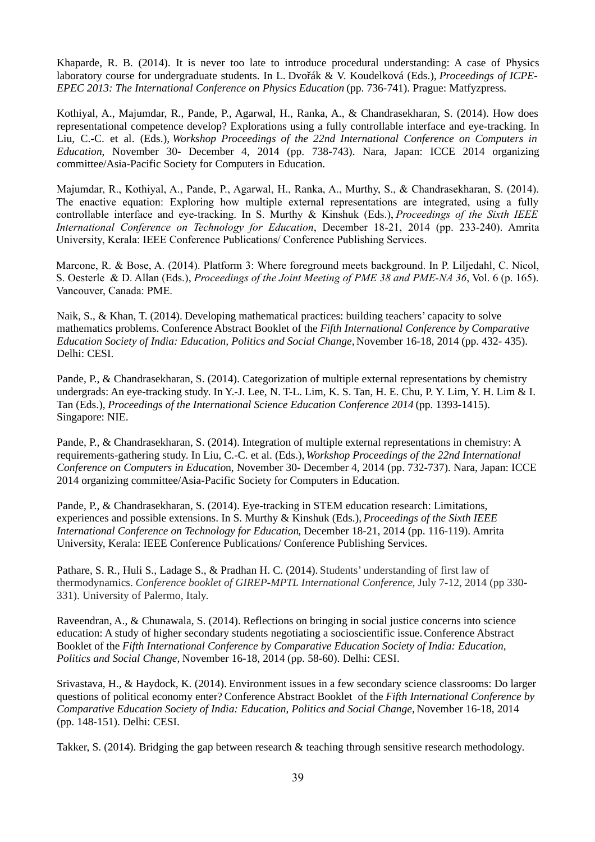Khaparde, R. B. (2014). It is never too late to introduce procedural understanding: A case of Physics laboratory course for undergraduate students. In L. Dvořák & V. Koudelková (Eds.), *Proceedings of ICPE-EPEC 2013: The International Conference on Physics Education* (pp. 736-741). Prague: Matfyzpress.

Kothiyal, A., Majumdar, R., Pande, P., Agarwal, H., Ranka, A., & Chandrasekharan, S. (2014). How does representational competence develop? Explorations using a fully controllable interface and eye-tracking. In Liu, C.-C. et al. (Eds.), *Workshop Proceedings of the 22nd International Conference on Computers in Education*, November 30- December 4, 2014 (pp. 738-743). Nara, Japan: ICCE 2014 organizing committee/Asia-Pacific Society for Computers in Education.

Majumdar, R., Kothiyal, A., Pande, P., Agarwal, H., Ranka, A., Murthy, S., & Chandrasekharan, S. (2014). The enactive equation: Exploring how multiple external representations are integrated, using a fully controllable interface and eye-tracking. In S. Murthy & Kinshuk (Eds.), *Proceedings of the Sixth IEEE International Conference on Technology for Education*, December 18-21, 2014 (pp. 233-240). Amrita University, Kerala: IEEE Conference Publications/ Conference Publishing Services.

Marcone, R. & Bose, A. (2014). Platform 3: Where foreground meets background. In P. Liljedahl, C. Nicol, S. Oesterle & D. Allan (Eds.), *Proceedings of the Joint Meeting of PME 38 and PME-NA 36*, Vol. 6 (p. 165). Vancouver, Canada: PME.

Naik, S., & Khan, T. (2014). Developing mathematical practices: building teachers' capacity to solve mathematics problems. Conference Abstract Booklet of the *Fifth International Conference by Comparative Education Society of India: Education, Politics and Social Change,* November 16-18, 2014 (pp. 432- 435). Delhi: CESI.

Pande, P., & Chandrasekharan, S. (2014). Categorization of multiple external representations by chemistry undergrads: An eye-tracking study. In Y.-J. Lee, N. T-L. Lim, K. S. Tan, H. E. Chu, P. Y. Lim, Y. H. Lim & I. Tan (Eds.), *Proceedings of the International Science Education Conference 2014* (pp. 1393-1415). Singapore: NIE.

Pande, P., & Chandrasekharan, S. (2014). Integration of multiple external representations in chemistry: A requirements-gathering study. In Liu, C.-C. et al. (Eds.), *Workshop Proceedings of the 22nd International Conference on Computers in Educatio*n, November 30- December 4, 2014 (pp. 732-737). Nara, Japan: ICCE 2014 organizing committee/Asia-Pacific Society for Computers in Education.

Pande, P., & Chandrasekharan, S. (2014). Eye-tracking in STEM education research: Limitations, experiences and possible extensions. In S. Murthy & Kinshuk (Eds.), *Proceedings of the Sixth IEEE International Conference on Technology for Education*, December 18-21, 2014 (pp. 116-119). Amrita University, Kerala: IEEE Conference Publications/ Conference Publishing Services.

Pathare, S. R., Huli S., Ladage S., & Pradhan H. C. (2014). Students' understanding of first law of thermodynamics. *Conference booklet of GIREP-MPTL International Conference*, July 7-12, 2014 (pp 330- 331). University of Palermo, Italy.

Raveendran, A., & Chunawala, S. (2014). Reflections on bringing in social justice concerns into science education: A study of higher secondary students negotiating a socioscientific issue.Conference Abstract Booklet of the *Fifth International Conference by Comparative Education Society of India: Education, Politics and Social Change,* November 16-18, 2014 (pp. 58-60). Delhi: CESI.

Srivastava, H., & Haydock, K. (2014). Environment issues in a few secondary science classrooms: Do larger questions of political economy enter? Conference Abstract Booklet of the *Fifth International Conference by Comparative Education Society of India: Education, Politics and Social Change,* November 16-18, 2014 (pp. 148-151). Delhi: CESI.

Takker, S. (2014). Bridging the gap between research & teaching through sensitive research methodology.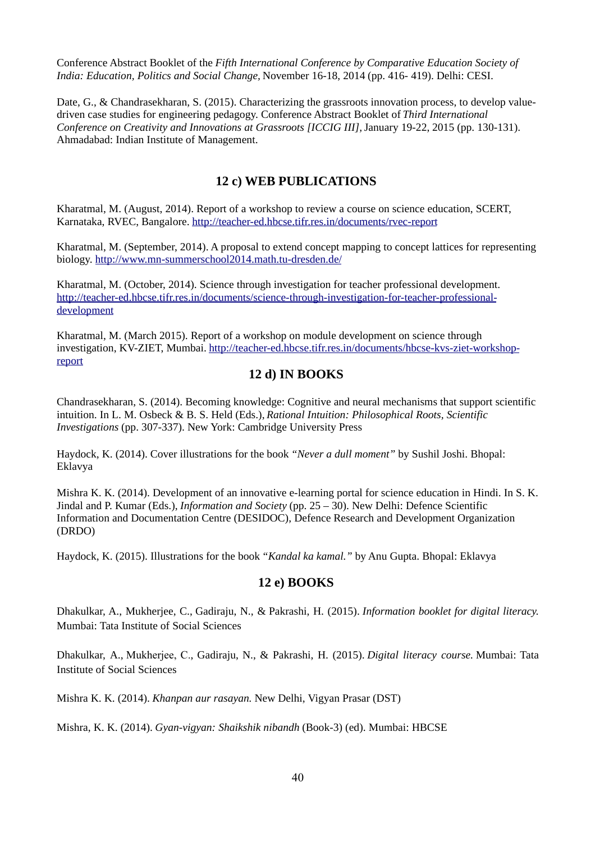Conference Abstract Booklet of the *Fifth International Conference by Comparative Education Society of India: Education, Politics and Social Change,* November 16-18, 2014 (pp. 416- 419). Delhi: CESI.

Date, G., & Chandrasekharan, S. (2015). Characterizing the grassroots innovation process, to develop valuedriven case studies for engineering pedagogy. Conference Abstract Booklet of *Third International Conference on Creativity and Innovations at Grassroots [ICCIG III],* January 19-22, 2015 (pp. 130-131). Ahmadabad: Indian Institute of Management.

### **12 c) WEB PUBLICATIONS**

Kharatmal, M. (August, 2014). Report of a workshop to review a course on science education, SCERT, Karnataka, RVEC, Bangalore.<http://teacher-ed.hbcse.tifr.res.in/documents/rvec-report>

Kharatmal, M. (September, 2014). A proposal to extend concept mapping to concept lattices for representing biology.<http://www.mn-summerschool2014.math.tu-dresden.de/>

Kharatmal, M. (October, 2014). Science through investigation for teacher professional development. [http://teacher-ed.hbcse.tifr.res.in/documents/science-through-investigation-for-teacher-professional](http://teacher-ed.hbcse.tifr.res.in/documents/science-through-investigation-for-teacher-professional-development)[development](http://teacher-ed.hbcse.tifr.res.in/documents/science-through-investigation-for-teacher-professional-development)

Kharatmal, M. (March 2015). Report of a workshop on module development on science through investigation, KV-ZIET, Mumbai. [http://teacher-ed.hbcse.tifr.res.in/documents/hbcse-kvs-ziet-workshop](http://teacher-ed.hbcse.tifr.res.in/documents/hbcse-kvs-ziet-workshop-report)[report](http://teacher-ed.hbcse.tifr.res.in/documents/hbcse-kvs-ziet-workshop-report)

### **12 d) IN BOOKS**

Chandrasekharan, S. (2014). Becoming knowledge: Cognitive and neural mechanisms that support scientific intuition. In L. M. Osbeck & B. S. Held (Eds.), *Rational Intuition: Philosophical Roots, Scientific Investigations* (pp. 307-337). New York: Cambridge University Press

Haydock, K. (2014). Cover illustrations for the book *"Never a dull moment"* by Sushil Joshi. Bhopal: Eklavya

Mishra K. K. (2014). Development of an innovative e-learning portal for science education in Hindi. In S. K. Jindal and P. Kumar (Eds.), *Information and Society* (pp. 25 – 30). New Delhi: Defence Scientific Information and Documentation Centre (DESIDOC), Defence Research and Development Organization (DRDO)

Haydock, K. (2015). Illustrations for the book *"Kandal ka kamal."* by Anu Gupta. Bhopal: Eklavya

### **12 e) BOOKS**

Dhakulkar, A., Mukherjee, C., Gadiraju, N., & Pakrashi, H. (2015). *Information booklet for digital literacy.* Mumbai: Tata Institute of Social Sciences

Dhakulkar, A., Mukherjee, C., Gadiraju, N., & Pakrashi, H. (2015). *Digital literacy course.* Mumbai: Tata Institute of Social Sciences

Mishra K. K. (2014). *Khanpan aur rasayan.* New Delhi, Vigyan Prasar (DST)

Mishra, K. K. (2014). *Gyan-vigyan: Shaikshik nibandh* (Book-3) (ed). Mumbai: HBCSE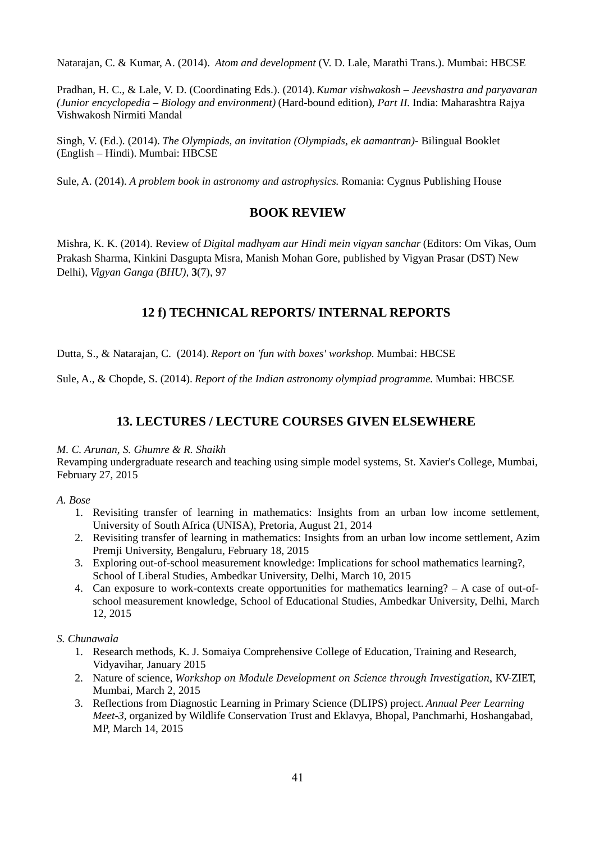Natarajan, C. & Kumar, A. (2014). *Atom and development* (V. D. Lale, Marathi Trans.). Mumbai: HBCSE

Pradhan, H. C., & Lale, V. D. (Coordinating Eds.). (2014). *Kumar vishwakosh – Jeevshastra and paryavaran (Junior encyclopedia – Biology and environment)* (Hard-bound edition)*, Part II.* India: Maharashtra Rajya Vishwakosh Nirmiti Mandal

Singh, V. (Ed.). (2014). *The Olympiads, an invitation (Olympiads, ek aamantran)-* Bilingual Booklet (English – Hindi). Mumbai: HBCSE

Sule, A. (2014). *A problem book in astronomy and astrophysics*. Romania: Cygnus Publishing House

### **BOOK REVIEW**

Mishra, K. K. (2014). Review of *Digital madhyam aur Hindi mein vigyan sanchar* (Editors: Om Vikas, Oum Prakash Sharma, Kinkini Dasgupta Misra, Manish Mohan Gore, published by Vigyan Prasar (DST) New Delhi), *Vigyan Ganga (BHU),* **3**(7), 97

### **12 f) TECHNICAL REPORTS/ INTERNAL REPORTS**

Dutta, S., & Natarajan, C. (2014). *Report on 'fun with boxes' workshop.* Mumbai: HBCSE

Sule, A., & Chopde, S. (2014). *Report of the Indian astronomy olympiad programme.* Mumbai: HBCSE

### **13. LECTURES / LECTURE COURSES GIVEN ELSEWHERE**

#### *M. C. Arunan, S. Ghumre & R. Shaikh*

Revamping undergraduate research and teaching using simple model systems, St. Xavier's College, Mumbai, February 27, 2015

#### *A. Bose*

- 1. Revisiting transfer of learning in mathematics: Insights from an urban low income settlement, University of South Africa (UNISA), Pretoria, August 21, 2014
- 2. Revisiting transfer of learning in mathematics: Insights from an urban low income settlement, Azim Premji University, Bengaluru, February 18, 2015
- 3. Exploring out-of-school measurement knowledge: Implications for school mathematics learning?, School of Liberal Studies, Ambedkar University, Delhi, March 10, 2015
- 4. Can exposure to work-contexts create opportunities for mathematics learning? A case of out-ofschool measurement knowledge, School of Educational Studies, Ambedkar University, Delhi, March 12, 2015

#### *S. Chunawala*

- 1. Research methods, K. J. Somaiya Comprehensive College of Education, Training and Research, Vidyavihar, January 2015
- 2. Nature of science, *Workshop on Module Development on Science through Investigation*, KV-ZIET, Mumbai, March 2, 2015
- 3. Reflections from Diagnostic Learning in Primary Science (DLIPS) project. *Annual Peer Learning Meet-3,* organized by Wildlife Conservation Trust and Eklavya, Bhopal, Panchmarhi, Hoshangabad, MP, March 14, 2015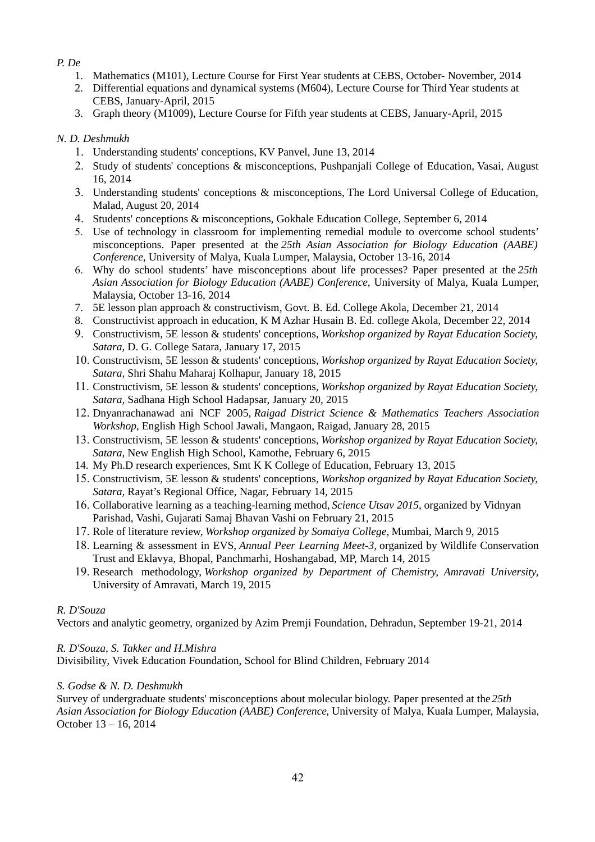### *P. De*

- 1. Mathematics (M101), Lecture Course for First Year students at CEBS, October- November, 2014
- 2. Differential equations and dynamical systems (M604), Lecture Course for Third Year students at CEBS, January-April, 2015
- 3. Graph theory (M1009), Lecture Course for Fifth year students at CEBS, January-April, 2015

### *N. D. Deshmukh*

- 1. Understanding students' conceptions, KV Panvel, June 13, 2014
- 2. Study of students' conceptions & misconceptions, Pushpanjali College of Education, Vasai, August 16, 2014
- 3. Understanding students' conceptions & misconceptions, The Lord Universal College of Education, Malad, August 20, 2014
- 4. Students' conceptions & misconceptions, Gokhale Education College, September 6, 2014
- 5. Use of technology in classroom for implementing remedial module to overcome school students' misconceptions. Paper presented at the *25th Asian Association for Biology Education (AABE) Conference*, University of Malya, Kuala Lumper, Malaysia, October 13-16, 2014
- 6. Why do school students' have misconceptions about life processes? Paper presented at the *25th Asian Association for Biology Education (AABE) Conference,* University of Malya, Kuala Lumper, Malaysia, October 13-16, 2014
- 7. 5E lesson plan approach & constructivism, Govt. B. Ed. College Akola, December 21, 2014
- 8. Constructivist approach in education, K M Azhar Husain B. Ed. college Akola, December 22, 2014
- 9. Constructivism, 5E lesson & students' conceptions, *Workshop organized by Rayat Education Society, Satara,* D. G. College Satara, January 17, 2015
- 10. Constructivism, 5E lesson & students' conceptions, *Workshop organized by Rayat Education Society, Satara,* Shri Shahu Maharaj Kolhapur, January 18, 2015
- 11. Constructivism, 5E lesson & students' conceptions, *Workshop organized by Rayat Education Society, Satara,* Sadhana High School Hadapsar, January 20, 2015
- 12. Dnyanrachanawad ani NCF 2005, *Raigad District Science & Mathematics Teachers Association Workshop,* English High School Jawali, Mangaon, Raigad, January 28, 2015
- 13. Constructivism, 5E lesson & students' conceptions, *Workshop organized by Rayat Education Society, Satara,* New English High School, Kamothe, February 6, 2015
- 14. My Ph.D research experiences, Smt K K College of Education, February 13, 2015
- 15. Constructivism, 5E lesson & students' conceptions, *Workshop organized by Rayat Education Society, Satara,* Rayat's Regional Office, Nagar, February 14, 2015
- 16. Collaborative learning as a teaching-learning method, *Science Utsav 2015,* organized by Vidnyan Parishad, Vashi, Gujarati Samaj Bhavan Vashi on February 21, 2015
- 17. Role of literature review, *Workshop organized by Somaiya College,* Mumbai, March 9, 2015
- 18. Learning & assessment in EVS, *Annual Peer Learning Meet-3,* organized by Wildlife Conservation Trust and Eklavya, Bhopal, Panchmarhi, Hoshangabad, MP, March 14, 2015
- 19. Research methodology, *Workshop organized by Department of Chemistry, Amravati University*, University of Amravati, March 19, 2015

### *R. D'Souza*

Vectors and analytic geometry, organized by Azim Premji Foundation, Dehradun, September 19-21, 2014

### *R. D'Souza, S. Takker and H.Mishra*

Divisibility*,* Vivek Education Foundation, School for Blind Children, February 2014

### *S. Godse & N. D. Deshmukh*

Survey of undergraduate students' misconceptions about molecular biology. Paper presented at the *25th Asian Association for Biology Education (AABE) Conference*, University of Malya, Kuala Lumper, Malaysia, October 13 – 16, 2014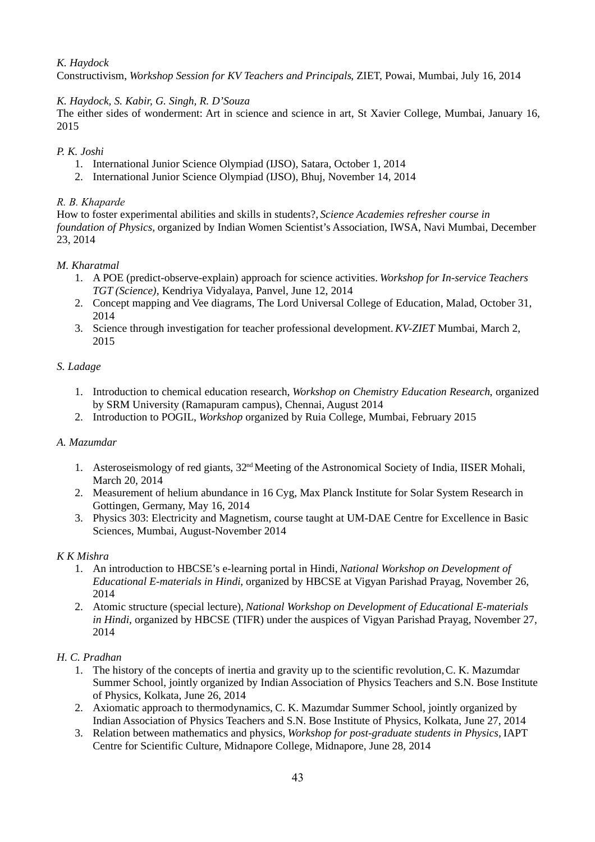#### *K. Haydock*

Constructivism, *Workshop Session for KV Teachers and Principals*, ZIET, Powai, Mumbai, July 16, 2014

#### *K. Haydock, S. Kabir, G. Singh, R. D'Souza*

The either sides of wonderment: Art in science and science in art, St Xavier College, Mumbai, January 16, 2015

#### *P. K. Joshi*

- 1. International Junior Science Olympiad (IJSO), Satara, October 1, 2014
- 2. International Junior Science Olympiad (IJSO), Bhuj, November 14, 2014

#### *R. B. Khaparde*

How to foster experimental abilities and skills in students?, *Science Academies refresher course in foundation of Physics,* organized by Indian Women Scientist's Association, IWSA, Navi Mumbai, December 23, 2014

#### *M. Kharatmal*

- 1. A POE (predict-observe-explain) approach for science activities. *Workshop for In-service Teachers TGT (Science)*, Kendriya Vidyalaya, Panvel, June 12, 2014
- 2. Concept mapping and Vee diagrams, The Lord Universal College of Education, Malad, October 31, 2014
- 3. Science through investigation for teacher professional development. *KV-ZIET* Mumbai, March 2, 2015

#### *S. Ladage*

- 1. Introduction to chemical education research, *Workshop on Chemistry Education Research*, organized by SRM University (Ramapuram campus), Chennai, August 2014
- 2. Introduction to POGIL, *Workshop* organized by Ruia College, Mumbai, February 2015

#### *A. Mazumdar*

- 1. Asteroseismology of red giants, 32<sup>nd</sup> Meeting of the Astronomical Society of India, IISER Mohali, March 20, 2014
- 2. Measurement of helium abundance in 16 Cyg, Max Planck Institute for Solar System Research in Gottingen, Germany, May 16, 2014
- 3. Physics 303: Electricity and Magnetism, course taught at UM-DAE Centre for Excellence in Basic Sciences, Mumbai, August-November 2014

#### *K K Mishra*

- 1. An introduction to HBCSE's e-learning portal in Hindi, *National Workshop on Development of Educational E-materials in Hindi*, organized by HBCSE at Vigyan Parishad Prayag, November 26, 2014
- 2. Atomic structure (special lecture), *National Workshop on Development of Educational E-materials in Hindi*, organized by HBCSE (TIFR) under the auspices of Vigyan Parishad Prayag, November 27, 2014

#### *H. C. Pradhan*

- 1. The history of the concepts of inertia and gravity up to the scientific revolution, C. K. Mazumdar Summer School, jointly organized by Indian Association of Physics Teachers and S.N. Bose Institute of Physics, Kolkata, June 26, 2014
- 2. Axiomatic approach to thermodynamics, C. K. Mazumdar Summer School, jointly organized by Indian Association of Physics Teachers and S.N. Bose Institute of Physics, Kolkata, June 27, 2014
- 3. Relation between mathematics and physics, *Workshop for post-graduate students in Physics,* IAPT Centre for Scientific Culture, Midnapore College, Midnapore, June 28, 2014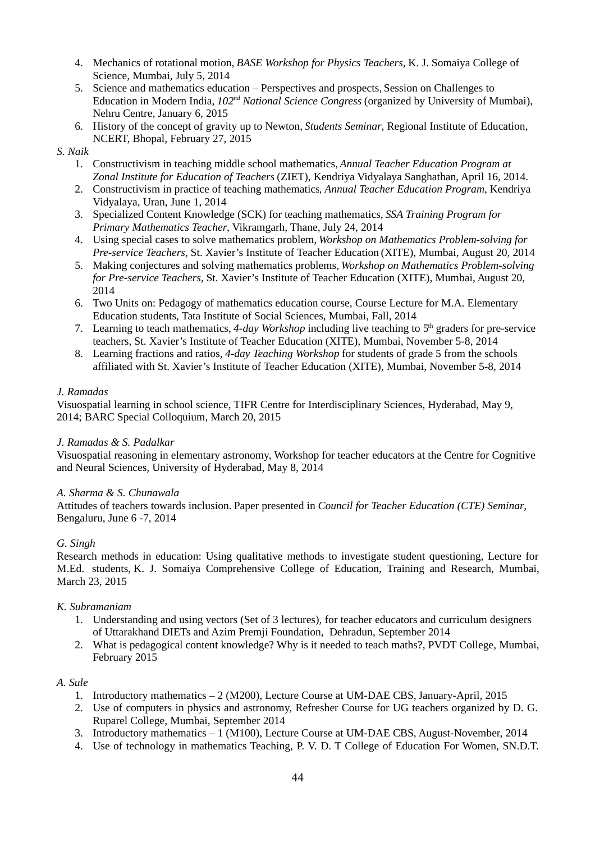- 4. Mechanics of rotational motion, *BASE Workshop for Physics Teachers,* K. J. Somaiya College of Science, Mumbai, July 5, 2014
- 5. Science and mathematics education Perspectives and prospects, Session on Challenges to Education in Modern India, *102nd National Science Congress* (organized by University of Mumbai), Nehru Centre, January 6, 2015
- 6. History of the concept of gravity up to Newton, *Students Seminar*, Regional Institute of Education, NCERT, Bhopal, February 27, 2015

#### *S. Naik*

- 1. Constructivism in teaching middle school mathematics, *Annual Teacher Education Program at Zonal Institute for Education of Teachers* (ZIET), Kendriya Vidyalaya Sanghathan, April 16, 2014.
- 2. Constructivism in practice of teaching mathematics*, Annual Teacher Education Program,* Kendriya Vidyalaya, Uran, June 1, 2014
- 3. Specialized Content Knowledge (SCK) for teaching mathematics, *SSA Training Program for Primary Mathematics Teacher*, Vikramgarh, Thane, July 24, 2014
- 4. Using special cases to solve mathematics problem, *Workshop on Mathematics Problem-solving for Pre-service Teachers,* St. Xavier's Institute of Teacher Education (XITE), Mumbai, August 20, 2014
- 5. Making conjectures and solving mathematics problems, *Workshop on Mathematics Problem-solving for Pre-service Teachers,* St. Xavier's Institute of Teacher Education (XITE), Mumbai, August 20, 2014
- 6. Two Units on: Pedagogy of mathematics education course, Course Lecture for M.A. Elementary Education students, Tata Institute of Social Sciences, Mumbai, Fall, 2014
- 7. Learning to teach mathematics, *4-day Workshop* including live teaching to 5th graders for pre-service teachers, St. Xavier's Institute of Teacher Education (XITE), Mumbai, November 5-8, 2014
- 8. Learning fractions and ratios, *4-day Teaching Workshop* for students of grade 5 from the schools affiliated with St. Xavier's Institute of Teacher Education (XITE), Mumbai, November 5-8, 2014

#### *J. Ramadas*

Visuospatial learning in school science, TIFR Centre for Interdisciplinary Sciences, Hyderabad, May 9, 2014; BARC Special Colloquium, March 20, 2015

#### *J. Ramadas & S. Padalkar*

Visuospatial reasoning in elementary astronomy, Workshop for teacher educators at the Centre for Cognitive and Neural Sciences, University of Hyderabad, May 8, 2014

#### *A. Sharma & S. Chunawala*

Attitudes of teachers towards inclusion. Paper presented in *Council for Teacher Education (CTE) Seminar*, Bengaluru, June 6 -7, 2014

#### *G. Singh*

Research methods in education: Using qualitative methods to investigate student questioning, Lecture for M.Ed. students, K. J. Somaiya Comprehensive College of Education, Training and Research, Mumbai, March 23, 2015

#### *K. Subramaniam*

- 1. Understanding and using vectors (Set of 3 lectures), for teacher educators and curriculum designers of Uttarakhand DIETs and Azim Premji Foundation, Dehradun, September 2014
- 2. What is pedagogical content knowledge? Why is it needed to teach maths?, PVDT College, Mumbai, February 2015

#### *A. Sule*

- 1. Introductory mathematics 2 (M200), Lecture Course at UM-DAE CBS, January-April, 2015
- 2. Use of computers in physics and astronomy, Refresher Course for UG teachers organized by D. G. Ruparel College, Mumbai, September 2014
- 3. Introductory mathematics 1 (M100), Lecture Course at UM-DAE CBS, August-November, 2014
- 4. Use of technology in mathematics Teaching, P. V. D. T College of Education For Women, SN.D.T.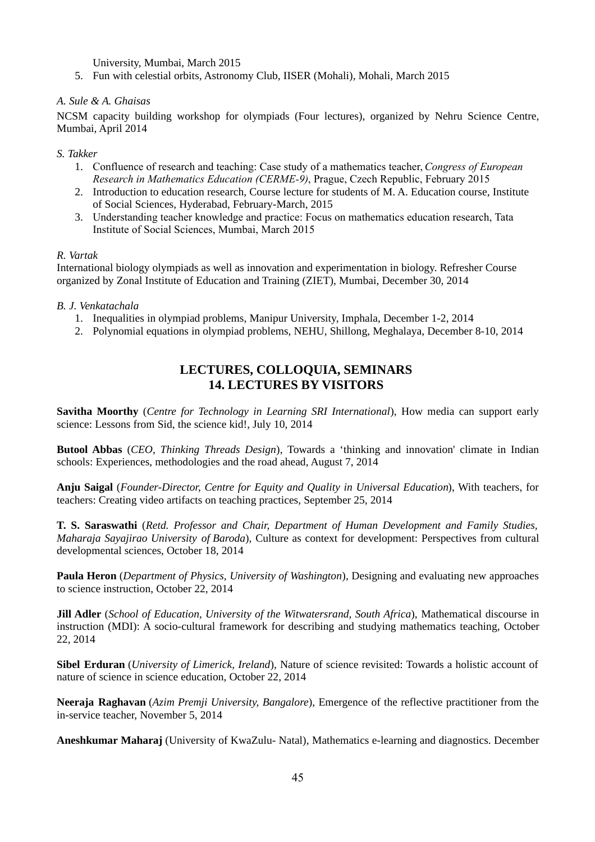University, Mumbai, March 2015

5. Fun with celestial orbits, Astronomy Club, IISER (Mohali), Mohali, March 2015

#### *A. Sule & A. Ghaisas*

NCSM capacity building workshop for olympiads (Four lectures), organized by Nehru Science Centre, Mumbai, April 2014

#### *S. Takker*

- 1. Confluence of research and teaching: Case study of a mathematics teacher, *Congress of European Research in Mathematics Education (CERME-9)*, Prague, Czech Republic, February 2015
- 2. Introduction to education research, Course lecture for students of M. A. Education course, Institute of Social Sciences, Hyderabad, February-March, 2015
- 3. Understanding teacher knowledge and practice: Focus on mathematics education research, Tata Institute of Social Sciences, Mumbai, March 2015

#### *R. Vartak*

International biology olympiads as well as innovation and experimentation in biology. Refresher Course organized by Zonal Institute of Education and Training (ZIET), Mumbai, December 30, 2014

#### *B. J. Venkatachala*

- 1. Inequalities in olympiad problems, Manipur University, Imphala, December 1-2, 2014
- 2. Polynomial equations in olympiad problems, NEHU, Shillong, Meghalaya, December 8-10, 2014

### **LECTURES, COLLOQUIA, SEMINARS 14. LECTURES BY VISITORS**

**Savitha Moorthy** (*Centre for Technology in Learning SRI International*), How media can support early science: Lessons from Sid, the science kid!, July 10, 2014

**Butool Abbas** (*CEO, Thinking Threads Design*), Towards a 'thinking and innovation' climate in Indian schools: Experiences, methodologies and the road ahead, August 7, 2014

**Anju Saigal** (*Founder-Director, Centre for Equity and Quality in Universal Education*), With teachers, for teachers: Creating video artifacts on teaching practices, September 25, 2014

**T. S. Saraswathi** (*Retd. Professor and Chair, Department of Human Development and Family Studies, Maharaja Sayajirao University of Baroda*), Culture as context for development: Perspectives from cultural developmental sciences, October 18, 2014

**Paula Heron** (*Department of Physics, University of Washington*), Designing and evaluating new approaches to science instruction, October 22, 2014

**Jill Adler** (*School of Education, University of the Witwatersrand, South Africa*), Mathematical discourse in instruction (MDI): A socio-cultural framework for describing and studying mathematics teaching, October 22, 2014

**Sibel Erduran** (*University of Limerick, Ireland*), Nature of science revisited: Towards a holistic account of nature of science in science education, October 22, 2014

**Neeraja Raghavan** (*Azim Premji University, Bangalore*), Emergence of the reflective practitioner from the in-service teacher, November 5, 2014

**Aneshkumar Maharaj** (University of KwaZulu- Natal), Mathematics e-learning and diagnostics. December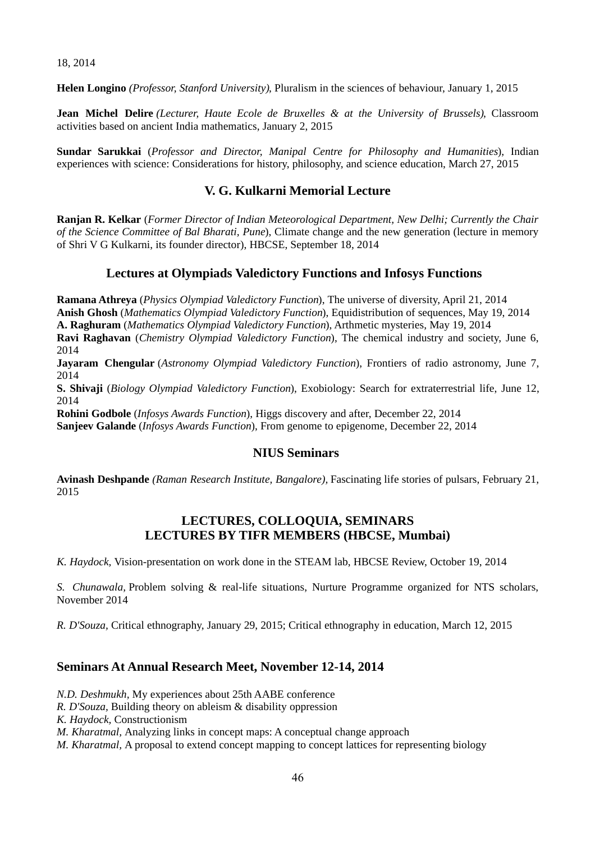18, 2014

**Helen Longino** *(Professor, Stanford University)*, Pluralism in the sciences of behaviour, January 1, 2015

**Jean Michel Delire** *(Lecturer, Haute Ecole de Bruxelles & at the University of Brussels)*, Classroom activities based on ancient India mathematics, January 2, 2015

**Sundar Sarukkai** (*Professor and Director, Manipal Centre for Philosophy and Humanities*), Indian experiences with science: Considerations for history, philosophy, and science education, March 27, 2015

### **V. G. Kulkarni Memorial Lecture**

**Ranjan R. Kelkar** (*Former Director of Indian Meteorological Department, New Delhi; Currently the Chair of the Science Committee of Bal Bharati, Pune*), Climate change and the new generation (lecture in memory of Shri V G Kulkarni, its founder director), HBCSE, September 18, 2014

### **Lectures at Olympiads Valedictory Functions and Infosys Functions**

**Ramana Athreya** (*Physics Olympiad Valedictory Function*), The universe of diversity, April 21, 2014 **Anish Ghosh** (*Mathematics Olympiad Valedictory Function*), Equidistribution of sequences, May 19, 2014 **A. Raghuram** (*Mathematics Olympiad Valedictory Function*), Arthmetic mysteries, May 19, 2014 **Ravi Raghavan** (*Chemistry Olympiad Valedictory Function*), The chemical industry and society, June 6, 2014

**Jayaram Chengular** (*Astronomy Olympiad Valedictory Function*), Frontiers of radio astronomy, June 7, 2014

**S. Shivaji** (*Biology Olympiad Valedictory Function*), Exobiology: Search for extraterrestrial life, June 12, 2014

**Rohini Godbole** (*Infosys Awards Function*), Higgs discovery and after, December 22, 2014 **Sanjeev Galande** (*Infosys Awards Function*), From genome to epigenome, December 22, 2014

#### **NIUS Seminars**

**Avinash Deshpande** *(Raman Research Institute, Bangalore),* Fascinating life stories of pulsars, February 21, 2015

### **LECTURES, COLLOQUIA, SEMINARS LECTURES BY TIFR MEMBERS (HBCSE, Mumbai)**

*K. Haydock,* Vision-presentation on work done in the STEAM lab, HBCSE Review, October 19, 2014

*S. Chunawala,* Problem solving & real-life situations, Nurture Programme organized for NTS scholars, November 2014

*R. D'Souza,* Critical ethnography, January 29, 2015; Critical ethnography in education, March 12, 2015

### **Seminars At Annual Research Meet, November 12-14, 2014**

*N.D. Deshmukh,* My experiences about 25th AABE conference

*R. D'Souza,* Building theory on ableism & disability oppression

*K. Haydock,* Constructionism

*M. Kharatmal,* Analyzing links in concept maps: A conceptual change approach

*M. Kharatmal,* A proposal to extend concept mapping to concept lattices for representing biology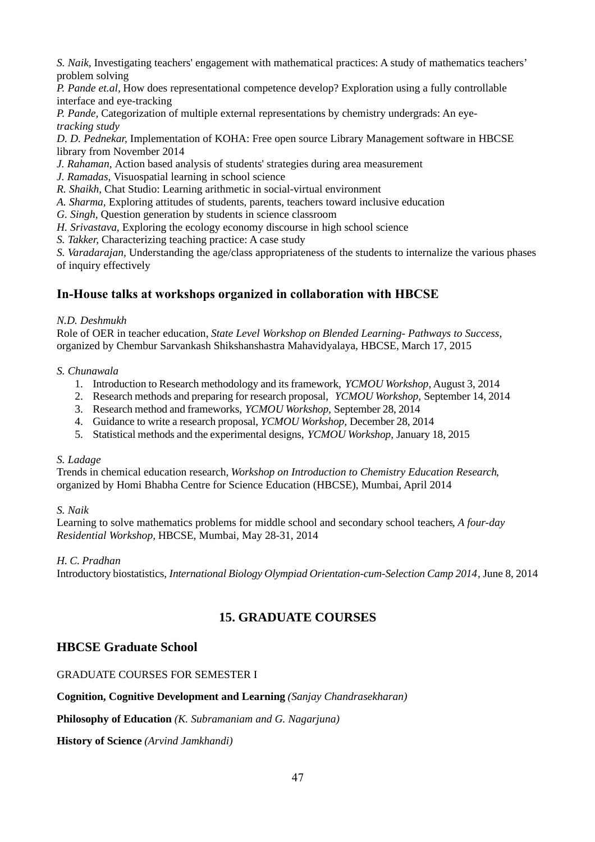*S. Naik,* Investigating teachers' engagement with mathematical practices: A study of mathematics teachers' problem solving

*P. Pande et.al,* How does representational competence develop? Exploration using a fully controllable interface and eye-tracking

*P. Pande,* Categorization of multiple external representations by chemistry undergrads: An eye*tracking study* 

*D. D. Pednekar,* Implementation of KOHA: Free open source Library Management software in HBCSE library from November 2014

- *J. Rahaman,* Action based analysis of students' strategies during area measurement
- *J. Ramadas,* Visuospatial learning in school science
- *R. Shaikh,* Chat Studio: Learning arithmetic in social-virtual environment
- *A. Sharma,* Exploring attitudes of students, parents, teachers toward inclusive education
- *G. Singh,* Question generation by students in science classroom
- *H. Srivastava*, Exploring the ecology economy discourse in high school science
- *S. Takker,* Characterizing teaching practice: A case study

*S. Varadarajan,* Understanding the age/class appropriateness of the students to internalize the various phases of inquiry effectively

### **In-House talks at workshops organized in collaboration with HBCSE**

#### *N.D. Deshmukh*

Role of OER in teacher education, *State Level Workshop on Blended Learning- Pathways to Success,*  organized by Chembur Sarvankash Shikshanshastra Mahavidyalaya, HBCSE, March 17, 2015

#### *S. Chunawala*

- 1. Introduction to Research methodology and its framework, *YCMOU Workshop*, August 3, 2014
- 2. Research methods and preparing for research proposal, *YCMOU Workshop,* September 14, 2014
- 3. Research method and frameworks, *YCMOU Workshop,* September 28, 2014
- 4. Guidance to write a research proposal, *YCMOU Workshop,* December 28, 2014
- 5. Statistical methods and the experimental designs, *YCMOU Workshop,* January 18, 2015

#### *S. Ladage*

Trends in chemical education research, *Workshop on Introduction to Chemistry Education Research*, organized by Homi Bhabha Centre for Science Education (HBCSE), Mumbai, April 2014

#### *S. Naik*

Learning to solve mathematics problems for middle school and secondary school teachers, *A four-day Residential Workshop,* HBCSE, Mumbai, May 28-31, 2014

#### *H. C. Pradhan*

Introductory biostatistics, *International Biology Olympiad Orientation-cum-Selection Camp 2014*, June 8, 2014

### **15. GRADUATE COURSES**

### **HBCSE Graduate School**

### GRADUATE COURSES FOR SEMESTER I

#### **Cognition, Cognitive Development and Learning** *(Sanjay Chandrasekharan)*

#### **Philosophy of Education** *(K. Subramaniam and G. Nagarjuna)*

**History of Science** *(Arvind Jamkhandi)*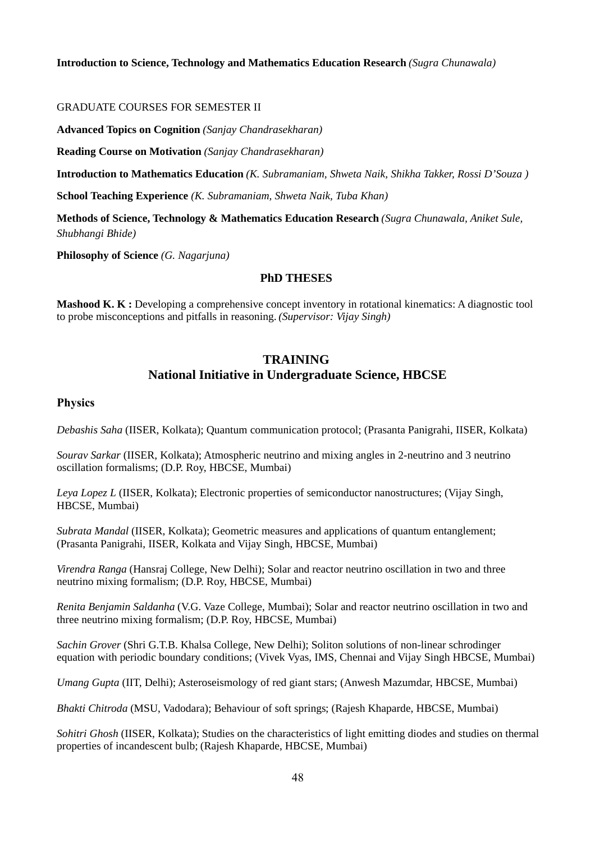#### GRADUATE COURSES FOR SEMESTER II

**Advanced Topics on Cognition** *(Sanjay Chandrasekharan)*

**Reading Course on Motivation** *(Sanjay Chandrasekharan)*

**Introduction to Mathematics Education** *(K. Subramaniam, Shweta Naik, Shikha Takker, Rossi D'Souza )*

**School Teaching Experience** *(K. Subramaniam, Shweta Naik, Tuba Khan)*

**Methods of Science, Technology & Mathematics Education Research** *(Sugra Chunawala, Aniket Sule, Shubhangi Bhide)*

**Philosophy of Science** *(G. Nagarjuna)*

#### **PhD THESES**

**Mashood K. K :** Developing a comprehensive concept inventory in rotational kinematics: A diagnostic tool to probe misconceptions and pitfalls in reasoning. *(Supervisor: Vijay Singh)*

## **TRAINING National Initiative in Undergraduate Science, HBCSE**

#### **Physics**

*Debashis Saha* (IISER, Kolkata); Quantum communication protocol; (Prasanta Panigrahi, IISER, Kolkata)

*Sourav Sarkar* (IISER, Kolkata); Atmospheric neutrino and mixing angles in 2-neutrino and 3 neutrino oscillation formalisms; (D.P. Roy, HBCSE, Mumbai)

*Leya Lopez L* (IISER, Kolkata); Electronic properties of semiconductor nanostructures; (Vijay Singh, HBCSE, Mumbai)

*Subrata Mandal* (IISER, Kolkata); Geometric measures and applications of quantum entanglement; (Prasanta Panigrahi, IISER, Kolkata and Vijay Singh, HBCSE, Mumbai)

*Virendra Ranga* (Hansraj College, New Delhi); Solar and reactor neutrino oscillation in two and three neutrino mixing formalism; (D.P. Roy, HBCSE, Mumbai)

*Renita Benjamin Saldanha* (V.G. Vaze College, Mumbai); Solar and reactor neutrino oscillation in two and three neutrino mixing formalism; (D.P. Roy, HBCSE, Mumbai)

*Sachin Grover* (Shri G.T.B. Khalsa College, New Delhi); Soliton solutions of non-linear schrodinger equation with periodic boundary conditions; (Vivek Vyas, IMS, Chennai and Vijay Singh HBCSE, Mumbai)

*Umang Gupta* (IIT, Delhi); Asteroseismology of red giant stars; (Anwesh Mazumdar, HBCSE, Mumbai)

*Bhakti Chitroda* (MSU, Vadodara); Behaviour of soft springs; (Rajesh Khaparde, HBCSE, Mumbai)

*Sohitri Ghosh* (IISER, Kolkata); Studies on the characteristics of light emitting diodes and studies on thermal properties of incandescent bulb; (Rajesh Khaparde, HBCSE, Mumbai)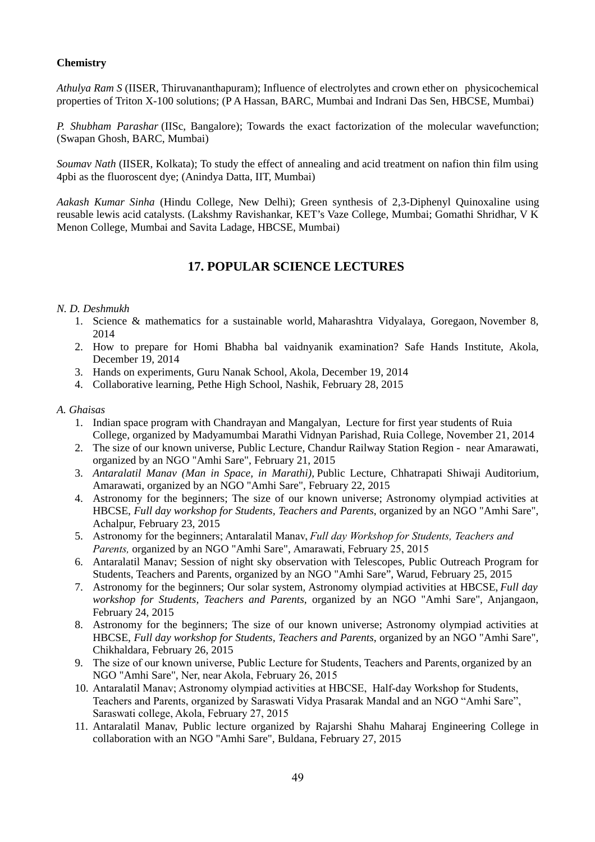#### **Chemistry**

*Athulya Ram S* (IISER, Thiruvananthapuram); Influence of electrolytes and crown ether on physicochemical properties of Triton X-100 solutions; (P A Hassan, BARC, Mumbai and Indrani Das Sen, HBCSE, Mumbai)

*P. Shubham Parashar* (IISc, Bangalore); Towards the exact factorization of the molecular wavefunction; (Swapan Ghosh, BARC, Mumbai)

*Soumav Nath* (IISER, Kolkata); To study the effect of annealing and acid treatment on nafion thin film using 4pbi as the fluoroscent dye; (Anindya Datta, IIT, Mumbai)

*Aakash Kumar Sinha* (Hindu College, New Delhi); Green synthesis of 2,3-Diphenyl Quinoxaline using reusable lewis acid catalysts. (Lakshmy Ravishankar, KET's Vaze College, Mumbai; Gomathi Shridhar, V K Menon College, Mumbai and Savita Ladage, HBCSE, Mumbai)

### **17. POPULAR SCIENCE LECTURES**

#### *N. D. Deshmukh*

- 1. Science & mathematics for a sustainable world, Maharashtra Vidyalaya, Goregaon, November 8, 2014
- 2. How to prepare for Homi Bhabha bal vaidnyanik examination? Safe Hands Institute, Akola, December 19, 2014
- 3. Hands on experiments, Guru Nanak School, Akola, December 19, 2014
- 4. Collaborative learning, Pethe High School, Nashik, February 28, 2015

#### *A. Ghaisas*

- 1. Indian space program with Chandrayan and Mangalyan, Lecture for first year students of Ruia College, organized by Madyamumbai Marathi Vidnyan Parishad, Ruia College, November 21, 2014
- 2. The size of our known universe, Public Lecture, Chandur Railway Station Region near Amarawati, organized by an NGO "Amhi Sare", February 21, 2015
- 3. *Antaralatil Manav (Man in Space, in Marathi),* Public Lecture, Chhatrapati Shiwaji Auditorium, Amarawati, organized by an NGO "Amhi Sare", February 22, 2015
- 4. Astronomy for the beginners; The size of our known universe; Astronomy olympiad activities at HBCSE, *Full day workshop for Students, Teachers and Parents*, organized by an NGO "Amhi Sare", Achalpur, February 23, 2015
- 5. Astronomy for the beginners; Antaralatil Manav, *Full day Workshop for Students, Teachers and Parents,* organized by an NGO "Amhi Sare", Amarawati, February 25, 2015
- 6. Antaralatil Manav; Session of night sky observation with Telescopes, Public Outreach Program for Students, Teachers and Parents, organized by an NGO "Amhi Sare", Warud, February 25, 2015
- 7. Astronomy for the beginners; Our solar system, Astronomy olympiad activities at HBCSE, *Full day workshop for Students, Teachers and Parents*, organized by an NGO "Amhi Sare", Anjangaon, February 24, 2015
- 8. Astronomy for the beginners; The size of our known universe; Astronomy olympiad activities at HBCSE, *Full day workshop for Students, Teachers and Parents*, organized by an NGO "Amhi Sare", Chikhaldara, February 26, 2015
- 9. The size of our known universe, Public Lecture for Students, Teachers and Parents, organized by an NGO "Amhi Sare", Ner, near Akola, February 26, 2015
- 10. Antaralatil Manav; Astronomy olympiad activities at HBCSE, Half-day Workshop for Students, Teachers and Parents, organized by Saraswati Vidya Prasarak Mandal and an NGO "Amhi Sare", Saraswati college, Akola, February 27, 2015
- 11. Antaralatil Manav, Public lecture organized by Rajarshi Shahu Maharaj Engineering College in collaboration with an NGO "Amhi Sare", Buldana, February 27, 2015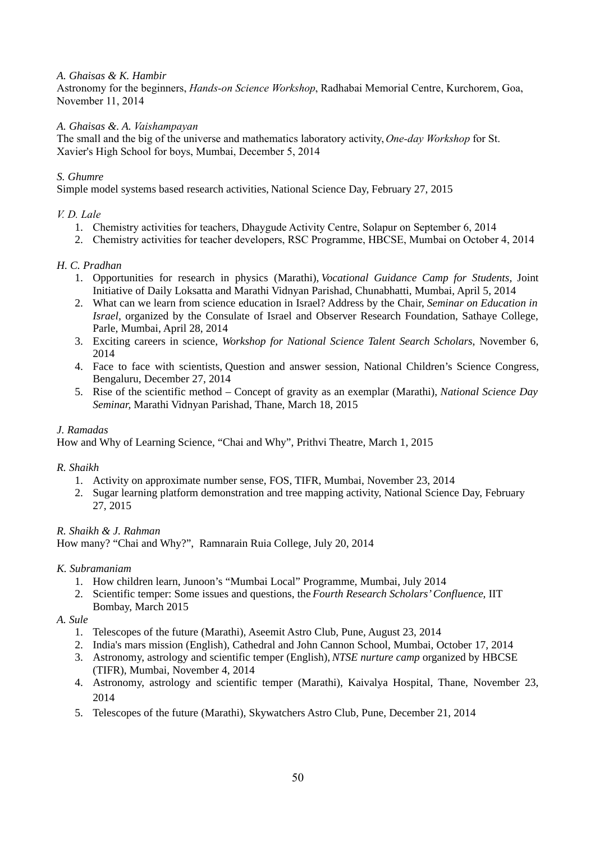#### *A. Ghaisas & K. Hambir*

Astronomy for the beginners, *Hands-on Science Workshop*, Radhabai Memorial Centre, Kurchorem, Goa, November 11, 2014

#### *A. Ghaisas &. A. Vaishampayan*

The small and the big of the universe and mathematics laboratory activity, *One-day Workshop* for St. Xavier's High School for boys, Mumbai, December 5, 2014

#### *S. Ghumre*

Simple model systems based research activities, National Science Day, February 27, 2015

#### *V. D. Lale*

- 1. Chemistry activities for teachers, Dhaygude Activity Centre, Solapur on September 6, 2014
- 2. Chemistry activities for teacher developers, RSC Programme, HBCSE, Mumbai on October 4, 2014

#### *H. C. Pradhan*

- 1. Opportunities for research in physics (Marathi), *Vocational Guidance Camp for Students,* Joint Initiative of Daily Loksatta and Marathi Vidnyan Parishad, Chunabhatti, Mumbai, April 5, 2014
- 2. What can we learn from science education in Israel? Address by the Chair, *Seminar on Education in Israel,* organized by the Consulate of Israel and Observer Research Foundation, Sathaye College, Parle, Mumbai, April 28, 2014
- 3. Exciting careers in science, *Workshop for National Science Talent Search Scholars*, November 6, 2014
- 4. Face to face with scientists, Question and answer session, National Children's Science Congress, Bengaluru, December 27, 2014
- 5. Rise of the scientific method Concept of gravity as an exemplar (Marathi), *National Science Day Seminar,* Marathi Vidnyan Parishad, Thane, March 18, 2015

#### *J. Ramadas*

How and Why of Learning Science, "Chai and Why", Prithvi Theatre, March 1, 2015

#### *R. Shaikh*

- 1. Activity on approximate number sense, FOS, TIFR, Mumbai, November 23, 2014
- 2. Sugar learning platform demonstration and tree mapping activity, National Science Day, February 27, 2015

#### *R. Shaikh & J. Rahman*

How many? "Chai and Why?", Ramnarain Ruia College, July 20, 2014

#### *K. Subramaniam*

- 1. How children learn, Junoon's "Mumbai Local" Programme, Mumbai, July 2014
- 2. Scientific temper: Some issues and questions, the *Fourth Research Scholars' Confluence*, IIT Bombay, March 2015
- *A. Sule*
	- 1. Telescopes of the future (Marathi), Aseemit Astro Club, Pune, August 23, 2014
	- 2. India's mars mission (English), Cathedral and John Cannon School, Mumbai, October 17, 2014
	- 3. Astronomy, astrology and scientific temper (English), *NTSE nurture camp* organized by HBCSE (TIFR), Mumbai, November 4, 2014
	- 4. Astronomy, astrology and scientific temper (Marathi), Kaivalya Hospital, Thane, November 23, 2014
	- 5. Telescopes of the future (Marathi), Skywatchers Astro Club, Pune, December 21, 2014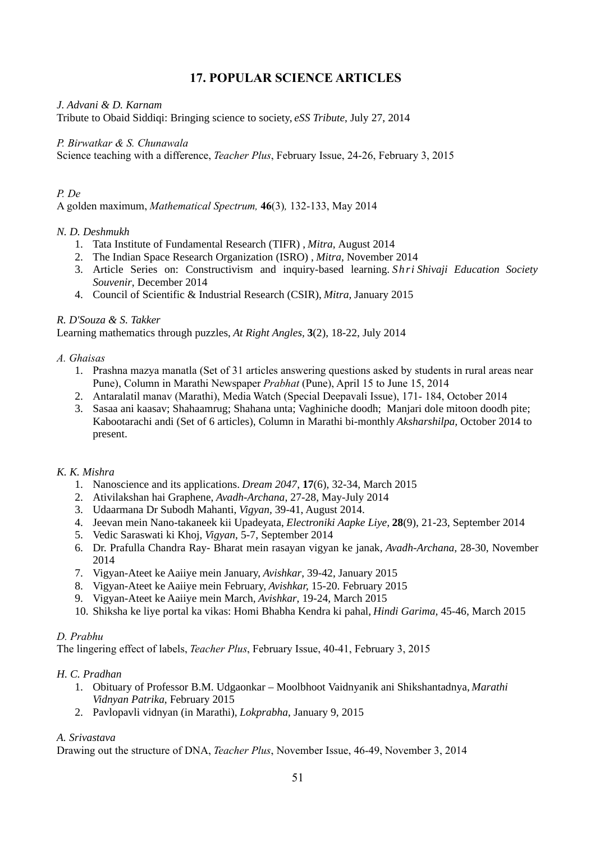### **17. POPULAR SCIENCE ARTICLES**

*J. Advani & D. Karnam* Tribute to Obaid Siddiqi: Bringing science to society, *eSS Tribute*, July 27, 2014

*P. Birwatkar & S. Chunawala* Science teaching with a difference, *Teacher Plus*, February Issue, 24-26, February 3, 2015

#### *P. De*

A golden maximum, *Mathematical Spectrum,* **46**(3)*,* 132-133, May 2014

### *N. D. Deshmukh*

- 1. Tata Institute of Fundamental Research (TIFR) , *Mitra,* August 2014
- 2. The Indian Space Research Organization (ISRO) , *Mitra,* November 2014
- 3. Article Series on: Constructivism and inquiry-based learning. *Shri Shivaji Education Society Souvenir*, December 2014
- 4. Council of Scientific & Industrial Research (CSIR), *Mitra,* January 2015

#### *R. D'Souza & S. Takker*

Learning mathematics through puzzles, *At Right Angles,* **3**(2), 18-22, July 2014

#### *A. Ghaisas*

- 1. Prashna mazya manatla (Set of 31 articles answering questions asked by students in rural areas near Pune), Column in Marathi Newspaper *Prabhat* (Pune), April 15 to June 15, 2014
- 2. Antaralatil manav (Marathi), Media Watch (Special Deepavali Issue), 171- 184, October 2014
- 3. Sasaa ani kaasav; Shahaamrug; Shahana unta; Vaghiniche doodh; Manjari dole mitoon doodh pite; Kabootarachi andi (Set of 6 articles), Column in Marathi bi-monthly *Aksharshilpa,* October 2014 to present.

#### *K. K. Mishra*

- 1. Nanoscience and its applications. *Dream 2047*, **17**(6), 32-34, March 2015
- 2. Ativilakshan hai Graphene, *Avadh-Archana*, 27-28, May-July 2014
- 3. Udaarmana Dr Subodh Mahanti, *Vigyan,* 39-41, August 2014.
- 4. Jeevan mein Nano-takaneek kii Upadeyata, *Electroniki Aapke Liye,* **28**(9), 21-23, September 2014
- 5. Vedic Saraswati ki Khoj, *Vigyan*, 5-7, September 2014
- 6. Dr. Prafulla Chandra Ray- Bharat mein rasayan vigyan ke janak, *Avadh-Archana,* 28-30, November 2014
- 7. Vigyan-Ateet ke Aaiiye mein January, *Avishkar*, 39-42, January 2015
- 8. Vigyan-Ateet ke Aaiiye mein February, *Avishkar,* 15-20. February 2015
- 9. Vigyan-Ateet ke Aaiiye mein March, *Avishkar*, 19-24, March 2015
- 10. Shiksha ke liye portal ka vikas: Homi Bhabha Kendra ki pahal, *Hindi Garima,* 45-46, March 2015

#### *D. Prabhu*

The lingering effect of labels, *Teacher Plus*, February Issue, 40-41, February 3, 2015

### *H. C. Pradhan*

- 1. Obituary of Professor B.M. Udgaonkar Moolbhoot Vaidnyanik ani Shikshantadnya, *Marathi Vidnyan Patrika*, February 2015
- 2. Pavlopavli vidnyan (in Marathi), *Lokprabha*, January 9, 2015

### *A. Srivastava*

Drawing out the structure of DNA, *Teacher Plus*, November Issue, 46-49, November 3, 2014